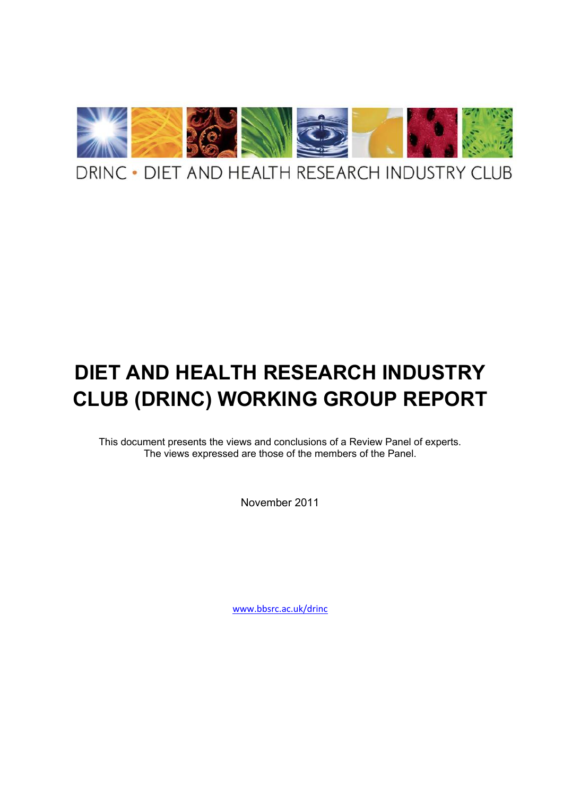

# **DIET AND HEALTH RESEARCH INDUSTRY CLUB (DRINC) WORKING GROUP REPORT**

This document presents the views and conclusions of a Review Panel of experts. The views expressed are those of the members of the Panel.

November 2011

[www.bbsrc.ac.uk/drinc](http://www.bbsrc.ac.uk/drinc)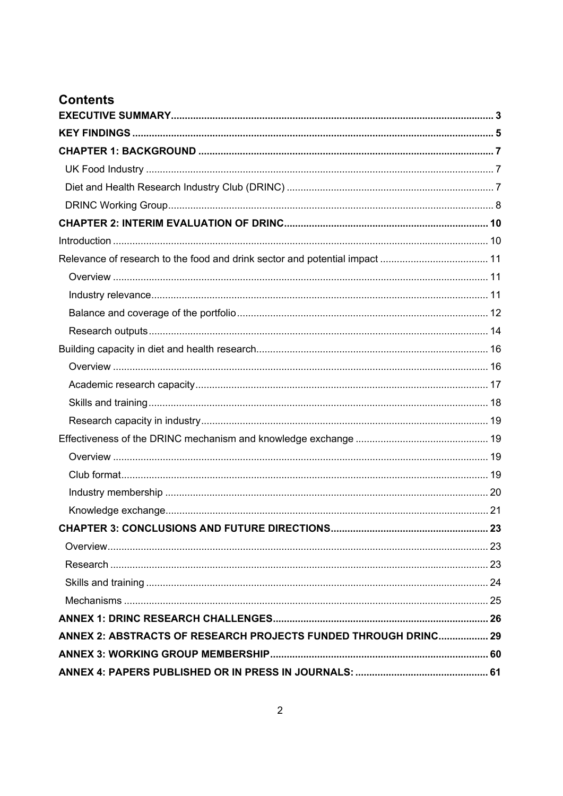## **Contents**

| <b>CHAPTER 3: CONCLUSIONS AND FUTURE DIRECTIONS.</b>            | 23 |
|-----------------------------------------------------------------|----|
|                                                                 |    |
|                                                                 |    |
|                                                                 |    |
|                                                                 |    |
|                                                                 |    |
| ANNEX 2: ABSTRACTS OF RESEARCH PROJECTS FUNDED THROUGH DRINC 29 |    |
|                                                                 |    |
|                                                                 |    |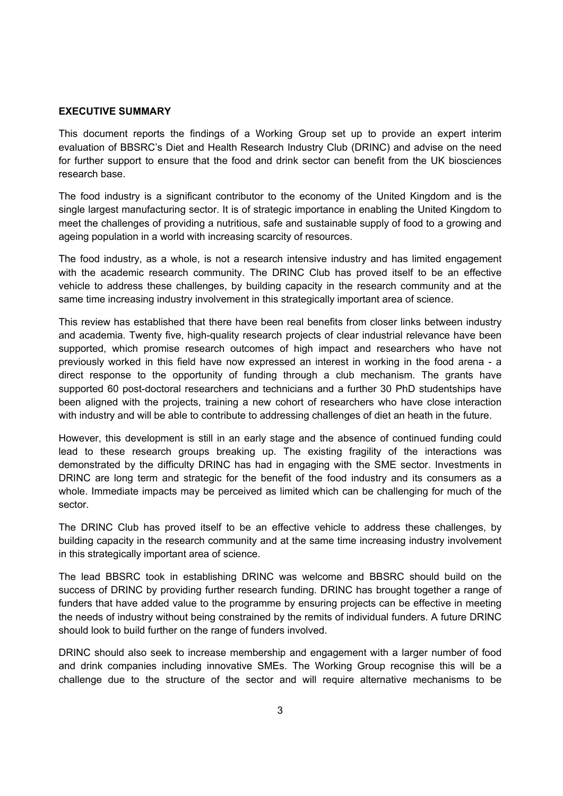#### **EXECUTIVE SUMMARY**

This document reports the findings of a Working Group set up to provide an expert interim evaluation of BBSRCs Diet and Health Research Industry Club (DRINC) and advise on the need for further support to ensure that the food and drink sector can benefit from the UK biosciences research base.

The food industry is a significant contributor to the economy of the United Kingdom and is the single largest manufacturing sector. It is of strategic importance in enabling the United Kingdom to meet the challenges of providing a nutritious, safe and sustainable supply of food to a growing and ageing population in a world with increasing scarcity of resources.

The food industry, as a whole, is not a research intensive industry and has limited engagement with the academic research community. The DRINC Club has proved itself to be an effective vehicle to address these challenges, by building capacity in the research community and at the same time increasing industry involvement in this strategically important area of science.

This review has established that there have been real benefits from closer links between industry and academia. Twenty five, high-quality research projects of clear industrial relevance have been supported, which promise research outcomes of high impact and researchers who have not previously worked in this field have now expressed an interest in working in the food arena - a direct response to the opportunity of funding through a club mechanism. The grants have supported 60 post-doctoral researchers and technicians and a further 30 PhD studentships have been aligned with the projects, training a new cohort of researchers who have close interaction with industry and will be able to contribute to addressing challenges of diet an heath in the future.

However, this development is still in an early stage and the absence of continued funding could lead to these research groups breaking up. The existing fragility of the interactions was demonstrated by the difficulty DRINC has had in engaging with the SME sector. Investments in DRINC are long term and strategic for the benefit of the food industry and its consumers as a whole. Immediate impacts may be perceived as limited which can be challenging for much of the sector.

The DRINC Club has proved itself to be an effective vehicle to address these challenges, by building capacity in the research community and at the same time increasing industry involvement in this strategically important area of science.

The lead BBSRC took in establishing DRINC was welcome and BBSRC should build on the success of DRINC by providing further research funding. DRINC has brought together a range of funders that have added value to the programme by ensuring projects can be effective in meeting the needs of industry without being constrained by the remits of individual funders. A future DRINC should look to build further on the range of funders involved.

DRINC should also seek to increase membership and engagement with a larger number of food and drink companies including innovative SMEs. The Working Group recognise this will be a challenge due to the structure of the sector and will require alternative mechanisms to be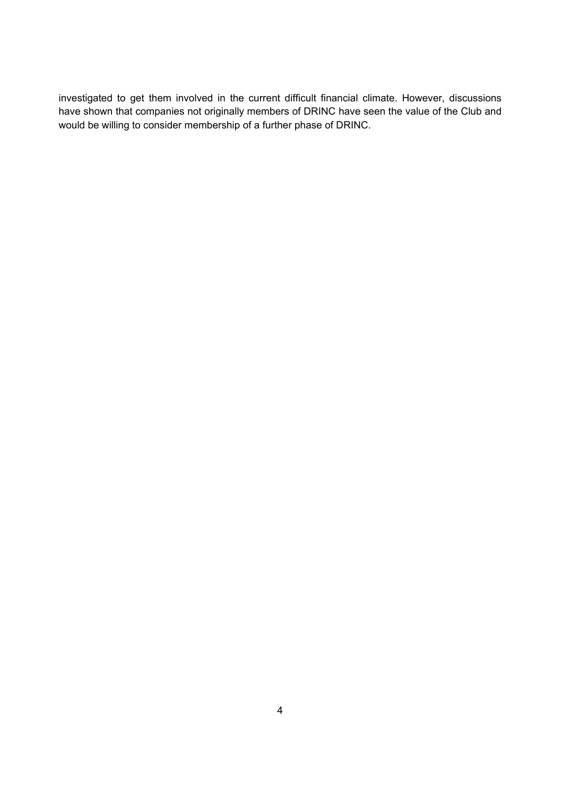investigated to get them involved in the current difficult financial climate. However, discussions have shown that companies not originally members of DRINC have seen the value of the Club and would be willing to consider membership of a further phase of DRINC.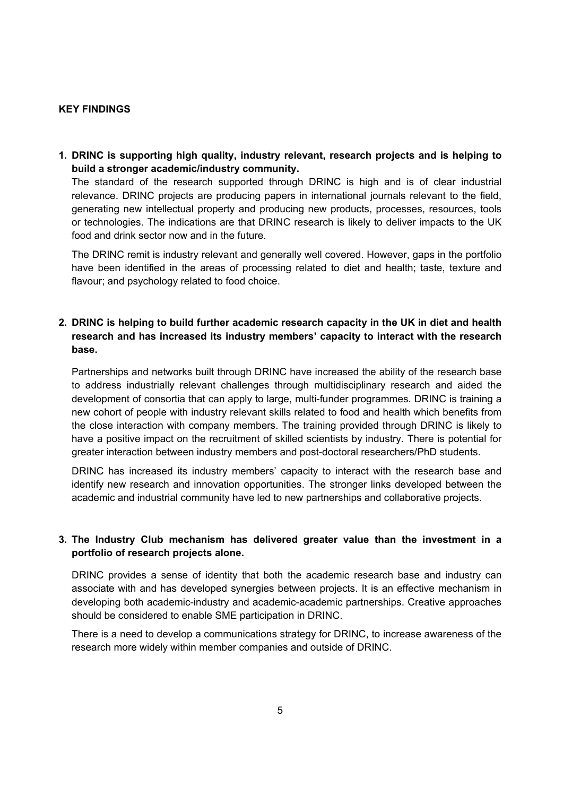#### **KEY FINDINGS**

**1. DRINC is supporting high quality, industry relevant, research projects and is helping to build a stronger academic/industry community.** 

The standard of the research supported through DRINC is high and is of clear industrial relevance. DRINC projects are producing papers in international journals relevant to the field, generating new intellectual property and producing new products, processes, resources, tools or technologies. The indications are that DRINC research is likely to deliver impacts to the UK food and drink sector now and in the future.

The DRINC remit is industry relevant and generally well covered. However, gaps in the portfolio have been identified in the areas of processing related to diet and health; taste, texture and flavour; and psychology related to food choice.

#### **2. DRINC is helping to build further academic research capacity in the UK in diet and health research and has increased its industry members' capacity to interact with the research base.**

Partnerships and networks built through DRINC have increased the ability of the research base to address industrially relevant challenges through multidisciplinary research and aided the development of consortia that can apply to large, multi-funder programmes. DRINC is training a new cohort of people with industry relevant skills related to food and health which benefits from the close interaction with company members. The training provided through DRINC is likely to have a positive impact on the recruitment of skilled scientists by industry. There is potential for greater interaction between industry members and post-doctoral researchers/PhD students.

DRINC has increased its industry members capacity to interact with the research base and identify new research and innovation opportunities. The stronger links developed between the academic and industrial community have led to new partnerships and collaborative projects.

#### **3. The Industry Club mechanism has delivered greater value than the investment in a portfolio of research projects alone.**

DRINC provides a sense of identity that both the academic research base and industry can associate with and has developed synergies between projects. It is an effective mechanism in developing both academic-industry and academic-academic partnerships. Creative approaches should be considered to enable SME participation in DRINC.

There is a need to develop a communications strategy for DRINC, to increase awareness of the research more widely within member companies and outside of DRINC.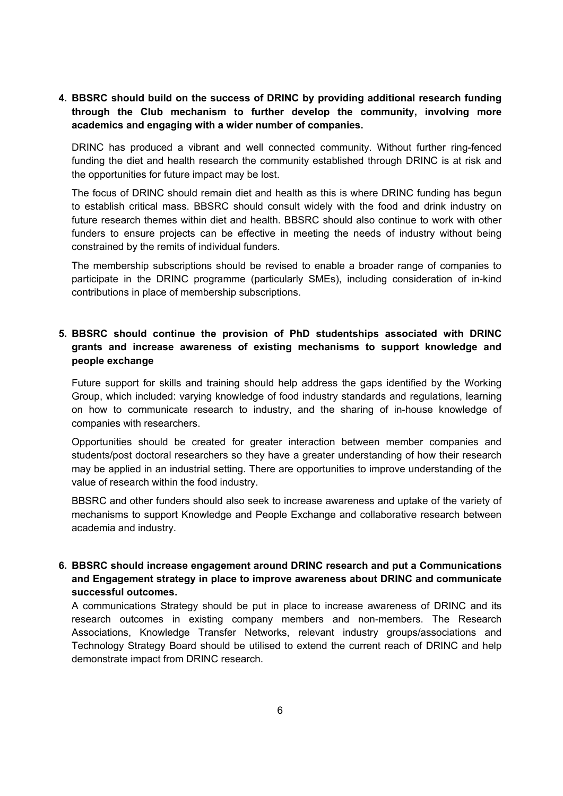**4. BBSRC should build on the success of DRINC by providing additional research funding through the Club mechanism to further develop the community, involving more academics and engaging with a wider number of companies.** 

DRINC has produced a vibrant and well connected community. Without further ring-fenced funding the diet and health research the community established through DRINC is at risk and the opportunities for future impact may be lost.

The focus of DRINC should remain diet and health as this is where DRINC funding has begun to establish critical mass. BBSRC should consult widely with the food and drink industry on future research themes within diet and health. BBSRC should also continue to work with other funders to ensure projects can be effective in meeting the needs of industry without being constrained by the remits of individual funders.

The membership subscriptions should be revised to enable a broader range of companies to participate in the DRINC programme (particularly SMEs), including consideration of in-kind contributions in place of membership subscriptions.

## **5. BBSRC should continue the provision of PhD studentships associated with DRINC grants and increase awareness of existing mechanisms to support knowledge and people exchange**

Future support for skills and training should help address the gaps identified by the Working Group, which included: varying knowledge of food industry standards and regulations, learning on how to communicate research to industry, and the sharing of in-house knowledge of companies with researchers.

Opportunities should be created for greater interaction between member companies and students/post doctoral researchers so they have a greater understanding of how their research may be applied in an industrial setting. There are opportunities to improve understanding of the value of research within the food industry.

BBSRC and other funders should also seek to increase awareness and uptake of the variety of mechanisms to support Knowledge and People Exchange and collaborative research between academia and industry.

### **6. BBSRC should increase engagement around DRINC research and put a Communications and Engagement strategy in place to improve awareness about DRINC and communicate successful outcomes.**

A communications Strategy should be put in place to increase awareness of DRINC and its research outcomes in existing company members and non-members. The Research Associations, Knowledge Transfer Networks, relevant industry groups/associations and Technology Strategy Board should be utilised to extend the current reach of DRINC and help demonstrate impact from DRINC research.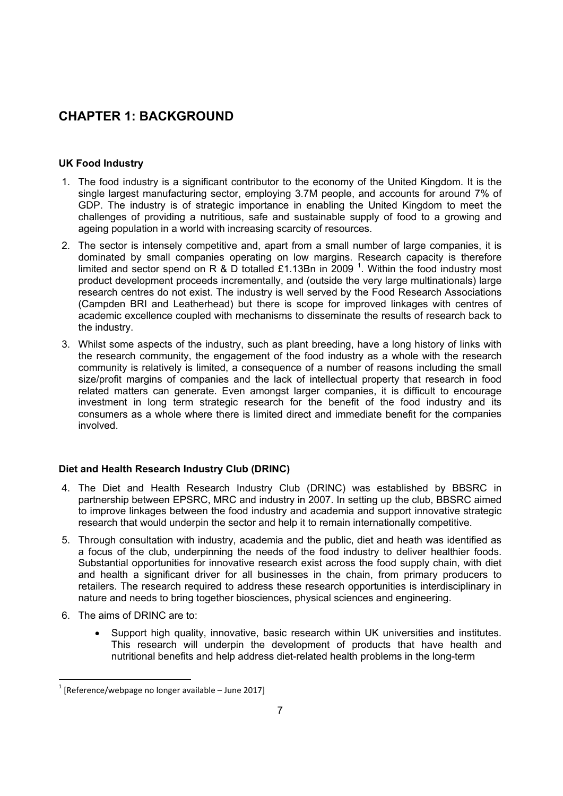## **CHAPTER 1: BACKGROUND**

## **UK Food Industry**

- 1. The food industry is a significant contributor to the economy of the United Kingdom. It is the single largest manufacturing sector, employing 3.7M people, and accounts for around 7% of GDP. The industry is of strategic importance in enabling the United Kingdom to meet the challenges of providing a nutritious, safe and sustainable supply of food to a growing and ageing population in a world with increasing scarcity of resources.
- 2. The sector is intensely competitive and, apart from a small number of large companies, it is dominated by small companies operating on low margins. Research capacity is therefore limited and sector spend on R & D totalled £1.13Bn in 2009<sup>1</sup>. Within the food industry most product development proceeds incrementally, and (outside the very large multinationals) large research centres do not exist. The industry is well served by the Food Research Associations (Campden BRI and Leatherhead) but there is scope for improved linkages with centres of academic excellence coupled with mechanisms to disseminate the results of research back to the industry.
- 3. Whilst some aspects of the industry, such as plant breeding, have a long history of links with the research community, the engagement of the food industry as a whole with the research community is relatively is limited, a consequence of a number of reasons including the small size/profit margins of companies and the lack of intellectual property that research in food related matters can generate. Even amongst larger companies, it is difficult to encourage investment in long term strategic research for the benefit of the food industry and its consumers as a whole where there is limited direct and immediate benefit for the companies involved.

#### **Diet and Health Research Industry Club (DRINC)**

- 4. The Diet and Health Research Industry Club (DRINC) was established by BBSRC in partnership between EPSRC, MRC and industry in 2007. In setting up the club, BBSRC aimed to improve linkages between the food industry and academia and support innovative strategic research that would underpin the sector and help it to remain internationally competitive.
- 5. Through consultation with industry, academia and the public, diet and heath was identified as a focus of the club, underpinning the needs of the food industry to deliver healthier foods. Substantial opportunities for innovative research exist across the food supply chain, with diet and health a significant driver for all businesses in the chain, from primary producers to retailers. The research required to address these research opportunities is interdisciplinary in nature and needs to bring together biosciences, physical sciences and engineering.
- 6. The aims of DRINC are to:
	- Support high quality, innovative, basic research within UK universities and institutes. This research will underpin the development of products that have health and nutritional benefits and help address diet-related health problems in the long-term

 $1$  [Reference/webpage no longer available – June 2017]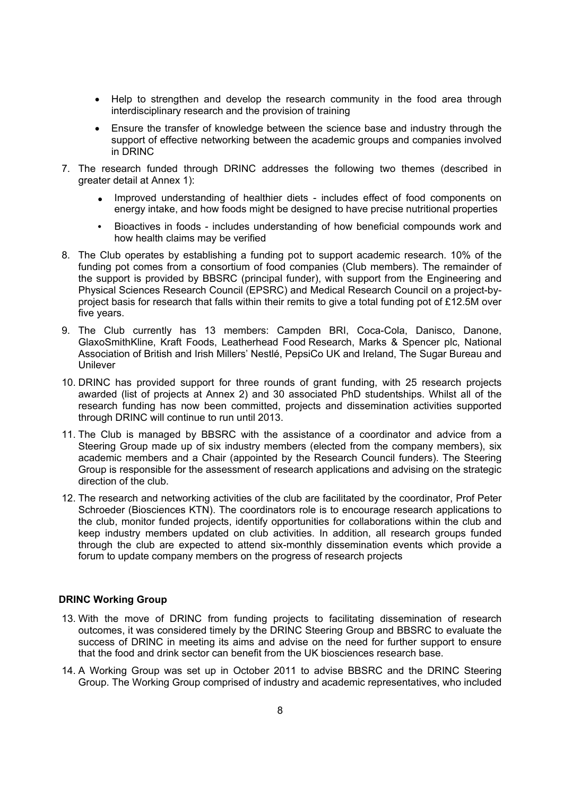- Help to strengthen and develop the research community in the food area through interdisciplinary research and the provision of training
- Ensure the transfer of knowledge between the science base and industry through the support of effective networking between the academic groups and companies involved in DRINC
- 7. The research funded through DRINC addresses the following two themes (described in greater detail at Annex 1):
	- Improved understanding of healthier diets includes effect of food components on energy intake, and how foods might be designed to have precise nutritional properties
	- Bioactives in foods includes understanding of how beneficial compounds work and how health claims may be verified
- 8. The Club operates by establishing a funding pot to support academic research. 10% of the funding pot comes from a consortium of food companies (Club members). The remainder of the support is provided by BBSRC (principal funder), with support from the Engineering and Physical Sciences Research Council (EPSRC) and Medical Research Council on a project-byproject basis for research that falls within their remits to give a total funding pot of £12.5M over five years.
- 9. The Club currently has 13 members: Campden BRI, Coca-Cola, Danisco, Danone, GlaxoSmithKline, Kraft Foods, Leatherhead Food Research, Marks & Spencer plc, National Association of British and Irish Millers Nestl, PepsiCo UK and Ireland, The Sugar Bureau and Unilever
- 10. DRINC has provided support for three rounds of grant funding, with 25 research projects awarded (list of projects at Annex 2) and 30 associated PhD studentships. Whilst all of the research funding has now been committed, projects and dissemination activities supported through DRINC will continue to run until 2013.
- 11. The Club is managed by BBSRC with the assistance of a coordinator and advice from a Steering Group made up of six industry members (elected from the company members), six academic members and a Chair (appointed by the Research Council funders). The Steering Group is responsible for the assessment of research applications and advising on the strategic direction of the club.
- 12. The research and networking activities of the club are facilitated by the coordinator, Prof Peter Schroeder (Biosciences KTN). The coordinators role is to encourage research applications to the club, monitor funded projects, identify opportunities for collaborations within the club and keep industry members updated on club activities. In addition, all research groups funded through the club are expected to attend six-monthly dissemination events which provide a forum to update company members on the progress of research projects

#### **DRINC Working Group**

- 13. With the move of DRINC from funding projects to facilitating dissemination of research outcomes, it was considered timely by the DRINC Steering Group and BBSRC to evaluate the success of DRINC in meeting its aims and advise on the need for further support to ensure that the food and drink sector can benefit from the UK biosciences research base.
- 14. A Working Group was set up in October 2011 to advise BBSRC and the DRINC Steering Group. The Working Group comprised of industry and academic representatives, who included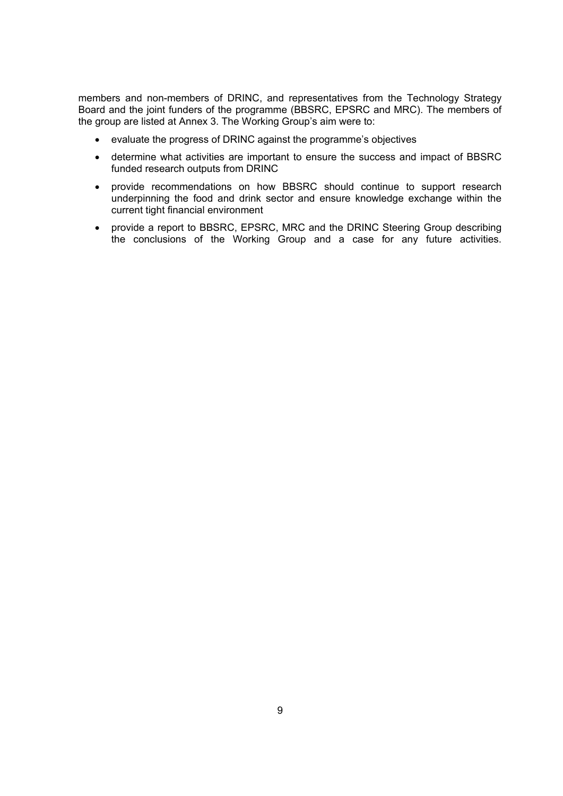members and non-members of DRINC, and representatives from the Technology Strategy Board and the joint funders of the programme (BBSRC, EPSRC and MRC). The members of the group are listed at Annex 3. The Working Groups aim were to:

- evaluate the progress of DRINC against the programmes objectives
- determine what activities are important to ensure the success and impact of BBSRC funded research outputs from DRINC
- provide recommendations on how BBSRC should continue to support research underpinning the food and drink sector and ensure knowledge exchange within the current tight financial environment
- provide a report to BBSRC, EPSRC, MRC and the DRINC Steering Group describing the conclusions of the Working Group and a case for any future activities.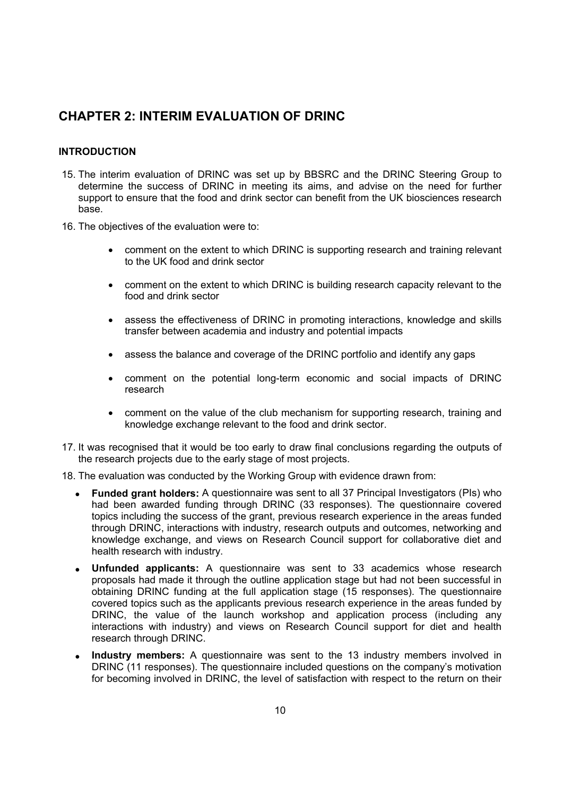## **CHAPTER 2: INTERIM EVALUATION OF DRINC**

#### **INTRODUCTION**

- 15. The interim evaluation of DRINC was set up by BBSRC and the DRINC Steering Group to determine the success of DRINC in meeting its aims, and advise on the need for further support to ensure that the food and drink sector can benefit from the UK biosciences research base.
- 16. The objectives of the evaluation were to:
	- comment on the extent to which DRINC is supporting research and training relevant to the UK food and drink sector
	- comment on the extent to which DRINC is building research capacity relevant to the food and drink sector
	- assess the effectiveness of DRINC in promoting interactions, knowledge and skills transfer between academia and industry and potential impacts
	- assess the balance and coverage of the DRINC portfolio and identify any gaps
	- comment on the potential long-term economic and social impacts of DRINC research
	- comment on the value of the club mechanism for supporting research, training and knowledge exchange relevant to the food and drink sector.
- 17. It was recognised that it would be too early to draw final conclusions regarding the outputs of the research projects due to the early stage of most projects.
- 18. The evaluation was conducted by the Working Group with evidence drawn from:
	- **Funded grant holders:** A questionnaire was sent to all 37 Principal Investigators (PIs) who had been awarded funding through DRINC (33 responses). The questionnaire covered topics including the success of the grant, previous research experience in the areas funded through DRINC, interactions with industry, research outputs and outcomes, networking and knowledge exchange, and views on Research Council support for collaborative diet and health research with industry.
	- **Unfunded applicants:** A questionnaire was sent to 33 academics whose research proposals had made it through the outline application stage but had not been successful in obtaining DRINC funding at the full application stage (15 responses). The questionnaire covered topics such as the applicants previous research experience in the areas funded by DRINC, the value of the launch workshop and application process (including any interactions with industry) and views on Research Council support for diet and health research through DRINC.
	- **Industry members:** A questionnaire was sent to the 13 industry members involved in DRINC (11 responses). The questionnaire included questions on the company s motivation for becoming involved in DRINC, the level of satisfaction with respect to the return on their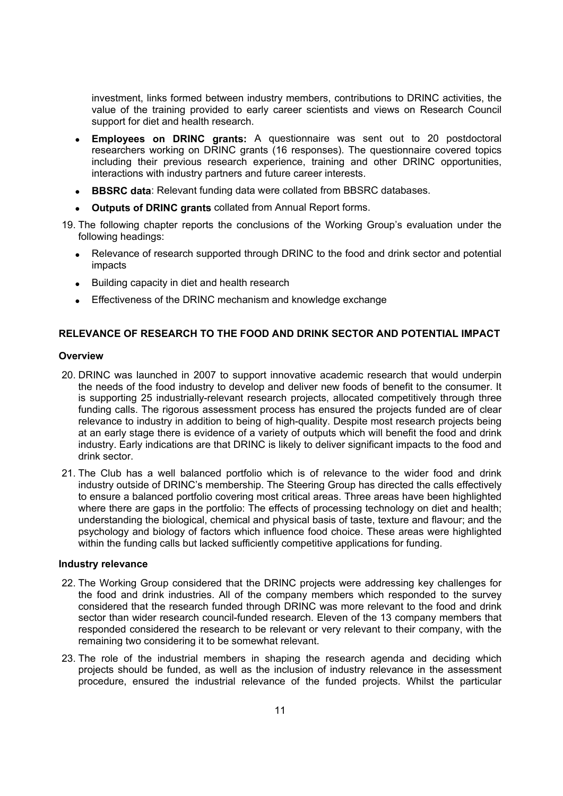investment, links formed between industry members, contributions to DRINC activities, the value of the training provided to early career scientists and views on Research Council support for diet and health research.

- **Employees on DRINC grants:** A questionnaire was sent out to 20 postdoctoral researchers working on DRINC grants (16 responses). The questionnaire covered topics including their previous research experience, training and other DRINC opportunities. interactions with industry partners and future career interests.
- **BBSRC data**: Relevant funding data were collated from BBSRC databases.
- **Outputs of DRINC grants** collated from Annual Report forms.
- 19. The following chapter reports the conclusions of the Working Groups evaluation under the following headings:
	- Relevance of research supported through DRINC to the food and drink sector and potential impacts
	- Building capacity in diet and health research
	- Effectiveness of the DRINC mechanism and knowledge exchange

#### **RELEVANCE OF RESEARCH TO THE FOOD AND DRINK SECTOR AND POTENTIAL IMPACT**

#### **Overview**

- 20. DRINC was launched in 2007 to support innovative academic research that would underpin the needs of the food industry to develop and deliver new foods of benefit to the consumer. It is supporting 25 industrially-relevant research projects, allocated competitively through three funding calls. The rigorous assessment process has ensured the projects funded are of clear relevance to industry in addition to being of high-quality. Despite most research projects being at an early stage there is evidence of a variety of outputs which will benefit the food and drink industry. Early indications are that DRINC is likely to deliver significant impacts to the food and drink sector.
- 21. The Club has a well balanced portfolio which is of relevance to the wider food and drink industry outside of DRINC s membership. The Steering Group has directed the calls effectively to ensure a balanced portfolio covering most critical areas. Three areas have been highlighted where there are gaps in the portfolio: The effects of processing technology on diet and health; understanding the biological, chemical and physical basis of taste, texture and flavour; and the psychology and biology of factors which influence food choice. These areas were highlighted within the funding calls but lacked sufficiently competitive applications for funding.

#### **Industry relevance**

- 22. The Working Group considered that the DRINC projects were addressing key challenges for the food and drink industries. All of the company members which responded to the survey considered that the research funded through DRINC was more relevant to the food and drink sector than wider research council-funded research. Eleven of the 13 company members that responded considered the research to be relevant or very relevant to their company, with the remaining two considering it to be somewhat relevant.
- 23. The role of the industrial members in shaping the research agenda and deciding which projects should be funded, as well as the inclusion of industry relevance in the assessment procedure, ensured the industrial relevance of the funded projects. Whilst the particular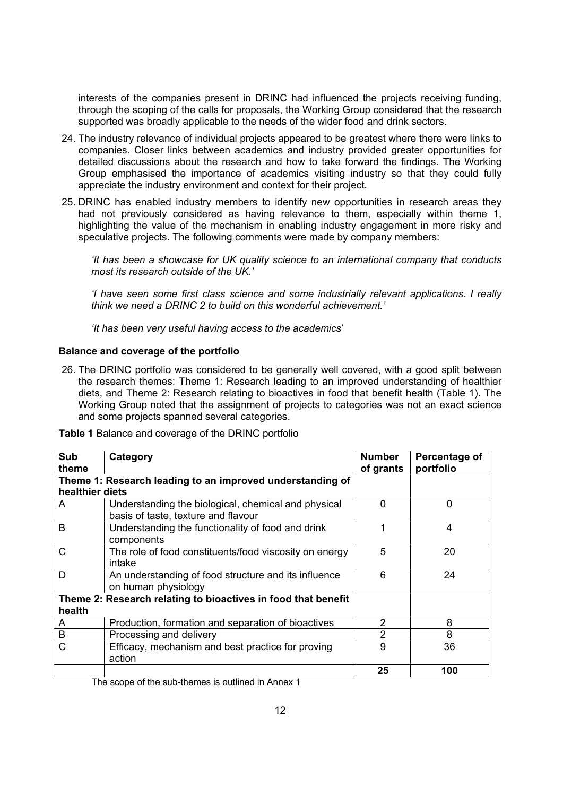interests of the companies present in DRINC had influenced the projects receiving funding, through the scoping of the calls for proposals, the Working Group considered that the research supported was broadly applicable to the needs of the wider food and drink sectors.

- 24. The industry relevance of individual projects appeared to be greatest where there were links to companies. Closer links between academics and industry provided greater opportunities for detailed discussions about the research and how to take forward the findings. The Working Group emphasised the importance of academics visiting industry so that they could fully appreciate the industry environment and context for their project.
- 25. DRINC has enabled industry members to identify new opportunities in research areas they had not previously considered as having relevance to them, especially within theme 1, highlighting the value of the mechanism in enabling industry engagement in more risky and speculative projects. The following comments were made by company members:

*'It has been a showcase for UK quality science to an international company that conducts most its research outside of the UK.'* 

*'I have seen some first class science and some industrially relevant applications. I really think we need a DRINC 2 to build on this wonderful achievement.'* 

*'It has been very useful having access to the academics*

#### **Balance and coverage of the portfolio**

26. The DRINC portfolio was considered to be generally well covered, with a good split between the research themes: Theme 1: Research leading to an improved understanding of healthier diets, and Theme 2: Research relating to bioactives in food that benefit health (Table 1). The Working Group noted that the assignment of projects to categories was not an exact science and some projects spanned several categories.

| Sub             | Category                                                      | <b>Number</b>  | Percentage of |
|-----------------|---------------------------------------------------------------|----------------|---------------|
| theme           |                                                               | of grants      | portfolio     |
|                 | Theme 1: Research leading to an improved understanding of     |                |               |
| healthier diets |                                                               |                |               |
| A               | Understanding the biological, chemical and physical           | $\Omega$       | $\Omega$      |
|                 | basis of taste, texture and flavour                           |                |               |
| B               | Understanding the functionality of food and drink             |                | 4             |
|                 | components                                                    |                |               |
| C               | The role of food constituents/food viscosity on energy        | 5              | 20            |
|                 | intake                                                        |                |               |
| D               | An understanding of food structure and its influence          | 6              | 24            |
|                 | on human physiology                                           |                |               |
|                 | Theme 2: Research relating to bioactives in food that benefit |                |               |
| health          |                                                               |                |               |
| A               | Production, formation and separation of bioactives            | $\overline{2}$ | 8             |
| B               | Processing and delivery                                       | $\overline{2}$ | 8             |
| C               | Efficacy, mechanism and best practice for proving             | 9              | 36            |
|                 | action                                                        |                |               |
|                 |                                                               | 25             | 100           |

**Table 1** Balance and coverage of the DRINC portfolio

The scope of the sub-themes is outlined in Annex 1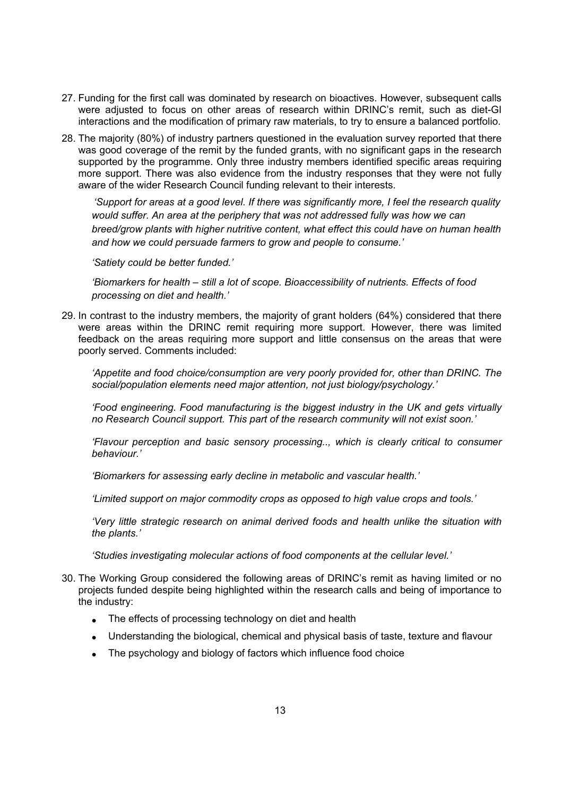- 27. Funding for the first call was dominated by research on bioactives. However, subsequent calls were adjusted to focus on other areas of research within DRINCs remit, such as diet-GI interactions and the modification of primary raw materials, to try to ensure a balanced portfolio.
- 28. The majority (80%) of industry partners questioned in the evaluation survey reported that there was good coverage of the remit by the funded grants, with no significant gaps in the research supported by the programme. Only three industry members identified specific areas requiring more support. There was also evidence from the industry responses that they were not fully aware of the wider Research Council funding relevant to their interests.

*'Support for areas at a good level. If there was significantly more, I feel the research quality would suffer. An area at the periphery that was not addressed fully was how we can breed/grow plants with higher nutritive content, what effect this could have on human health and how we could persuade farmers to grow and people to consume.'* 

*'Satiety could be better funded.'* 

*'Biomarkers for health – still a lot of scope. Bioaccessibility of nutrients. Effects of food processing on diet and health.'* 

29. In contrast to the industry members, the majority of grant holders (64%) considered that there were areas within the DRINC remit requiring more support. However, there was limited feedback on the areas requiring more support and little consensus on the areas that were poorly served. Comments included:

*'Appetite and food choice/consumption are very poorly provided for, other than DRINC. The social/population elements need major attention, not just biology/psychology.'* 

*'Food engineering. Food manufacturing is the biggest industry in the UK and gets virtually no Research Council support. This part of the research community will not exist soon.'* 

*'Flavour perception and basic sensory processing.., which is clearly critical to consumer behaviour.'* 

*'Biomarkers for assessing early decline in metabolic and vascular health.'* 

*'Limited support on major commodity crops as opposed to high value crops and tools.'* 

*'Very little strategic research on animal derived foods and health unlike the situation with the plants.'* 

*'Studies investigating molecular actions of food components at the cellular level.'* 

- 30. The Working Group considered the following areas of DRINCs remit as having limited or no projects funded despite being highlighted within the research calls and being of importance to the industry:
	- The effects of processing technology on diet and health
	- Understanding the biological, chemical and physical basis of taste, texture and flavour
	- The psychology and biology of factors which influence food choice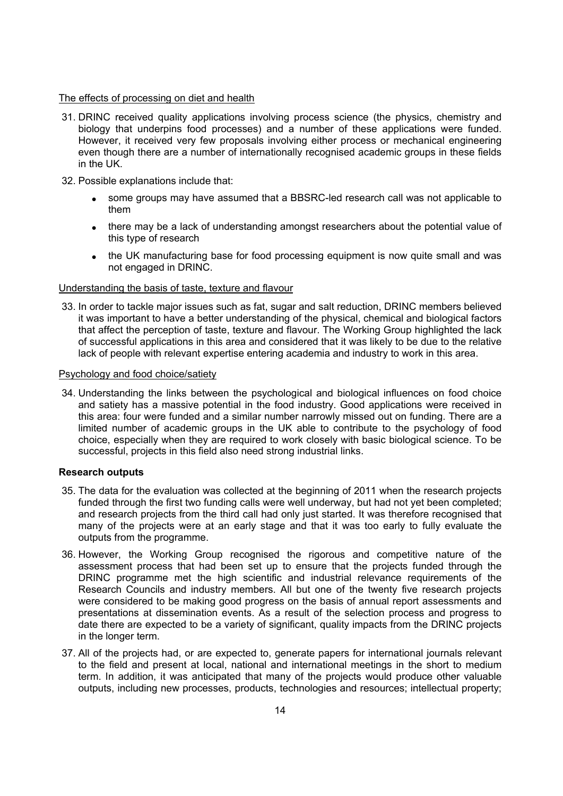#### The effects of processing on diet and health

- 31. DRINC received quality applications involving process science (the physics, chemistry and biology that underpins food processes) and a number of these applications were funded. However, it received very few proposals involving either process or mechanical engineering even though there are a number of internationally recognised academic groups in these fields in the UK.
- 32. Possible explanations include that:
	- some groups may have assumed that a BBSRC-led research call was not applicable to them
	- there may be a lack of understanding amongst researchers about the potential value of this type of research
	- the UK manufacturing base for food processing equipment is now quite small and was not engaged in DRINC.

#### Understanding the basis of taste, texture and flavour

33. In order to tackle major issues such as fat, sugar and salt reduction, DRINC members believed it was important to have a better understanding of the physical, chemical and biological factors that affect the perception of taste, texture and flavour. The Working Group highlighted the lack of successful applications in this area and considered that it was likely to be due to the relative lack of people with relevant expertise entering academia and industry to work in this area.

#### Psychology and food choice/satiety

34. Understanding the links between the psychological and biological influences on food choice and satiety has a massive potential in the food industry. Good applications were received in this area: four were funded and a similar number narrowly missed out on funding. There are a limited number of academic groups in the UK able to contribute to the psychology of food choice, especially when they are required to work closely with basic biological science. To be successful, projects in this field also need strong industrial links.

#### **Research outputs**

- 35. The data for the evaluation was collected at the beginning of 2011 when the research projects funded through the first two funding calls were well underway, but had not yet been completed; and research projects from the third call had only just started. It was therefore recognised that many of the projects were at an early stage and that it was too early to fully evaluate the outputs from the programme.
- 36. However, the Working Group recognised the rigorous and competitive nature of the assessment process that had been set up to ensure that the projects funded through the DRINC programme met the high scientific and industrial relevance requirements of the Research Councils and industry members. All but one of the twenty five research projects were considered to be making good progress on the basis of annual report assessments and presentations at dissemination events. As a result of the selection process and progress to date there are expected to be a variety of significant, quality impacts from the DRINC projects in the longer term.
- 37. All of the projects had, or are expected to, generate papers for international journals relevant to the field and present at local, national and international meetings in the short to medium term. In addition, it was anticipated that many of the projects would produce other valuable outputs, including new processes, products, technologies and resources; intellectual property;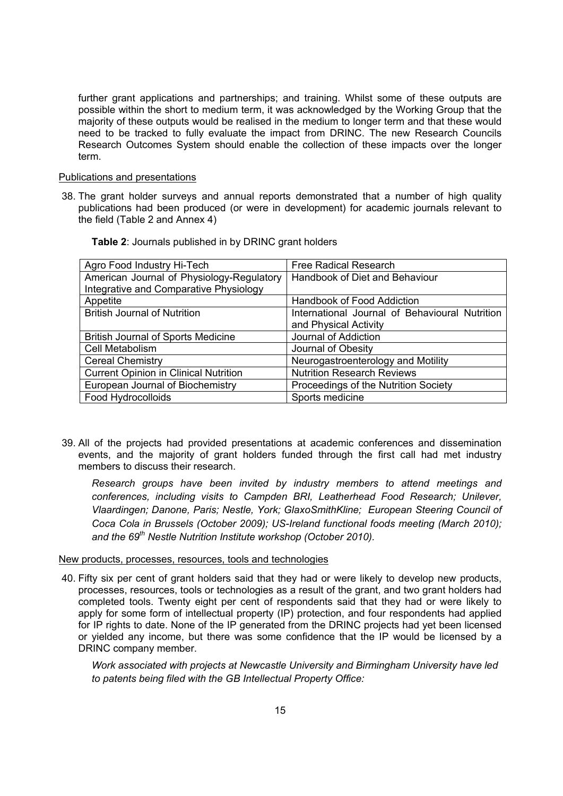further grant applications and partnerships; and training. Whilst some of these outputs are possible within the short to medium term, it was acknowledged by the Working Group that the majority of these outputs would be realised in the medium to longer term and that these would need to be tracked to fully evaluate the impact from DRINC. The new Research Councils Research Outcomes System should enable the collection of these impacts over the longer term.

#### Publications and presentations

38. The grant holder surveys and annual reports demonstrated that a number of high quality publications had been produced (or were in development) for academic journals relevant to the field (Table 2 and Annex 4)

| Agro Food Industry Hi-Tech                   | <b>Free Radical Research</b>                   |
|----------------------------------------------|------------------------------------------------|
| American Journal of Physiology-Regulatory    | Handbook of Diet and Behaviour                 |
| Integrative and Comparative Physiology       |                                                |
| Appetite                                     | Handbook of Food Addiction                     |
| <b>British Journal of Nutrition</b>          | International Journal of Behavioural Nutrition |
|                                              | and Physical Activity                          |
| <b>British Journal of Sports Medicine</b>    | Journal of Addiction                           |
| Cell Metabolism                              | Journal of Obesity                             |
| <b>Cereal Chemistry</b>                      | Neurogastroenterology and Motility             |
| <b>Current Opinion in Clinical Nutrition</b> | <b>Nutrition Research Reviews</b>              |
| European Journal of Biochemistry             | Proceedings of the Nutrition Society           |
| Food Hydrocolloids                           | Sports medicine                                |

**Table 2**: Journals published in by DRINC grant holders

39. All of the projects had provided presentations at academic conferences and dissemination events, and the majority of grant holders funded through the first call had met industry members to discuss their research.

*Research groups have been invited by industry members to attend meetings and conferences, including visits to Campden BRI, Leatherhead Food Research; Unilever, Vlaardingen; Danone, Paris; Nestle, York; GlaxoSmithKline; European Steering Council of Coca Cola in Brussels (October 2009); US-Ireland functional foods meeting (March 2010);*  and the 69<sup>th</sup> Nestle Nutrition Institute workshop (October 2010).

#### New products, processes, resources, tools and technologies

40. Fifty six per cent of grant holders said that they had or were likely to develop new products, processes, resources, tools or technologies as a result of the grant, and two grant holders had completed tools. Twenty eight per cent of respondents said that they had or were likely to apply for some form of intellectual property (IP) protection, and four respondents had applied for IP rights to date. None of the IP generated from the DRINC projects had yet been licensed or yielded any income, but there was some confidence that the IP would be licensed by a DRINC company member.

*Work associated with projects at Newcastle University and Birmingham University have led to patents being filed with the GB Intellectual Property Office:*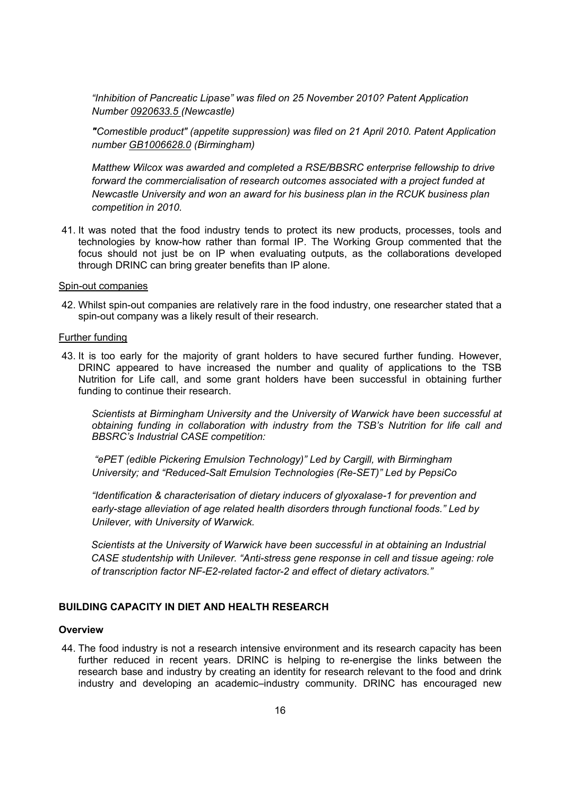*"Inhibition of Pancreatic Lipase" was filed on 25 November 2010? Patent Application Number 0920633.5 (Newcastle)* 

*"Comestible product" (appetite suppression) was filed on 21 April 2010. Patent Application number GB1006628.0 (Birmingham)* 

*Matthew Wilcox was awarded and completed a RSE/BBSRC enterprise fellowship to drive forward the commercialisation of research outcomes associated with a project funded at Newcastle University and won an award for his business plan in the RCUK business plan competition in 2010.* 

41. It was noted that the food industry tends to protect its new products, processes, tools and technologies by know-how rather than formal IP. The Working Group commented that the focus should not just be on IP when evaluating outputs, as the collaborations developed through DRINC can bring greater benefits than IP alone.

#### Spin-out companies

42. Whilst spin-out companies are relatively rare in the food industry, one researcher stated that a spin-out company was a likely result of their research.

#### Further funding

43. It is too early for the majority of grant holders to have secured further funding. However, DRINC appeared to have increased the number and quality of applications to the TSB Nutrition for Life call, and some grant holders have been successful in obtaining further funding to continue their research.

*Scientists at Birmingham University and the University of Warwick have been successful at obtaining funding in collaboration with industry from the TSB's Nutrition for life call and BBSRC's Industrial CASE competition:* 

*"ePET (edible Pickering Emulsion Technology)" Led by Cargill, with Birmingham University; and "Reduced-Salt Emulsion Technologies (Re-SET)" Led by PepsiCo*

*"Identification & characterisation of dietary inducers of glyoxalase-1 for prevention and early-stage alleviation of age related health disorders through functional foods." Led by Unilever, with University of Warwick.* 

*Scientists at the University of Warwick have been successful in at obtaining an Industrial CASE studentship with Unilever. "Anti-stress gene response in cell and tissue ageing: role of transcription factor NF-E2-related factor-2 and effect of dietary activators."*

#### **BUILDING CAPACITY IN DIET AND HEALTH RESEARCH**

#### **Overview**

44. The food industry is not a research intensive environment and its research capacity has been further reduced in recent years. DRINC is helping to re-energise the links between the research base and industry by creating an identity for research relevant to the food and drink industry and developing an academic industry community. DRINC has encouraged new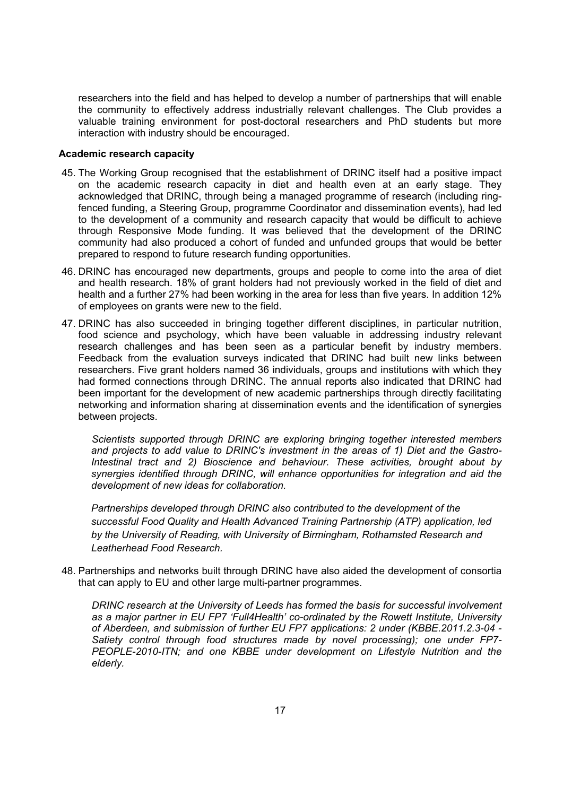researchers into the field and has helped to develop a number of partnerships that will enable the community to effectively address industrially relevant challenges. The Club provides a valuable training environment for post-doctoral researchers and PhD students but more interaction with industry should be encouraged.

#### **Academic research capacity**

- 45. The Working Group recognised that the establishment of DRINC itself had a positive impact on the academic research capacity in diet and health even at an early stage. They acknowledged that DRINC, through being a managed programme of research (including ringfenced funding, a Steering Group, programme Coordinator and dissemination events), had led to the development of a community and research capacity that would be difficult to achieve through Responsive Mode funding. It was believed that the development of the DRINC community had also produced a cohort of funded and unfunded groups that would be better prepared to respond to future research funding opportunities.
- 46. DRINC has encouraged new departments, groups and people to come into the area of diet and health research. 18% of grant holders had not previously worked in the field of diet and health and a further 27% had been working in the area for less than five years. In addition 12% of employees on grants were new to the field.
- 47. DRINC has also succeeded in bringing together different disciplines, in particular nutrition, food science and psychology, which have been valuable in addressing industry relevant research challenges and has been seen as a particular benefit by industry members. Feedback from the evaluation surveys indicated that DRINC had built new links between researchers. Five grant holders named 36 individuals, groups and institutions with which they had formed connections through DRINC. The annual reports also indicated that DRINC had been important for the development of new academic partnerships through directly facilitating networking and information sharing at dissemination events and the identification of synergies between projects.

*Scientists supported through DRINC are exploring bringing together interested members and projects to add value to DRINC's investment in the areas of 1) Diet and the Gastro-Intestinal tract and 2) Bioscience and behaviour. These activities, brought about by synergies identified through DRINC, will enhance opportunities for integration and aid the development of new ideas for collaboration.* 

*Partnerships developed through DRINC also contributed to the development of the successful Food Quality and Health Advanced Training Partnership (ATP) application, led by the University of Reading, with University of Birmingham, Rothamsted Research and Leatherhead Food Research.* 

48. Partnerships and networks built through DRINC have also aided the development of consortia that can apply to EU and other large multi-partner programmes.

*DRINC research at the University of Leeds has formed the basis for successful involvement as a major partner in EU FP7 'Full4Health' co-ordinated by the Rowett Institute, University of Aberdeen, and submission of further EU FP7 applications: 2 under (KBBE.2011.2.3-04 - Satiety control through food structures made by novel processing); one under FP7- PEOPLE-2010-ITN; and one KBBE under development on Lifestyle Nutrition and the elderly.*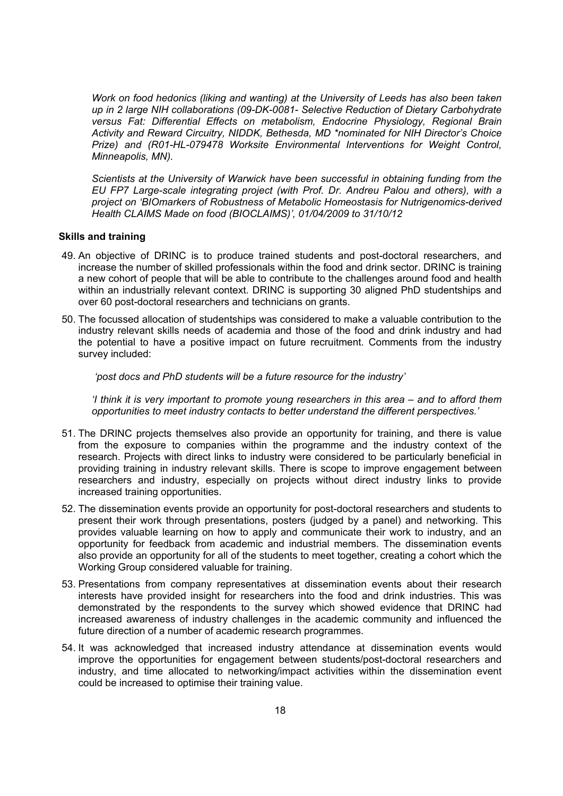*Work on food hedonics (liking and wanting) at the University of Leeds has also been taken up in 2 large NIH collaborations (09-DK-0081- Selective Reduction of Dietary Carbohydrate versus Fat: Differential Effects on metabolism, Endocrine Physiology, Regional Brain Activity and Reward Circuitry, NIDDK, Bethesda, MD \*nominated for NIH Director's Choice Prize) and (R01-HL-079478 Worksite Environmental Interventions for Weight Control, Minneapolis, MN).* 

*Scientists at the University of Warwick have been successful in obtaining funding from the EU FP7 Large-scale integrating project (with Prof. Dr. Andreu Palou and others), with a project on 'BIOmarkers of Robustness of Metabolic Homeostasis for Nutrigenomics-derived Health CLAIMS Made on food (BIOCLAIMS)', 01/04/2009 to 31/10/12* 

#### **Skills and training**

- 49. An objective of DRINC is to produce trained students and post-doctoral researchers, and increase the number of skilled professionals within the food and drink sector. DRINC is training a new cohort of people that will be able to contribute to the challenges around food and health within an industrially relevant context. DRINC is supporting 30 aligned PhD studentships and over 60 post-doctoral researchers and technicians on grants.
- 50. The focussed allocation of studentships was considered to make a valuable contribution to the industry relevant skills needs of academia and those of the food and drink industry and had the potential to have a positive impact on future recruitment. Comments from the industry survey included:

 *'post docs and PhD students will be a future resource for the industry'* 

*'I think it is very important to promote young researchers in this area – and to afford them opportunities to meet industry contacts to better understand the different perspectives.'* 

- 51. The DRINC projects themselves also provide an opportunity for training, and there is value from the exposure to companies within the programme and the industry context of the research. Projects with direct links to industry were considered to be particularly beneficial in providing training in industry relevant skills. There is scope to improve engagement between researchers and industry, especially on projects without direct industry links to provide increased training opportunities.
- 52. The dissemination events provide an opportunity for post-doctoral researchers and students to present their work through presentations, posters (judged by a panel) and networking. This provides valuable learning on how to apply and communicate their work to industry, and an opportunity for feedback from academic and industrial members. The dissemination events also provide an opportunity for all of the students to meet together, creating a cohort which the Working Group considered valuable for training.
- 53. Presentations from company representatives at dissemination events about their research interests have provided insight for researchers into the food and drink industries. This was demonstrated by the respondents to the survey which showed evidence that DRINC had increased awareness of industry challenges in the academic community and influenced the future direction of a number of academic research programmes.
- 54. It was acknowledged that increased industry attendance at dissemination events would improve the opportunities for engagement between students/post-doctoral researchers and industry, and time allocated to networking/impact activities within the dissemination event could be increased to optimise their training value.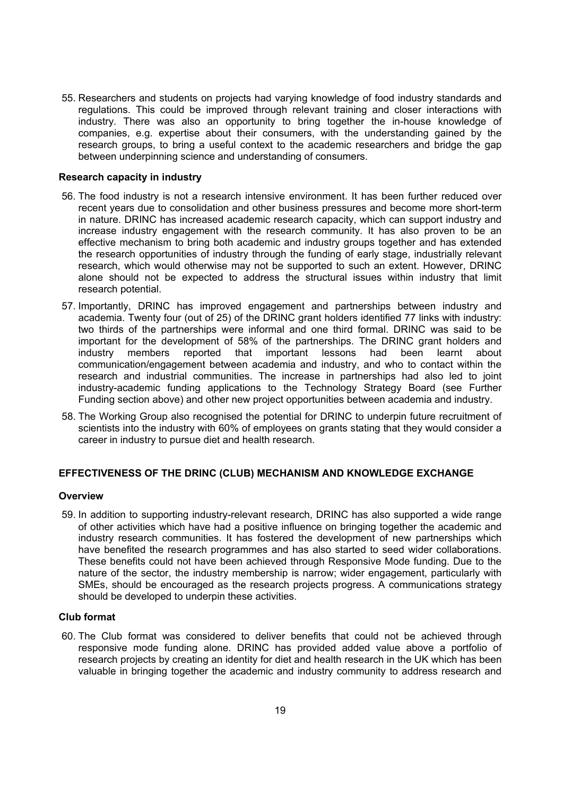55. Researchers and students on projects had varying knowledge of food industry standards and regulations. This could be improved through relevant training and closer interactions with industry. There was also an opportunity to bring together the in-house knowledge of companies, e.g. expertise about their consumers, with the understanding gained by the research groups, to bring a useful context to the academic researchers and bridge the gap between underpinning science and understanding of consumers.

#### **Research capacity in industry**

- 56. The food industry is not a research intensive environment. It has been further reduced over recent years due to consolidation and other business pressures and become more short-term in nature. DRINC has increased academic research capacity, which can support industry and increase industry engagement with the research community. It has also proven to be an effective mechanism to bring both academic and industry groups together and has extended the research opportunities of industry through the funding of early stage, industrially relevant research, which would otherwise may not be supported to such an extent. However, DRINC alone should not be expected to address the structural issues within industry that limit research potential.
- 57. Importantly, DRINC has improved engagement and partnerships between industry and academia. Twenty four (out of 25) of the DRINC grant holders identified 77 links with industry: two thirds of the partnerships were informal and one third formal. DRINC was said to be important for the development of 58% of the partnerships. The DRINC grant holders and industry members reported that important lessons had been learnt about communication/engagement between academia and industry, and who to contact within the research and industrial communities. The increase in partnerships had also led to joint industry-academic funding applications to the Technology Strategy Board (see Further Funding section above) and other new project opportunities between academia and industry.
- 58. The Working Group also recognised the potential for DRINC to underpin future recruitment of scientists into the industry with 60% of employees on grants stating that they would consider a career in industry to pursue diet and health research.

#### **EFFECTIVENESS OF THE DRINC (CLUB) MECHANISM AND KNOWLEDGE EXCHANGE**

#### **Overview**

59. In addition to supporting industry-relevant research, DRINC has also supported a wide range of other activities which have had a positive influence on bringing together the academic and industry research communities. It has fostered the development of new partnerships which have benefited the research programmes and has also started to seed wider collaborations. These benefits could not have been achieved through Responsive Mode funding. Due to the nature of the sector, the industry membership is narrow; wider engagement, particularly with SMEs, should be encouraged as the research projects progress. A communications strategy should be developed to underpin these activities.

#### **Club format**

60. The Club format was considered to deliver benefits that could not be achieved through responsive mode funding alone. DRINC has provided added value above a portfolio of research projects by creating an identity for diet and health research in the UK which has been valuable in bringing together the academic and industry community to address research and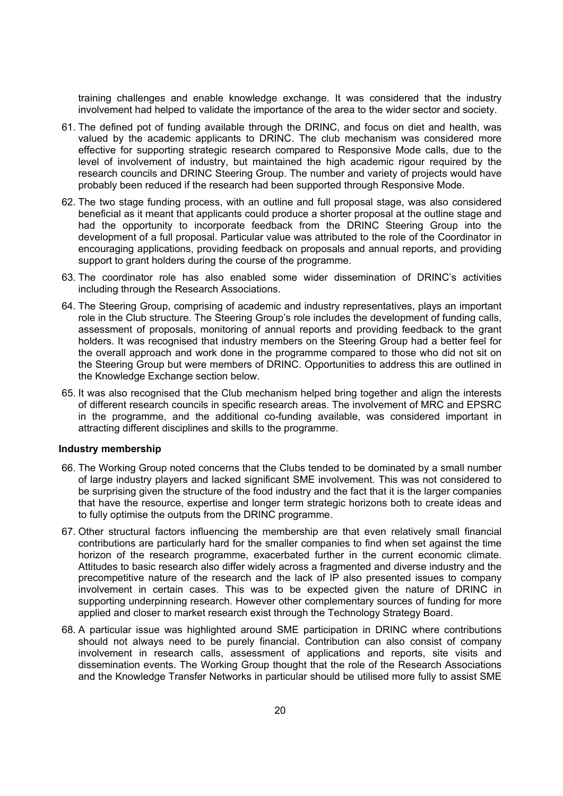training challenges and enable knowledge exchange. It was considered that the industry involvement had helped to validate the importance of the area to the wider sector and society.

- 61. The defined pot of funding available through the DRINC, and focus on diet and health, was valued by the academic applicants to DRINC. The club mechanism was considered more effective for supporting strategic research compared to Responsive Mode calls, due to the level of involvement of industry, but maintained the high academic rigour required by the research councils and DRINC Steering Group. The number and variety of projects would have probably been reduced if the research had been supported through Responsive Mode.
- 62. The two stage funding process, with an outline and full proposal stage, was also considered beneficial as it meant that applicants could produce a shorter proposal at the outline stage and had the opportunity to incorporate feedback from the DRINC Steering Group into the development of a full proposal. Particular value was attributed to the role of the Coordinator in encouraging applications, providing feedback on proposals and annual reports, and providing support to grant holders during the course of the programme.
- 63. The coordinator role has also enabled some wider dissemination of DRINCs activities including through the Research Associations.
- 64. The Steering Group, comprising of academic and industry representatives, plays an important role in the Club structure. The Steering Groups role includes the development of funding calls, assessment of proposals, monitoring of annual reports and providing feedback to the grant holders. It was recognised that industry members on the Steering Group had a better feel for the overall approach and work done in the programme compared to those who did not sit on the Steering Group but were members of DRINC. Opportunities to address this are outlined in the Knowledge Exchange section below.
- 65. It was also recognised that the Club mechanism helped bring together and align the interests of different research councils in specific research areas. The involvement of MRC and EPSRC in the programme, and the additional co-funding available, was considered important in attracting different disciplines and skills to the programme.

#### **Industry membership**

- 66. The Working Group noted concerns that the Clubs tended to be dominated by a small number of large industry players and lacked significant SME involvement. This was not considered to be surprising given the structure of the food industry and the fact that it is the larger companies that have the resource, expertise and longer term strategic horizons both to create ideas and to fully optimise the outputs from the DRINC programme.
- 67. Other structural factors influencing the membership are that even relatively small financial contributions are particularly hard for the smaller companies to find when set against the time horizon of the research programme, exacerbated further in the current economic climate. Attitudes to basic research also differ widely across a fragmented and diverse industry and the precompetitive nature of the research and the lack of IP also presented issues to company involvement in certain cases. This was to be expected given the nature of DRINC in supporting underpinning research. However other complementary sources of funding for more applied and closer to market research exist through the Technology Strategy Board.
- 68. A particular issue was highlighted around SME participation in DRINC where contributions should not always need to be purely financial. Contribution can also consist of company involvement in research calls, assessment of applications and reports, site visits and dissemination events. The Working Group thought that the role of the Research Associations and the Knowledge Transfer Networks in particular should be utilised more fully to assist SME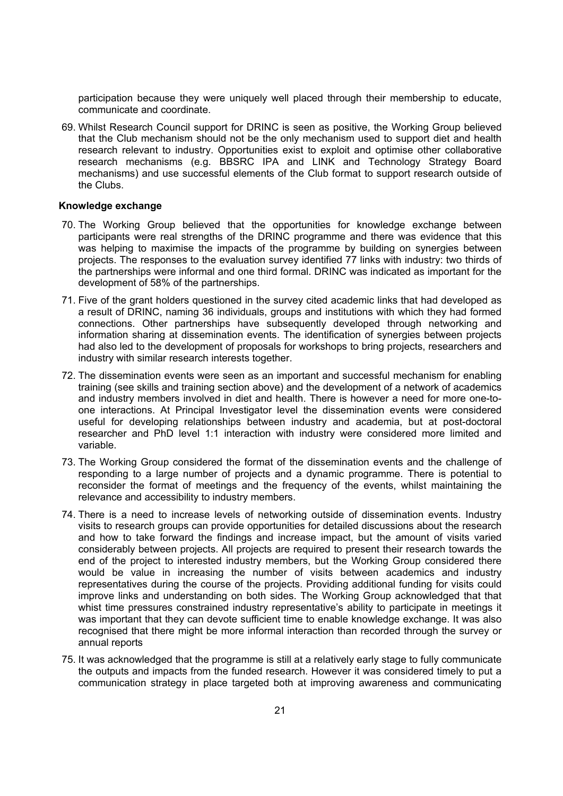participation because they were uniquely well placed through their membership to educate, communicate and coordinate.

69. Whilst Research Council support for DRINC is seen as positive, the Working Group believed that the Club mechanism should not be the only mechanism used to support diet and health research relevant to industry. Opportunities exist to exploit and optimise other collaborative research mechanisms (e.g. BBSRC IPA and LINK and Technology Strategy Board mechanisms) and use successful elements of the Club format to support research outside of the Clubs.

#### **Knowledge exchange**

- 70. The Working Group believed that the opportunities for knowledge exchange between participants were real strengths of the DRINC programme and there was evidence that this was helping to maximise the impacts of the programme by building on synergies between projects. The responses to the evaluation survey identified 77 links with industry: two thirds of the partnerships were informal and one third formal. DRINC was indicated as important for the development of 58% of the partnerships.
- 71. Five of the grant holders questioned in the survey cited academic links that had developed as a result of DRINC, naming 36 individuals, groups and institutions with which they had formed connections. Other partnerships have subsequently developed through networking and information sharing at dissemination events. The identification of synergies between projects had also led to the development of proposals for workshops to bring projects, researchers and industry with similar research interests together.
- 72. The dissemination events were seen as an important and successful mechanism for enabling training (see skills and training section above) and the development of a network of academics and industry members involved in diet and health. There is however a need for more one-toone interactions. At Principal Investigator level the dissemination events were considered useful for developing relationships between industry and academia, but at post-doctoral researcher and PhD level 1:1 interaction with industry were considered more limited and variable.
- 73. The Working Group considered the format of the dissemination events and the challenge of responding to a large number of projects and a dynamic programme. There is potential to reconsider the format of meetings and the frequency of the events, whilst maintaining the relevance and accessibility to industry members.
- 74. There is a need to increase levels of networking outside of dissemination events. Industry visits to research groups can provide opportunities for detailed discussions about the research and how to take forward the findings and increase impact, but the amount of visits varied considerably between projects. All projects are required to present their research towards the end of the project to interested industry members, but the Working Group considered there would be value in increasing the number of visits between academics and industry representatives during the course of the projects. Providing additional funding for visits could improve links and understanding on both sides. The Working Group acknowledged that that whist time pressures constrained industry representatives ability to participate in meetings it was important that they can devote sufficient time to enable knowledge exchange. It was also recognised that there might be more informal interaction than recorded through the survey or annual reports
- 75. It was acknowledged that the programme is still at a relatively early stage to fully communicate the outputs and impacts from the funded research. However it was considered timely to put a communication strategy in place targeted both at improving awareness and communicating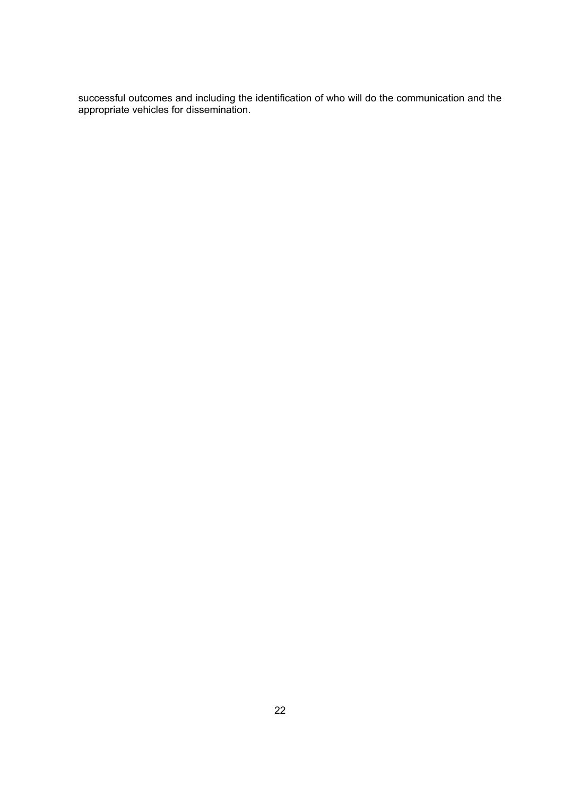successful outcomes and including the identification of who will do the communication and the appropriate vehicles for dissemination.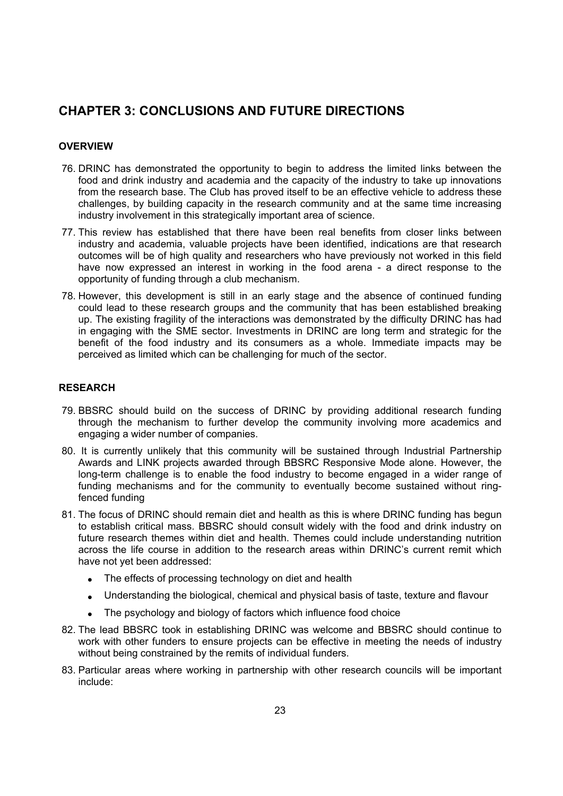## **CHAPTER 3: CONCLUSIONS AND FUTURE DIRECTIONS**

#### **OVERVIEW**

- 76. DRINC has demonstrated the opportunity to begin to address the limited links between the food and drink industry and academia and the capacity of the industry to take up innovations from the research base. The Club has proved itself to be an effective vehicle to address these challenges, by building capacity in the research community and at the same time increasing industry involvement in this strategically important area of science.
- 77. This review has established that there have been real benefits from closer links between industry and academia, valuable projects have been identified, indications are that research outcomes will be of high quality and researchers who have previously not worked in this field have now expressed an interest in working in the food arena - a direct response to the opportunity of funding through a club mechanism.
- 78. However, this development is still in an early stage and the absence of continued funding could lead to these research groups and the community that has been established breaking up. The existing fragility of the interactions was demonstrated by the difficulty DRINC has had in engaging with the SME sector. Investments in DRINC are long term and strategic for the benefit of the food industry and its consumers as a whole. Immediate impacts may be perceived as limited which can be challenging for much of the sector.

#### **RESEARCH**

- 79. BBSRC should build on the success of DRINC by providing additional research funding through the mechanism to further develop the community involving more academics and engaging a wider number of companies.
- 80. It is currently unlikely that this community will be sustained through Industrial Partnership Awards and LINK projects awarded through BBSRC Responsive Mode alone. However, the long-term challenge is to enable the food industry to become engaged in a wider range of funding mechanisms and for the community to eventually become sustained without ringfenced funding
- 81. The focus of DRINC should remain diet and health as this is where DRINC funding has begun to establish critical mass. BBSRC should consult widely with the food and drink industry on future research themes within diet and health. Themes could include understanding nutrition across the life course in addition to the research areas within DRINCs current remit which have not yet been addressed:
	- The effects of processing technology on diet and health
	- Understanding the biological, chemical and physical basis of taste, texture and flavour
	- The psychology and biology of factors which influence food choice
- 82. The lead BBSRC took in establishing DRINC was welcome and BBSRC should continue to work with other funders to ensure projects can be effective in meeting the needs of industry without being constrained by the remits of individual funders.
- 83. Particular areas where working in partnership with other research councils will be important include: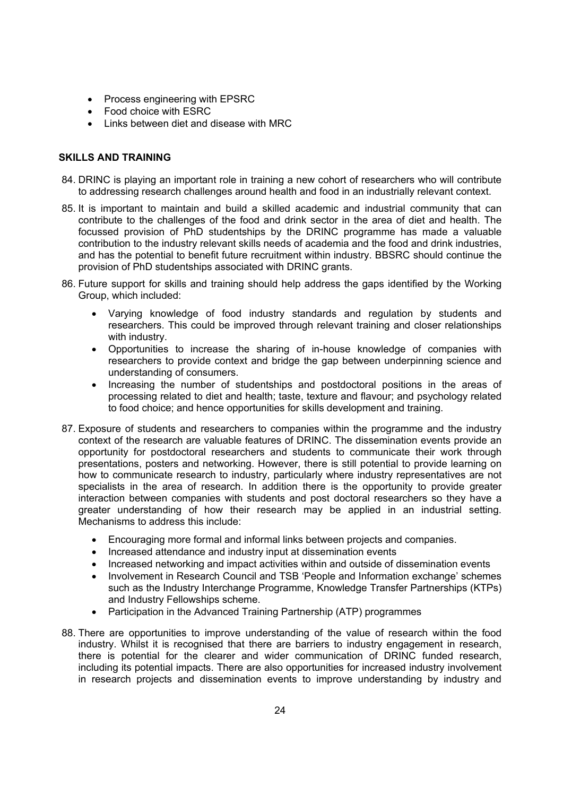- Process engineering with EPSRC
- Food choice with ESRC
- Links between diet and disease with MRC

#### **SKILLS AND TRAINING**

- 84. DRINC is playing an important role in training a new cohort of researchers who will contribute to addressing research challenges around health and food in an industrially relevant context.
- 85. It is important to maintain and build a skilled academic and industrial community that can contribute to the challenges of the food and drink sector in the area of diet and health. The focussed provision of PhD studentships by the DRINC programme has made a valuable contribution to the industry relevant skills needs of academia and the food and drink industries, and has the potential to benefit future recruitment within industry. BBSRC should continue the provision of PhD studentships associated with DRINC grants.
- 86. Future support for skills and training should help address the gaps identified by the Working Group, which included:
	- Varying knowledge of food industry standards and regulation by students and researchers. This could be improved through relevant training and closer relationships with industry.
	- Opportunities to increase the sharing of in-house knowledge of companies with researchers to provide context and bridge the gap between underpinning science and understanding of consumers.
	- Increasing the number of studentships and postdoctoral positions in the areas of processing related to diet and health; taste, texture and flavour; and psychology related to food choice; and hence opportunities for skills development and training.
- 87. Exposure of students and researchers to companies within the programme and the industry context of the research are valuable features of DRINC. The dissemination events provide an opportunity for postdoctoral researchers and students to communicate their work through presentations, posters and networking. However, there is still potential to provide learning on how to communicate research to industry, particularly where industry representatives are not specialists in the area of research. In addition there is the opportunity to provide greater interaction between companies with students and post doctoral researchers so they have a greater understanding of how their research may be applied in an industrial setting. Mechanisms to address this include:
	- Encouraging more formal and informal links between projects and companies.
	- Increased attendance and industry input at dissemination events
	- Increased networking and impact activities within and outside of dissemination events
	- Involvement in Research Council and TSB People and Information exchange schemes such as the Industry Interchange Programme, Knowledge Transfer Partnerships (KTPs) and Industry Fellowships scheme.
	- Participation in the Advanced Training Partnership (ATP) programmes
- 88. There are opportunities to improve understanding of the value of research within the food industry. Whilst it is recognised that there are barriers to industry engagement in research, there is potential for the clearer and wider communication of DRINC funded research, including its potential impacts. There are also opportunities for increased industry involvement in research projects and dissemination events to improve understanding by industry and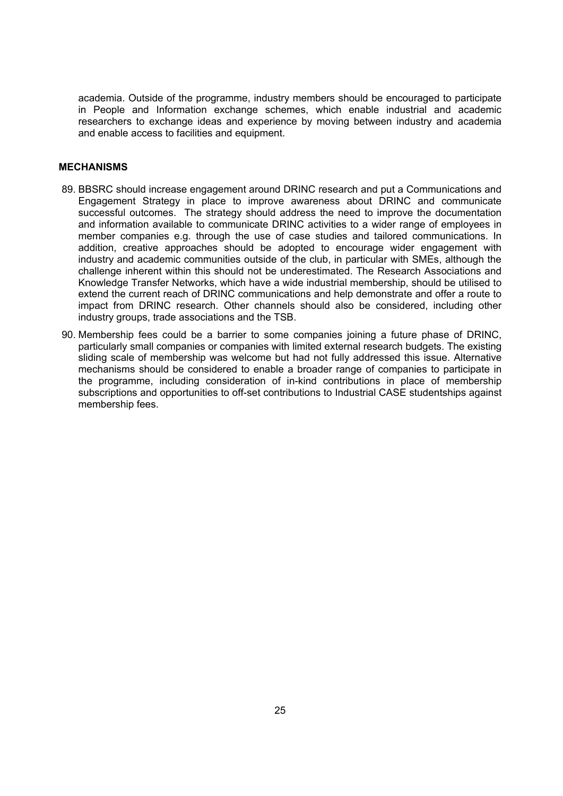academia. Outside of the programme, industry members should be encouraged to participate in People and Information exchange schemes, which enable industrial and academic researchers to exchange ideas and experience by moving between industry and academia and enable access to facilities and equipment.

#### **MECHANISMS**

- 89. BBSRC should increase engagement around DRINC research and put a Communications and Engagement Strategy in place to improve awareness about DRINC and communicate successful outcomes. The strategy should address the need to improve the documentation and information available to communicate DRINC activities to a wider range of employees in member companies e.g. through the use of case studies and tailored communications. In addition, creative approaches should be adopted to encourage wider engagement with industry and academic communities outside of the club, in particular with SMEs, although the challenge inherent within this should not be underestimated. The Research Associations and Knowledge Transfer Networks, which have a wide industrial membership, should be utilised to extend the current reach of DRINC communications and help demonstrate and offer a route to impact from DRINC research. Other channels should also be considered, including other industry groups, trade associations and the TSB.
- 90. Membership fees could be a barrier to some companies joining a future phase of DRINC, particularly small companies or companies with limited external research budgets. The existing sliding scale of membership was welcome but had not fully addressed this issue. Alternative mechanisms should be considered to enable a broader range of companies to participate in the programme, including consideration of in-kind contributions in place of membership subscriptions and opportunities to off-set contributions to Industrial CASE studentships against membership fees.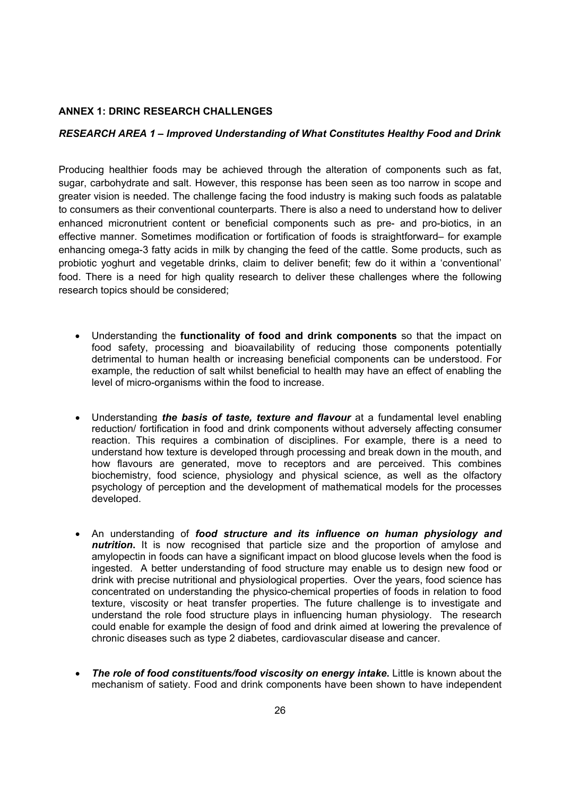#### **ANNEX 1: DRINC RESEARCH CHALLENGES**

#### *RESEARCH AREA 1 – Improved Understanding of What Constitutes Healthy Food and Drink*

Producing healthier foods may be achieved through the alteration of components such as fat, sugar, carbohydrate and salt. However, this response has been seen as too narrow in scope and greater vision is needed. The challenge facing the food industry is making such foods as palatable to consumers as their conventional counterparts. There is also a need to understand how to deliver enhanced micronutrient content or beneficial components such as pre- and pro-biotics, in an effective manner. Sometimes modification or fortification of foods is straightforward for example enhancing omega-3 fatty acids in milk by changing the feed of the cattle. Some products, such as probiotic yoghurt and vegetable drinks, claim to deliver benefit; few do it within a conventional food. There is a need for high quality research to deliver these challenges where the following research topics should be considered;

- Understanding the **functionality of food and drink components** so that the impact on food safety, processing and bioavailability of reducing those components potentially detrimental to human health or increasing beneficial components can be understood. For example, the reduction of salt whilst beneficial to health may have an effect of enabling the level of micro-organisms within the food to increase.
- Understanding *the basis of taste, texture and flavour* at a fundamental level enabling reduction/ fortification in food and drink components without adversely affecting consumer reaction. This requires a combination of disciplines. For example, there is a need to understand how texture is developed through processing and break down in the mouth, and how flavours are generated, move to receptors and are perceived. This combines biochemistry, food science, physiology and physical science, as well as the olfactory psychology of perception and the development of mathematical models for the processes developed.
- An understanding of *food structure and its influence on human physiology and nutrition***.** It is now recognised that particle size and the proportion of amylose and amylopectin in foods can have a significant impact on blood glucose levels when the food is ingested. A better understanding of food structure may enable us to design new food or drink with precise nutritional and physiological properties. Over the years, food science has concentrated on understanding the physico-chemical properties of foods in relation to food texture, viscosity or heat transfer properties. The future challenge is to investigate and understand the role food structure plays in influencing human physiology. The research could enable for example the design of food and drink aimed at lowering the prevalence of chronic diseases such as type 2 diabetes, cardiovascular disease and cancer.
- *The role of food constituents/food viscosity on energy intake***.** Little is known about the mechanism of satiety. Food and drink components have been shown to have independent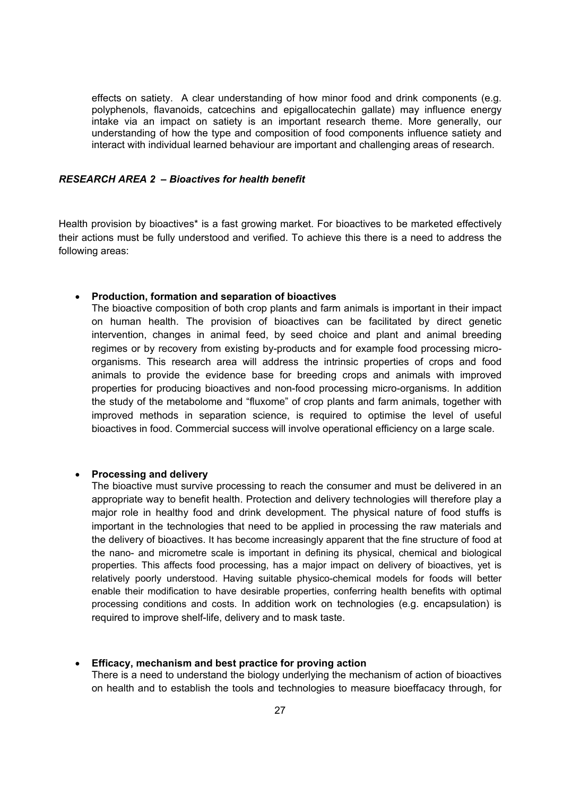effects on satiety. A clear understanding of how minor food and drink components (e.g. polyphenols, flavanoids, catcechins and epigallocatechin gallate) may influence energy intake via an impact on satiety is an important research theme. More generally, our understanding of how the type and composition of food components influence satiety and interact with individual learned behaviour are important and challenging areas of research.

#### *RESEARCH AREA 2 – Bioactives for health benefit*

Health provision by bioactives\* is a fast growing market. For bioactives to be marketed effectively their actions must be fully understood and verified. To achieve this there is a need to address the following areas:

#### **Production, formation and separation of bioactives**

The bioactive composition of both crop plants and farm animals is important in their impact on human health. The provision of bioactives can be facilitated by direct genetic intervention, changes in animal feed, by seed choice and plant and animal breeding regimes or by recovery from existing by-products and for example food processing microorganisms. This research area will address the intrinsic properties of crops and food animals to provide the evidence base for breeding crops and animals with improved properties for producing bioactives and non-food processing micro-organisms. In addition the study of the metabolome and fluxome of crop plants and farm animals, together with improved methods in separation science, is required to optimise the level of useful bioactives in food. Commercial success will involve operational efficiency on a large scale.

#### **Processing and delivery**

The bioactive must survive processing to reach the consumer and must be delivered in an appropriate way to benefit health. Protection and delivery technologies will therefore play a major role in healthy food and drink development. The physical nature of food stuffs is important in the technologies that need to be applied in processing the raw materials and the delivery of bioactives. It has become increasingly apparent that the fine structure of food at the nano- and micrometre scale is important in defining its physical, chemical and biological properties. This affects food processing, has a major impact on delivery of bioactives, yet is relatively poorly understood. Having suitable physico-chemical models for foods will better enable their modification to have desirable properties, conferring health benefits with optimal processing conditions and costs. In addition work on technologies (e.g. encapsulation) is required to improve shelf-life, delivery and to mask taste.

#### **Efficacy, mechanism and best practice for proving action**

There is a need to understand the biology underlying the mechanism of action of bioactives on health and to establish the tools and technologies to measure bioeffacacy through, for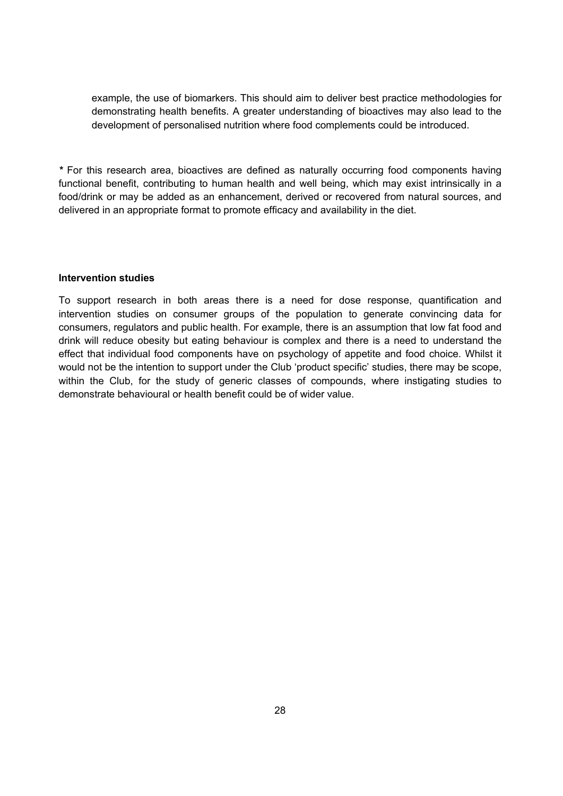example, the use of biomarkers. This should aim to deliver best practice methodologies for demonstrating health benefits. A greater understanding of bioactives may also lead to the development of personalised nutrition where food complements could be introduced.

*\** For this research area, bioactives are defined as naturally occurring food components having functional benefit, contributing to human health and well being, which may exist intrinsically in a food/drink or may be added as an enhancement, derived or recovered from natural sources, and delivered in an appropriate format to promote efficacy and availability in the diet.

#### **Intervention studies**

To support research in both areas there is a need for dose response, quantification and intervention studies on consumer groups of the population to generate convincing data for consumers, regulators and public health. For example, there is an assumption that low fat food and drink will reduce obesity but eating behaviour is complex and there is a need to understand the effect that individual food components have on psychology of appetite and food choice. Whilst it would not be the intention to support under the Club product specific studies, there may be scope, within the Club, for the study of generic classes of compounds, where instigating studies to demonstrate behavioural or health benefit could be of wider value.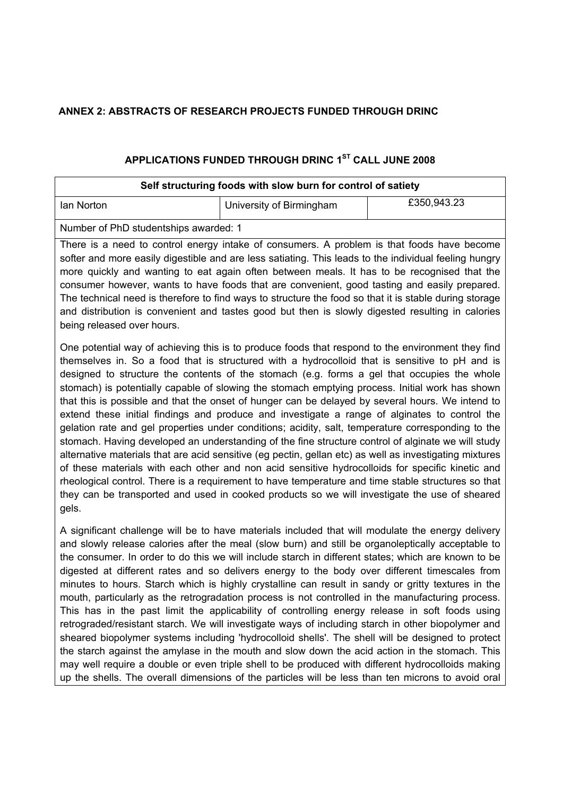## **ANNEX 2: ABSTRACTS OF RESEARCH PROJECTS FUNDED THROUGH DRINC**

## **APPLICATIONS FUNDED THROUGH DRINC 1ST CALL JUNE 2008**

| Self structuring foods with slow burn for control of satiety                                                                                                                                                                                                                                                                                                                                                                                                                                                                                                                                                                                                                                                                                                                                                                                                                                                                                                                                                                                                                                                                                                                                                                                          |                          |             |  |
|-------------------------------------------------------------------------------------------------------------------------------------------------------------------------------------------------------------------------------------------------------------------------------------------------------------------------------------------------------------------------------------------------------------------------------------------------------------------------------------------------------------------------------------------------------------------------------------------------------------------------------------------------------------------------------------------------------------------------------------------------------------------------------------------------------------------------------------------------------------------------------------------------------------------------------------------------------------------------------------------------------------------------------------------------------------------------------------------------------------------------------------------------------------------------------------------------------------------------------------------------------|--------------------------|-------------|--|
| lan Norton                                                                                                                                                                                                                                                                                                                                                                                                                                                                                                                                                                                                                                                                                                                                                                                                                                                                                                                                                                                                                                                                                                                                                                                                                                            | University of Birmingham | £350,943.23 |  |
| Number of PhD studentships awarded: 1                                                                                                                                                                                                                                                                                                                                                                                                                                                                                                                                                                                                                                                                                                                                                                                                                                                                                                                                                                                                                                                                                                                                                                                                                 |                          |             |  |
| There is a need to control energy intake of consumers. A problem is that foods have become<br>softer and more easily digestible and are less satiating. This leads to the individual feeling hungry<br>more quickly and wanting to eat again often between meals. It has to be recognised that the<br>consumer however, wants to have foods that are convenient, good tasting and easily prepared.<br>The technical need is therefore to find ways to structure the food so that it is stable during storage<br>and distribution is convenient and tastes good but then is slowly digested resulting in calories<br>being released over hours.                                                                                                                                                                                                                                                                                                                                                                                                                                                                                                                                                                                                        |                          |             |  |
| One potential way of achieving this is to produce foods that respond to the environment they find<br>themselves in. So a food that is structured with a hydrocolloid that is sensitive to pH and is<br>designed to structure the contents of the stomach (e.g. forms a gel that occupies the whole<br>stomach) is potentially capable of slowing the stomach emptying process. Initial work has shown<br>that this is possible and that the onset of hunger can be delayed by several hours. We intend to<br>extend these initial findings and produce and investigate a range of alginates to control the<br>gelation rate and gel properties under conditions; acidity, salt, temperature corresponding to the<br>stomach. Having developed an understanding of the fine structure control of alginate we will study<br>alternative materials that are acid sensitive (eg pectin, gellan etc) as well as investigating mixtures<br>of these materials with each other and non acid sensitive hydrocolloids for specific kinetic and<br>rheological control. There is a requirement to have temperature and time stable structures so that<br>they can be transported and used in cooked products so we will investigate the use of sheared<br>gels. |                          |             |  |
| A significant challenge will be to have materials included that will modulate the energy delivery<br>and slowly release calories after the meal (slow burn) and still be organoleptically acceptable to<br>the consumer. In order to do this we will include starch in different states; which are known to be                                                                                                                                                                                                                                                                                                                                                                                                                                                                                                                                                                                                                                                                                                                                                                                                                                                                                                                                        |                          |             |  |

digested at different rates and so delivers energy to the body over different timescales from minutes to hours. Starch which is highly crystalline can result in sandy or gritty textures in the mouth, particularly as the retrogradation process is not controlled in the manufacturing process. This has in the past limit the applicability of controlling energy release in soft foods using retrograded/resistant starch. We will investigate ways of including starch in other biopolymer and sheared biopolymer systems including 'hydrocolloid shells'. The shell will be designed to protect the starch against the amylase in the mouth and slow down the acid action in the stomach. This may well require a double or even triple shell to be produced with different hydrocolloids making up the shells. The overall dimensions of the particles will be less than ten microns to avoid oral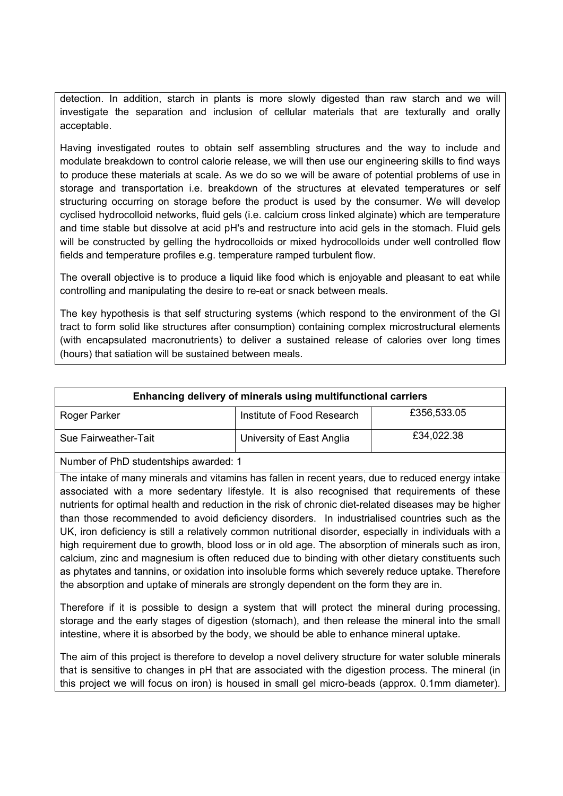detection. In addition, starch in plants is more slowly digested than raw starch and we will investigate the separation and inclusion of cellular materials that are texturally and orally acceptable.

Having investigated routes to obtain self assembling structures and the way to include and modulate breakdown to control calorie release, we will then use our engineering skills to find ways to produce these materials at scale. As we do so we will be aware of potential problems of use in storage and transportation i.e. breakdown of the structures at elevated temperatures or self structuring occurring on storage before the product is used by the consumer. We will develop cyclised hydrocolloid networks, fluid gels (i.e. calcium cross linked alginate) which are temperature and time stable but dissolve at acid pH's and restructure into acid gels in the stomach. Fluid gels will be constructed by gelling the hydrocolloids or mixed hydrocolloids under well controlled flow fields and temperature profiles e.g. temperature ramped turbulent flow.

The overall objective is to produce a liquid like food which is enjoyable and pleasant to eat while controlling and manipulating the desire to re-eat or snack between meals.

The key hypothesis is that self structuring systems (which respond to the environment of the GI tract to form solid like structures after consumption) containing complex microstructural elements (with encapsulated macronutrients) to deliver a sustained release of calories over long times (hours) that satiation will be sustained between meals.

## **Enhancing delivery of minerals using multifunctional carriers**

| Roger Parker         | Institute of Food Research | £356,533.05 |
|----------------------|----------------------------|-------------|
| Sue Fairweather-Tait | University of East Anglia  | £34,022.38  |

Number of PhD studentships awarded: 1

The intake of many minerals and vitamins has fallen in recent years, due to reduced energy intake associated with a more sedentary lifestyle. It is also recognised that requirements of these nutrients for optimal health and reduction in the risk of chronic diet-related diseases may be higher than those recommended to avoid deficiency disorders. In industrialised countries such as the UK, iron deficiency is still a relatively common nutritional disorder, especially in individuals with a high requirement due to growth, blood loss or in old age. The absorption of minerals such as iron, calcium, zinc and magnesium is often reduced due to binding with other dietary constituents such as phytates and tannins, or oxidation into insoluble forms which severely reduce uptake. Therefore the absorption and uptake of minerals are strongly dependent on the form they are in.

Therefore if it is possible to design a system that will protect the mineral during processing, storage and the early stages of digestion (stomach), and then release the mineral into the small intestine, where it is absorbed by the body, we should be able to enhance mineral uptake.

The aim of this project is therefore to develop a novel delivery structure for water soluble minerals that is sensitive to changes in pH that are associated with the digestion process. The mineral (in this project we will focus on iron) is housed in small gel micro-beads (approx. 0.1mm diameter).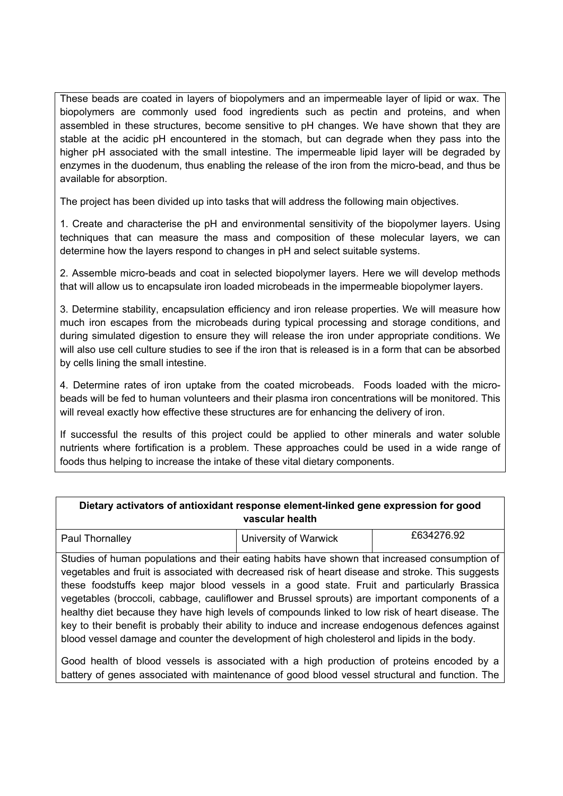These beads are coated in layers of biopolymers and an impermeable layer of lipid or wax. The biopolymers are commonly used food ingredients such as pectin and proteins, and when assembled in these structures, become sensitive to pH changes. We have shown that they are stable at the acidic pH encountered in the stomach, but can degrade when they pass into the higher pH associated with the small intestine. The impermeable lipid layer will be degraded by enzymes in the duodenum, thus enabling the release of the iron from the micro-bead, and thus be available for absorption.

The project has been divided up into tasks that will address the following main objectives.

1. Create and characterise the pH and environmental sensitivity of the biopolymer layers. Using techniques that can measure the mass and composition of these molecular layers, we can determine how the layers respond to changes in pH and select suitable systems.

2. Assemble micro-beads and coat in selected biopolymer layers. Here we will develop methods that will allow us to encapsulate iron loaded microbeads in the impermeable biopolymer layers.

3. Determine stability, encapsulation efficiency and iron release properties. We will measure how much iron escapes from the microbeads during typical processing and storage conditions, and during simulated digestion to ensure they will release the iron under appropriate conditions. We will also use cell culture studies to see if the iron that is released is in a form that can be absorbed by cells lining the small intestine.

4. Determine rates of iron uptake from the coated microbeads. Foods loaded with the microbeads will be fed to human volunteers and their plasma iron concentrations will be monitored. This will reveal exactly how effective these structures are for enhancing the delivery of iron.

If successful the results of this project could be applied to other minerals and water soluble nutrients where fortification is a problem. These approaches could be used in a wide range of foods thus helping to increase the intake of these vital dietary components.

| Dietary activators of antioxidant response element-linked gene expression for good<br>vascular health                                                                                                                                                                                                                                                                                                                                                                                                                                                                                                                                                                                                     |                       |            |  |
|-----------------------------------------------------------------------------------------------------------------------------------------------------------------------------------------------------------------------------------------------------------------------------------------------------------------------------------------------------------------------------------------------------------------------------------------------------------------------------------------------------------------------------------------------------------------------------------------------------------------------------------------------------------------------------------------------------------|-----------------------|------------|--|
| Paul Thornalley                                                                                                                                                                                                                                                                                                                                                                                                                                                                                                                                                                                                                                                                                           | University of Warwick | £634276.92 |  |
| Studies of human populations and their eating habits have shown that increased consumption of<br>vegetables and fruit is associated with decreased risk of heart disease and stroke. This suggests<br>these foodstuffs keep major blood vessels in a good state. Fruit and particularly Brassica<br>vegetables (broccoli, cabbage, cauliflower and Brussel sprouts) are important components of a<br>healthy diet because they have high levels of compounds linked to low risk of heart disease. The<br>key to their benefit is probably their ability to induce and increase endogenous defences against<br>blood vessel damage and counter the development of high cholesterol and lipids in the body. |                       |            |  |

Good health of blood vessels is associated with a high production of proteins encoded by a battery of genes associated with maintenance of good blood vessel structural and function. The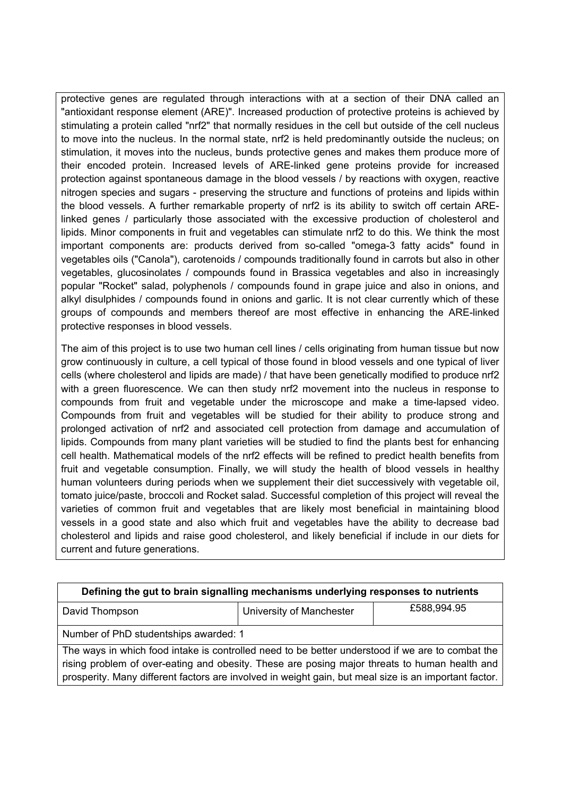protective genes are regulated through interactions with at a section of their DNA called an "antioxidant response element (ARE)". Increased production of protective proteins is achieved by stimulating a protein called "nrf2" that normally residues in the cell but outside of the cell nucleus to move into the nucleus. In the normal state, nrf2 is held predominantly outside the nucleus; on stimulation, it moves into the nucleus, bunds protective genes and makes them produce more of their encoded protein. Increased levels of ARE-linked gene proteins provide for increased protection against spontaneous damage in the blood vessels / by reactions with oxygen, reactive nitrogen species and sugars - preserving the structure and functions of proteins and lipids within the blood vessels. A further remarkable property of nrf2 is its ability to switch off certain ARElinked genes / particularly those associated with the excessive production of cholesterol and lipids. Minor components in fruit and vegetables can stimulate nrf2 to do this. We think the most important components are: products derived from so-called "omega-3 fatty acids" found in vegetables oils ("Canola"), carotenoids / compounds traditionally found in carrots but also in other vegetables, glucosinolates / compounds found in Brassica vegetables and also in increasingly popular "Rocket" salad, polyphenols / compounds found in grape juice and also in onions, and alkyl disulphides / compounds found in onions and garlic. It is not clear currently which of these groups of compounds and members thereof are most effective in enhancing the ARE-linked protective responses in blood vessels.

The aim of this project is to use two human cell lines / cells originating from human tissue but now grow continuously in culture, a cell typical of those found in blood vessels and one typical of liver cells (where cholesterol and lipids are made) / that have been genetically modified to produce nrf2 with a green fluorescence. We can then study nrf2 movement into the nucleus in response to compounds from fruit and vegetable under the microscope and make a time-lapsed video. Compounds from fruit and vegetables will be studied for their ability to produce strong and prolonged activation of nrf2 and associated cell protection from damage and accumulation of lipids. Compounds from many plant varieties will be studied to find the plants best for enhancing cell health. Mathematical models of the nrf2 effects will be refined to predict health benefits from fruit and vegetable consumption. Finally, we will study the health of blood vessels in healthy human volunteers during periods when we supplement their diet successively with vegetable oil, tomato juice/paste, broccoli and Rocket salad. Successful completion of this project will reveal the varieties of common fruit and vegetables that are likely most beneficial in maintaining blood vessels in a good state and also which fruit and vegetables have the ability to decrease bad cholesterol and lipids and raise good cholesterol, and likely beneficial if include in our diets for current and future generations.

| Defining the gut to brain signalling mechanisms underlying responses to nutrients                                                                                                                 |                          |             |  |
|---------------------------------------------------------------------------------------------------------------------------------------------------------------------------------------------------|--------------------------|-------------|--|
| David Thompson                                                                                                                                                                                    | University of Manchester | £588,994.95 |  |
| Number of PhD studentships awarded: 1                                                                                                                                                             |                          |             |  |
| The ways in which food intake is controlled need to be better understood if we are to combat the<br>rising problem of over-eating and obesity. These are posing major threats to human health and |                          |             |  |
| prosperity. Many different factors are involved in weight gain, but meal size is an important factor.                                                                                             |                          |             |  |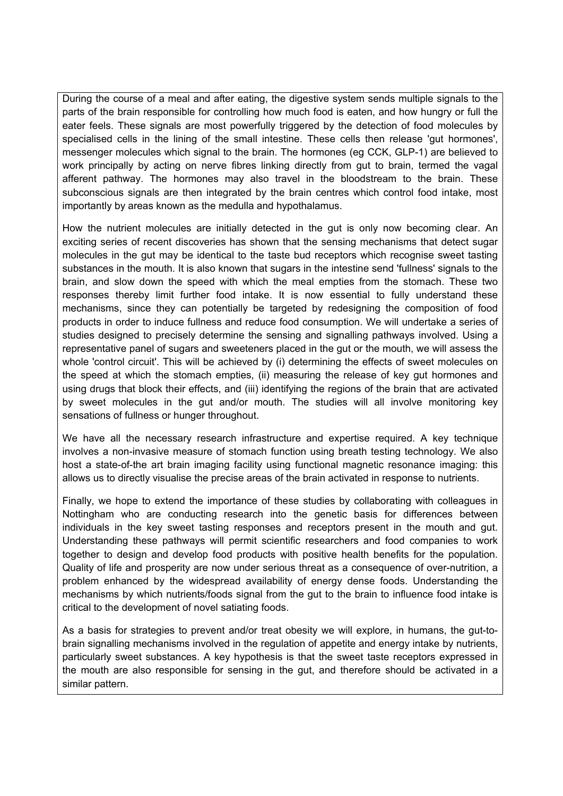During the course of a meal and after eating, the digestive system sends multiple signals to the parts of the brain responsible for controlling how much food is eaten, and how hungry or full the eater feels. These signals are most powerfully triggered by the detection of food molecules by specialised cells in the lining of the small intestine. These cells then release 'gut hormones', messenger molecules which signal to the brain. The hormones (eg CCK, GLP-1) are believed to work principally by acting on nerve fibres linking directly from gut to brain, termed the vagal afferent pathway. The hormones may also travel in the bloodstream to the brain. These subconscious signals are then integrated by the brain centres which control food intake, most importantly by areas known as the medulla and hypothalamus.

How the nutrient molecules are initially detected in the gut is only now becoming clear. An exciting series of recent discoveries has shown that the sensing mechanisms that detect sugar molecules in the gut may be identical to the taste bud receptors which recognise sweet tasting substances in the mouth. It is also known that sugars in the intestine send 'fullness' signals to the brain, and slow down the speed with which the meal empties from the stomach. These two responses thereby limit further food intake. It is now essential to fully understand these mechanisms, since they can potentially be targeted by redesigning the composition of food products in order to induce fullness and reduce food consumption. We will undertake a series of studies designed to precisely determine the sensing and signalling pathways involved. Using a representative panel of sugars and sweeteners placed in the gut or the mouth, we will assess the whole 'control circuit'. This will be achieved by (i) determining the effects of sweet molecules on the speed at which the stomach empties, (ii) measuring the release of key gut hormones and using drugs that block their effects, and (iii) identifying the regions of the brain that are activated by sweet molecules in the gut and/or mouth. The studies will all involve monitoring key sensations of fullness or hunger throughout.

We have all the necessary research infrastructure and expertise required. A key technique involves a non-invasive measure of stomach function using breath testing technology. We also host a state-of-the art brain imaging facility using functional magnetic resonance imaging: this allows us to directly visualise the precise areas of the brain activated in response to nutrients.

Finally, we hope to extend the importance of these studies by collaborating with colleagues in Nottingham who are conducting research into the genetic basis for differences between individuals in the key sweet tasting responses and receptors present in the mouth and gut. Understanding these pathways will permit scientific researchers and food companies to work together to design and develop food products with positive health benefits for the population. Quality of life and prosperity are now under serious threat as a consequence of over-nutrition, a problem enhanced by the widespread availability of energy dense foods. Understanding the mechanisms by which nutrients/foods signal from the gut to the brain to influence food intake is critical to the development of novel satiating foods.

As a basis for strategies to prevent and/or treat obesity we will explore, in humans, the gut-tobrain signalling mechanisms involved in the regulation of appetite and energy intake by nutrients, particularly sweet substances. A key hypothesis is that the sweet taste receptors expressed in the mouth are also responsible for sensing in the gut, and therefore should be activated in a similar pattern.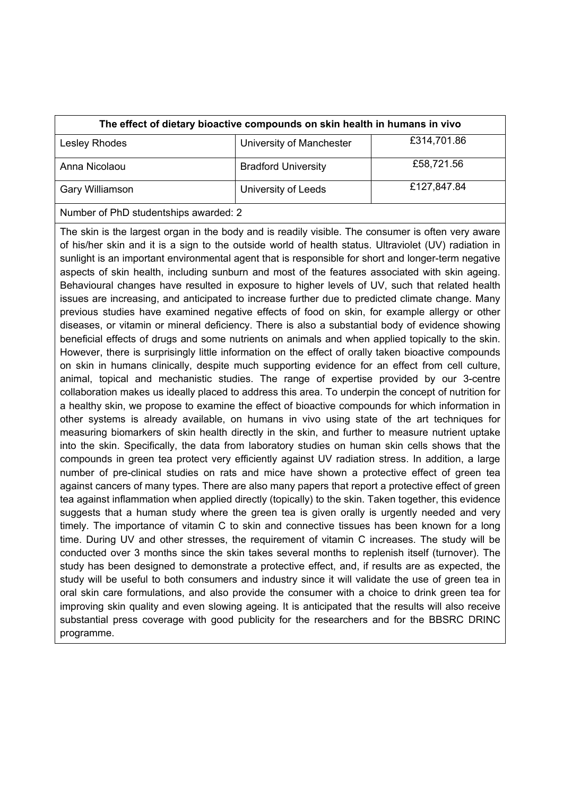| The effect of dietary bioactive compounds on skin health in humans in vivo |                            |             |
|----------------------------------------------------------------------------|----------------------------|-------------|
| Lesley Rhodes                                                              | University of Manchester   | £314,701.86 |
| Anna Nicolaou                                                              | <b>Bradford University</b> | £58,721.56  |
| Gary Williamson                                                            | University of Leeds        | £127,847.84 |
| Number of PhD studentships awarded: 2                                      |                            |             |

The skin is the largest organ in the body and is readily visible. The consumer is often very aware of his/her skin and it is a sign to the outside world of health status. Ultraviolet (UV) radiation in sunlight is an important environmental agent that is responsible for short and longer-term negative aspects of skin health, including sunburn and most of the features associated with skin ageing. Behavioural changes have resulted in exposure to higher levels of UV, such that related health issues are increasing, and anticipated to increase further due to predicted climate change. Many previous studies have examined negative effects of food on skin, for example allergy or other diseases, or vitamin or mineral deficiency. There is also a substantial body of evidence showing beneficial effects of drugs and some nutrients on animals and when applied topically to the skin. However, there is surprisingly little information on the effect of orally taken bioactive compounds on skin in humans clinically, despite much supporting evidence for an effect from cell culture, animal, topical and mechanistic studies. The range of expertise provided by our 3-centre collaboration makes us ideally placed to address this area. To underpin the concept of nutrition for a healthy skin, we propose to examine the effect of bioactive compounds for which information in other systems is already available, on humans in vivo using state of the art techniques for measuring biomarkers of skin health directly in the skin, and further to measure nutrient uptake into the skin. Specifically, the data from laboratory studies on human skin cells shows that the compounds in green tea protect very efficiently against UV radiation stress. In addition, a large number of pre-clinical studies on rats and mice have shown a protective effect of green tea against cancers of many types. There are also many papers that report a protective effect of green tea against inflammation when applied directly (topically) to the skin. Taken together, this evidence suggests that a human study where the green tea is given orally is urgently needed and very timely. The importance of vitamin C to skin and connective tissues has been known for a long time. During UV and other stresses, the requirement of vitamin C increases. The study will be conducted over 3 months since the skin takes several months to replenish itself (turnover). The study has been designed to demonstrate a protective effect, and, if results are as expected, the study will be useful to both consumers and industry since it will validate the use of green tea in oral skin care formulations, and also provide the consumer with a choice to drink green tea for improving skin quality and even slowing ageing. It is anticipated that the results will also receive substantial press coverage with good publicity for the researchers and for the BBSRC DRINC programme.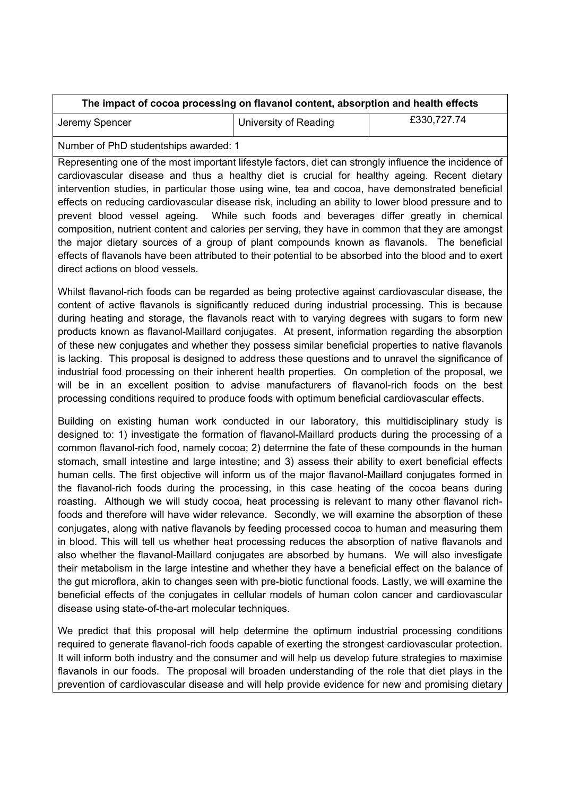| The impact of cocoa processing on flavanol content, absorption and health effects |                       |             |
|-----------------------------------------------------------------------------------|-----------------------|-------------|
| Jeremy Spencer                                                                    | University of Reading | £330,727.74 |

Number of PhD studentships awarded: 1

Representing one of the most important lifestyle factors, diet can strongly influence the incidence of cardiovascular disease and thus a healthy diet is crucial for healthy ageing. Recent dietary intervention studies, in particular those using wine, tea and cocoa, have demonstrated beneficial effects on reducing cardiovascular disease risk, including an ability to lower blood pressure and to prevent blood vessel ageing. While such foods and beverages differ greatly in chemical composition, nutrient content and calories per serving, they have in common that they are amongst the major dietary sources of a group of plant compounds known as flavanols. The beneficial effects of flavanols have been attributed to their potential to be absorbed into the blood and to exert direct actions on blood vessels.

Whilst flavanol-rich foods can be regarded as being protective against cardiovascular disease, the content of active flavanols is significantly reduced during industrial processing. This is because during heating and storage, the flavanols react with to varying degrees with sugars to form new products known as flavanol-Maillard conjugates. At present, information regarding the absorption of these new conjugates and whether they possess similar beneficial properties to native flavanols is lacking. This proposal is designed to address these questions and to unravel the significance of industrial food processing on their inherent health properties. On completion of the proposal, we will be in an excellent position to advise manufacturers of flavanol-rich foods on the best processing conditions required to produce foods with optimum beneficial cardiovascular effects.

Building on existing human work conducted in our laboratory, this multidisciplinary study is designed to: 1) investigate the formation of flavanol-Maillard products during the processing of a common flavanol-rich food, namely cocoa; 2) determine the fate of these compounds in the human stomach, small intestine and large intestine; and 3) assess their ability to exert beneficial effects human cells. The first objective will inform us of the major flavanol-Maillard conjugates formed in the flavanol-rich foods during the processing, in this case heating of the cocoa beans during roasting. Although we will study cocoa, heat processing is relevant to many other flavanol richfoods and therefore will have wider relevance. Secondly, we will examine the absorption of these conjugates, along with native flavanols by feeding processed cocoa to human and measuring them in blood. This will tell us whether heat processing reduces the absorption of native flavanols and also whether the flavanol-Maillard conjugates are absorbed by humans. We will also investigate their metabolism in the large intestine and whether they have a beneficial effect on the balance of the gut microflora, akin to changes seen with pre-biotic functional foods. Lastly, we will examine the beneficial effects of the conjugates in cellular models of human colon cancer and cardiovascular disease using state-of-the-art molecular techniques.

We predict that this proposal will help determine the optimum industrial processing conditions required to generate flavanol-rich foods capable of exerting the strongest cardiovascular protection. It will inform both industry and the consumer and will help us develop future strategies to maximise flavanols in our foods. The proposal will broaden understanding of the role that diet plays in the prevention of cardiovascular disease and will help provide evidence for new and promising dietary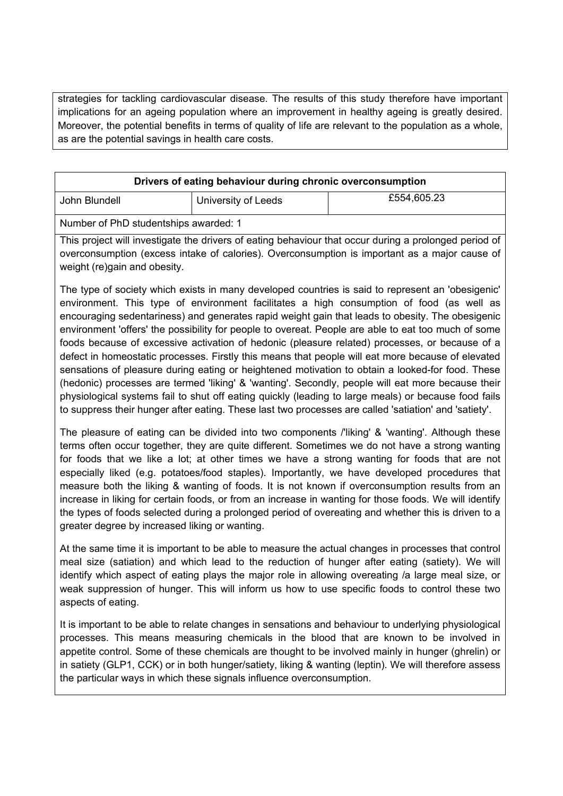strategies for tackling cardiovascular disease. The results of this study therefore have important implications for an ageing population where an improvement in healthy ageing is greatly desired. Moreover, the potential benefits in terms of quality of life are relevant to the population as a whole, as are the potential savings in health care costs.

| Drivers of eating behaviour during chronic overconsumption |  |                     |             |
|------------------------------------------------------------|--|---------------------|-------------|
| John Blundell                                              |  | University of Leeds | £554,605.23 |

Number of PhD studentships awarded: 1

This project will investigate the drivers of eating behaviour that occur during a prolonged period of overconsumption (excess intake of calories). Overconsumption is important as a major cause of weight (re)gain and obesity.

The type of society which exists in many developed countries is said to represent an 'obesigenic' environment. This type of environment facilitates a high consumption of food (as well as encouraging sedentariness) and generates rapid weight gain that leads to obesity. The obesigenic environment 'offers' the possibility for people to overeat. People are able to eat too much of some foods because of excessive activation of hedonic (pleasure related) processes, or because of a defect in homeostatic processes. Firstly this means that people will eat more because of elevated sensations of pleasure during eating or heightened motivation to obtain a looked-for food. These (hedonic) processes are termed 'liking' & 'wanting'. Secondly, people will eat more because their physiological systems fail to shut off eating quickly (leading to large meals) or because food fails to suppress their hunger after eating. These last two processes are called 'satiation' and 'satiety'.

The pleasure of eating can be divided into two components /'liking' & 'wanting'. Although these terms often occur together, they are quite different. Sometimes we do not have a strong wanting for foods that we like a lot; at other times we have a strong wanting for foods that are not especially liked (e.g. potatoes/food staples). Importantly, we have developed procedures that measure both the liking & wanting of foods. It is not known if overconsumption results from an increase in liking for certain foods, or from an increase in wanting for those foods. We will identify the types of foods selected during a prolonged period of overeating and whether this is driven to a greater degree by increased liking or wanting.

At the same time it is important to be able to measure the actual changes in processes that control meal size (satiation) and which lead to the reduction of hunger after eating (satiety). We will identify which aspect of eating plays the major role in allowing overeating /a large meal size, or weak suppression of hunger. This will inform us how to use specific foods to control these two aspects of eating.

It is important to be able to relate changes in sensations and behaviour to underlying physiological processes. This means measuring chemicals in the blood that are known to be involved in appetite control. Some of these chemicals are thought to be involved mainly in hunger (ghrelin) or in satiety (GLP1, CCK) or in both hunger/satiety, liking & wanting (leptin). We will therefore assess the particular ways in which these signals influence overconsumption.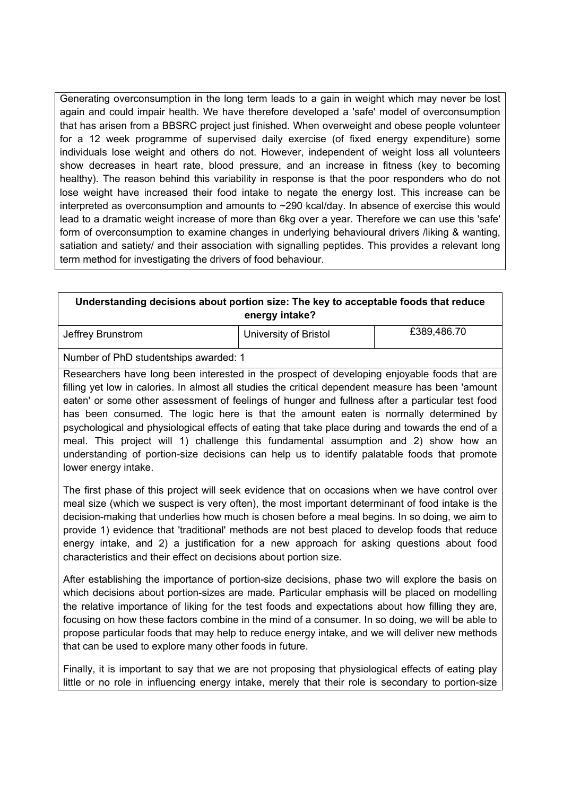Generating overconsumption in the long term leads to a gain in weight which may never be lost again and could impair health. We have therefore developed a 'safe' model of overconsumption that has arisen from a BBSRC project just finished. When overweight and obese people volunteer for a 12 week programme of supervised daily exercise (of fixed energy expenditure) some individuals lose weight and others do not. However, independent of weight loss all volunteers show decreases in heart rate, blood pressure, and an increase in fitness (key to becoming healthy). The reason behind this variability in response is that the poor responders who do not lose weight have increased their food intake to negate the energy lost. This increase can be interpreted as overconsumption and amounts to  $\sim$  290 kcal/day. In absence of exercise this would lead to a dramatic weight increase of more than 6kg over a year. Therefore we can use this 'safe' form of overconsumption to examine changes in underlying behavioural drivers /liking & wanting, satiation and satiety/ and their association with signalling peptides. This provides a relevant long term method for investigating the drivers of food behaviour.

| Understanding decisions about portion size: The key to acceptable foods that reduce                                                                                                                                                                                                                                                                                                                                                                                                                                                                                                                                                                                                                               |                       |             |  |
|-------------------------------------------------------------------------------------------------------------------------------------------------------------------------------------------------------------------------------------------------------------------------------------------------------------------------------------------------------------------------------------------------------------------------------------------------------------------------------------------------------------------------------------------------------------------------------------------------------------------------------------------------------------------------------------------------------------------|-----------------------|-------------|--|
|                                                                                                                                                                                                                                                                                                                                                                                                                                                                                                                                                                                                                                                                                                                   | energy intake?        |             |  |
| Jeffrey Brunstrom                                                                                                                                                                                                                                                                                                                                                                                                                                                                                                                                                                                                                                                                                                 | University of Bristol | £389,486.70 |  |
| Number of PhD studentships awarded: 1                                                                                                                                                                                                                                                                                                                                                                                                                                                                                                                                                                                                                                                                             |                       |             |  |
| Researchers have long been interested in the prospect of developing enjoyable foods that are<br>filling yet low in calories. In almost all studies the critical dependent measure has been 'amount<br>eaten' or some other assessment of feelings of hunger and fullness after a particular test food<br>has been consumed. The logic here is that the amount eaten is normally determined by<br>psychological and physiological effects of eating that take place during and towards the end of a<br>meal. This project will 1) challenge this fundamental assumption and 2) show how an<br>understanding of portion-size decisions can help us to identify palatable foods that promote<br>lower energy intake. |                       |             |  |
| The first phase of this project will seek evidence that on occasions when we have control over<br>meal size (which we suspect is very often), the most important determinant of food intake is the<br>decision-making that underlies how much is chosen before a meal begins. In so doing, we aim to<br>provide 1) evidence that 'traditional' methods are not best placed to develop foods that reduce<br>energy intake, and 2) a justification for a new approach for asking questions about food<br>characteristics and their effect on decisions about portion size.                                                                                                                                          |                       |             |  |

After establishing the importance of portion-size decisions, phase two will explore the basis on which decisions about portion-sizes are made. Particular emphasis will be placed on modelling the relative importance of liking for the test foods and expectations about how filling they are, focusing on how these factors combine in the mind of a consumer. In so doing, we will be able to propose particular foods that may help to reduce energy intake, and we will deliver new methods that can be used to explore many other foods in future.

Finally, it is important to say that we are not proposing that physiological effects of eating play little or no role in influencing energy intake, merely that their role is secondary to portion-size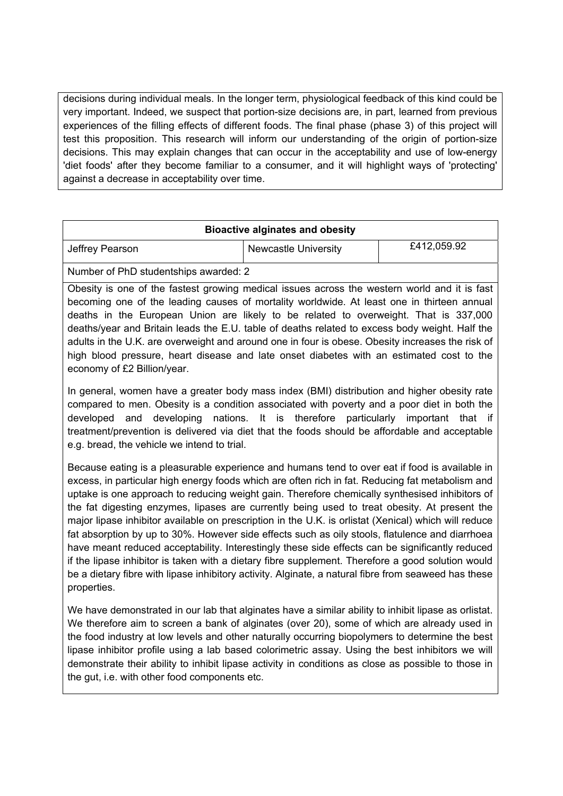decisions during individual meals. In the longer term, physiological feedback of this kind could be very important. Indeed, we suspect that portion-size decisions are, in part, learned from previous experiences of the filling effects of different foods. The final phase (phase 3) of this project will test this proposition. This research will inform our understanding of the origin of portion-size decisions. This may explain changes that can occur in the acceptability and use of low-energy 'diet foods' after they become familiar to a consumer, and it will highlight ways of 'protecting' against a decrease in acceptability over time.

| <b>Bioactive alginates and obesity</b> |                             |             |
|----------------------------------------|-----------------------------|-------------|
| Jeffrey Pearson                        | <b>Newcastle University</b> | £412,059.92 |
| Number of PhD studentships awarded: 2  |                             |             |

Obesity is one of the fastest growing medical issues across the western world and it is fast becoming one of the leading causes of mortality worldwide. At least one in thirteen annual deaths in the European Union are likely to be related to overweight. That is 337,000 deaths/year and Britain leads the E.U. table of deaths related to excess body weight. Half the adults in the U.K. are overweight and around one in four is obese. Obesity increases the risk of high blood pressure, heart disease and late onset diabetes with an estimated cost to the economy of £2 Billion/year.

In general, women have a greater body mass index (BMI) distribution and higher obesity rate compared to men. Obesity is a condition associated with poverty and a poor diet in both the developed and developing nations. It is therefore particularly important that if treatment/prevention is delivered via diet that the foods should be affordable and acceptable e.g. bread, the vehicle we intend to trial.

Because eating is a pleasurable experience and humans tend to over eat if food is available in excess, in particular high energy foods which are often rich in fat. Reducing fat metabolism and uptake is one approach to reducing weight gain. Therefore chemically synthesised inhibitors of the fat digesting enzymes, lipases are currently being used to treat obesity. At present the major lipase inhibitor available on prescription in the U.K. is orlistat (Xenical) which will reduce fat absorption by up to 30%. However side effects such as oily stools, flatulence and diarrhoea have meant reduced acceptability. Interestingly these side effects can be significantly reduced if the lipase inhibitor is taken with a dietary fibre supplement. Therefore a good solution would be a dietary fibre with lipase inhibitory activity. Alginate, a natural fibre from seaweed has these properties.

We have demonstrated in our lab that alginates have a similar ability to inhibit lipase as orlistat. We therefore aim to screen a bank of alginates (over 20), some of which are already used in the food industry at low levels and other naturally occurring biopolymers to determine the best lipase inhibitor profile using a lab based colorimetric assay. Using the best inhibitors we will demonstrate their ability to inhibit lipase activity in conditions as close as possible to those in the gut, i.e. with other food components etc.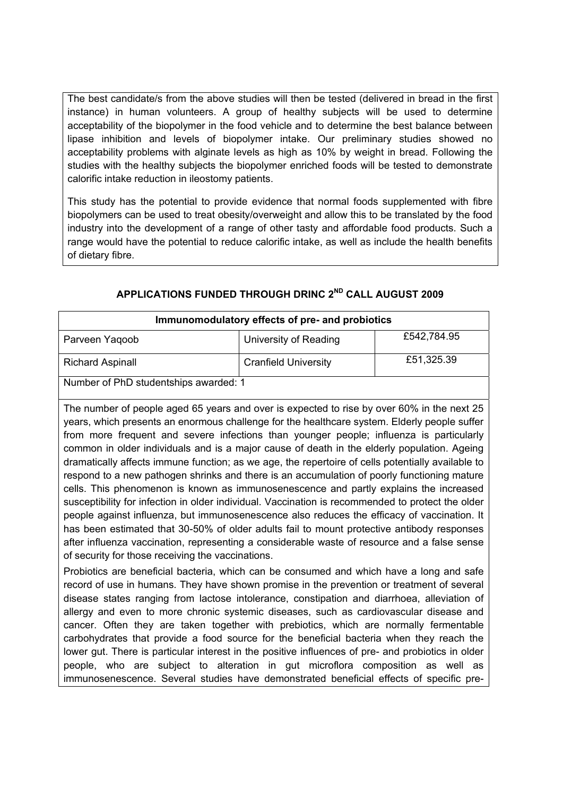The best candidate/s from the above studies will then be tested (delivered in bread in the first instance) in human volunteers. A group of healthy subjects will be used to determine acceptability of the biopolymer in the food vehicle and to determine the best balance between lipase inhibition and levels of biopolymer intake. Our preliminary studies showed no acceptability problems with alginate levels as high as 10% by weight in bread. Following the studies with the healthy subjects the biopolymer enriched foods will be tested to demonstrate calorific intake reduction in ileostomy patients.

This study has the potential to provide evidence that normal foods supplemented with fibre biopolymers can be used to treat obesity/overweight and allow this to be translated by the food industry into the development of a range of other tasty and affordable food products. Such a range would have the potential to reduce calorific intake, as well as include the health benefits of dietary fibre.

| Immunomodulatory effects of pre- and probiotics |                             |             |  |
|-------------------------------------------------|-----------------------------|-------------|--|
| Parveen Yaqoob                                  | University of Reading       | £542,784.95 |  |
| <b>Richard Aspinall</b>                         | <b>Cranfield University</b> | £51,325.39  |  |
| Number of PhD studentships awarded: 1           |                             |             |  |

## **APPLICATIONS FUNDED THROUGH DRINC 2ND CALL AUGUST 2009**

The number of people aged 65 years and over is expected to rise by over 60% in the next 25 years, which presents an enormous challenge for the healthcare system. Elderly people suffer from more frequent and severe infections than younger people; influenza is particularly common in older individuals and is a major cause of death in the elderly population. Ageing dramatically affects immune function; as we age, the repertoire of cells potentially available to respond to a new pathogen shrinks and there is an accumulation of poorly functioning mature cells. This phenomenon is known as immunosenescence and partly explains the increased susceptibility for infection in older individual. Vaccination is recommended to protect the older people against influenza, but immunosenescence also reduces the efficacy of vaccination. It has been estimated that 30-50% of older adults fail to mount protective antibody responses after influenza vaccination, representing a considerable waste of resource and a false sense of security for those receiving the vaccinations.

Probiotics are beneficial bacteria, which can be consumed and which have a long and safe record of use in humans. They have shown promise in the prevention or treatment of several disease states ranging from lactose intolerance, constipation and diarrhoea, alleviation of allergy and even to more chronic systemic diseases, such as cardiovascular disease and cancer. Often they are taken together with prebiotics, which are normally fermentable carbohydrates that provide a food source for the beneficial bacteria when they reach the lower gut. There is particular interest in the positive influences of pre- and probiotics in older people, who are subject to alteration in gut microflora composition as well as immunosenescence. Several studies have demonstrated beneficial effects of specific pre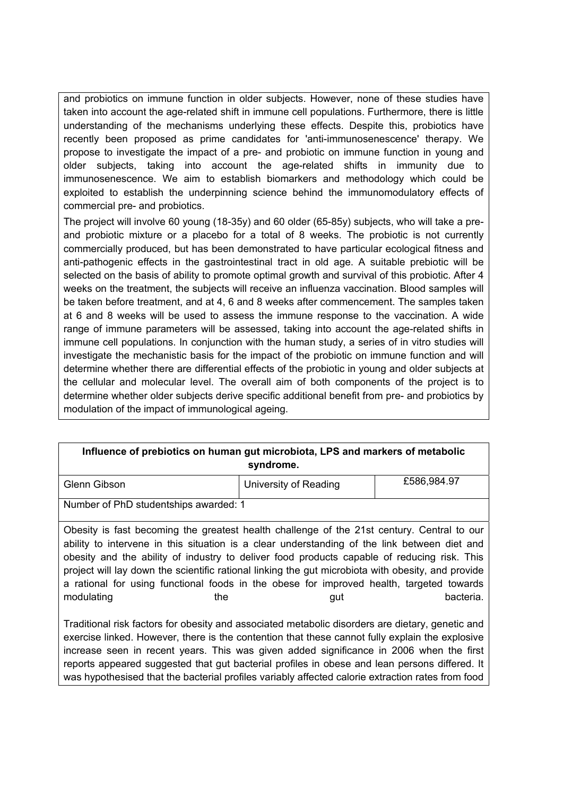and probiotics on immune function in older subjects. However, none of these studies have taken into account the age-related shift in immune cell populations. Furthermore, there is little understanding of the mechanisms underlying these effects. Despite this, probiotics have recently been proposed as prime candidates for 'anti-immunosenescence' therapy. We propose to investigate the impact of a pre- and probiotic on immune function in young and older subjects, taking into account the age-related shifts in immunity due to immunosenescence. We aim to establish biomarkers and methodology which could be exploited to establish the underpinning science behind the immunomodulatory effects of commercial pre- and probiotics.

The project will involve 60 young (18-35y) and 60 older (65-85y) subjects, who will take a preand probiotic mixture or a placebo for a total of 8 weeks. The probiotic is not currently commercially produced, but has been demonstrated to have particular ecological fitness and anti-pathogenic effects in the gastrointestinal tract in old age. A suitable prebiotic will be selected on the basis of ability to promote optimal growth and survival of this probiotic. After 4 weeks on the treatment, the subjects will receive an influenza vaccination. Blood samples will be taken before treatment, and at 4, 6 and 8 weeks after commencement. The samples taken at 6 and 8 weeks will be used to assess the immune response to the vaccination. A wide range of immune parameters will be assessed, taking into account the age-related shifts in immune cell populations. In conjunction with the human study, a series of in vitro studies will investigate the mechanistic basis for the impact of the probiotic on immune function and will determine whether there are differential effects of the probiotic in young and older subjects at the cellular and molecular level. The overall aim of both components of the project is to determine whether older subjects derive specific additional benefit from pre- and probiotics by modulation of the impact of immunological ageing.

| Influence of prebiotics on human gut microbiota, LPS and markers of metabolic<br>syndrome. |                                                                                                                                                                                                                                                                                                                                                                                                                                                                                                                  |                       |             |
|--------------------------------------------------------------------------------------------|------------------------------------------------------------------------------------------------------------------------------------------------------------------------------------------------------------------------------------------------------------------------------------------------------------------------------------------------------------------------------------------------------------------------------------------------------------------------------------------------------------------|-----------------------|-------------|
|                                                                                            | Glenn Gibson                                                                                                                                                                                                                                                                                                                                                                                                                                                                                                     | University of Reading | £586,984.97 |
|                                                                                            | Number of PhD studentships awarded: 1                                                                                                                                                                                                                                                                                                                                                                                                                                                                            |                       |             |
|                                                                                            | Obesity is fast becoming the greatest health challenge of the 21st century. Central to our<br>ability to intervene in this situation is a clear understanding of the link between diet and<br>obesity and the ability of industry to deliver food products capable of reducing risk. This<br>project will lay down the scientific rational linking the gut microbiota with obesity, and provide<br>a rational for using functional foods in the obese for improved health, targeted towards<br>modulating<br>the | gut                   | bacteria.   |
|                                                                                            | Traditional risk factors for obesity and associated metabolic disorders are dietary, genetic and<br>exercise linked. However, there is the contention that these cannot fully explain the explosive<br>increase seen in recent years. This was given added significance in 2006 when the first<br>reports appeared suggested that gut bacterial profiles in obese and lean persons differed. It                                                                                                                  |                       |             |

was hypothesised that the bacterial profiles variably affected calorie extraction rates from food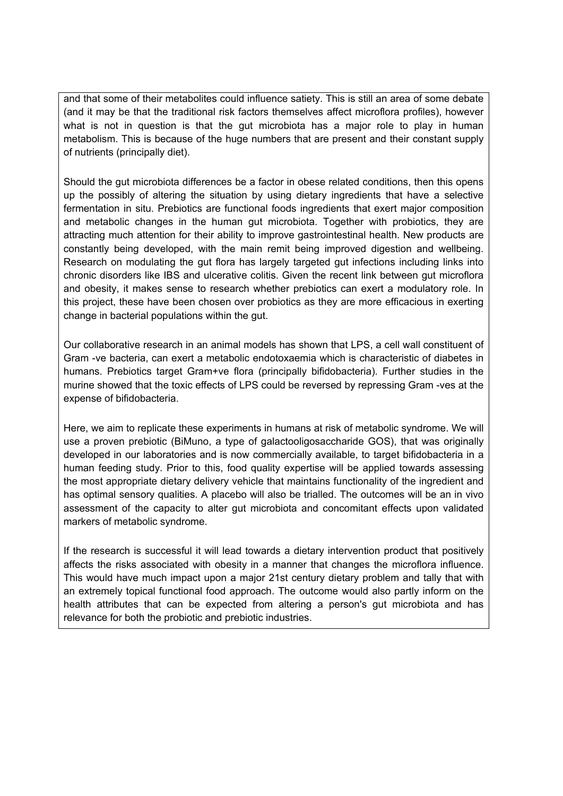and that some of their metabolites could influence satiety. This is still an area of some debate (and it may be that the traditional risk factors themselves affect microflora profiles), however what is not in question is that the gut microbiota has a major role to play in human metabolism. This is because of the huge numbers that are present and their constant supply of nutrients (principally diet).

Should the gut microbiota differences be a factor in obese related conditions, then this opens up the possibly of altering the situation by using dietary ingredients that have a selective fermentation in situ. Prebiotics are functional foods ingredients that exert major composition and metabolic changes in the human gut microbiota. Together with probiotics, they are attracting much attention for their ability to improve gastrointestinal health. New products are constantly being developed, with the main remit being improved digestion and wellbeing. Research on modulating the gut flora has largely targeted gut infections including links into chronic disorders like IBS and ulcerative colitis. Given the recent link between gut microflora and obesity, it makes sense to research whether prebiotics can exert a modulatory role. In this project, these have been chosen over probiotics as they are more efficacious in exerting change in bacterial populations within the gut.

Our collaborative research in an animal models has shown that LPS, a cell wall constituent of Gram -ve bacteria, can exert a metabolic endotoxaemia which is characteristic of diabetes in humans. Prebiotics target Gram+ve flora (principally bifidobacteria). Further studies in the murine showed that the toxic effects of LPS could be reversed by repressing Gram -ves at the expense of bifidobacteria.

Here, we aim to replicate these experiments in humans at risk of metabolic syndrome. We will use a proven prebiotic (BiMuno, a type of galactooligosaccharide GOS), that was originally developed in our laboratories and is now commercially available, to target bifidobacteria in a human feeding study. Prior to this, food quality expertise will be applied towards assessing the most appropriate dietary delivery vehicle that maintains functionality of the ingredient and has optimal sensory qualities. A placebo will also be trialled. The outcomes will be an in vivo assessment of the capacity to alter gut microbiota and concomitant effects upon validated markers of metabolic syndrome.

If the research is successful it will lead towards a dietary intervention product that positively affects the risks associated with obesity in a manner that changes the microflora influence. This would have much impact upon a major 21st century dietary problem and tally that with an extremely topical functional food approach. The outcome would also partly inform on the health attributes that can be expected from altering a person's gut microbiota and has relevance for both the probiotic and prebiotic industries.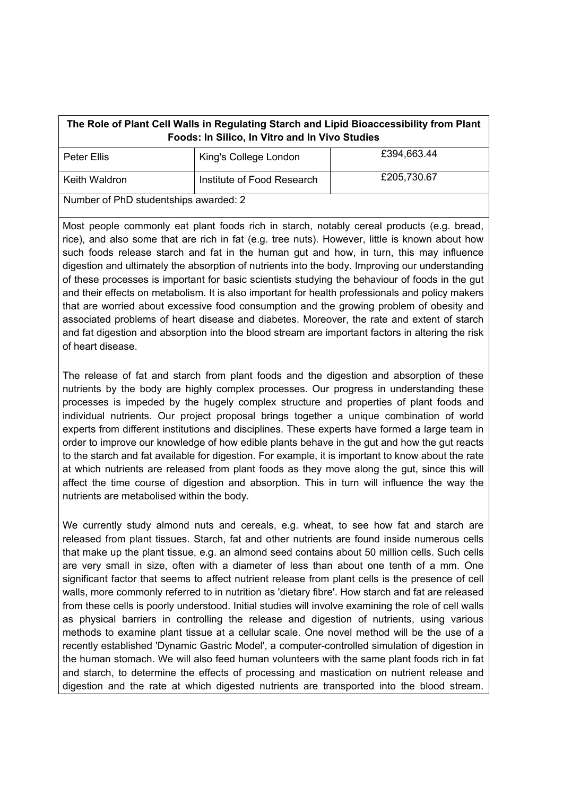| The Role of Plant Cell Walls in Regulating Starch and Lipid Bioaccessibility from Plant<br>Foods: In Silico, In Vitro and In Vivo Studies |                            |             |
|-------------------------------------------------------------------------------------------------------------------------------------------|----------------------------|-------------|
| Peter Ellis                                                                                                                               | King's College London      | £394,663.44 |
| Keith Waldron                                                                                                                             | Institute of Food Research | £205,730.67 |
| Number of PhD studentships awarded: 2                                                                                                     |                            |             |

Most people commonly eat plant foods rich in starch, notably cereal products (e.g. bread, rice), and also some that are rich in fat (e.g. tree nuts). However, little is known about how such foods release starch and fat in the human gut and how, in turn, this may influence digestion and ultimately the absorption of nutrients into the body. Improving our understanding of these processes is important for basic scientists studying the behaviour of foods in the gut and their effects on metabolism. It is also important for health professionals and policy makers that are worried about excessive food consumption and the growing problem of obesity and associated problems of heart disease and diabetes. Moreover, the rate and extent of starch and fat digestion and absorption into the blood stream are important factors in altering the risk of heart disease.

The release of fat and starch from plant foods and the digestion and absorption of these nutrients by the body are highly complex processes. Our progress in understanding these processes is impeded by the hugely complex structure and properties of plant foods and individual nutrients. Our project proposal brings together a unique combination of world experts from different institutions and disciplines. These experts have formed a large team in order to improve our knowledge of how edible plants behave in the gut and how the gut reacts to the starch and fat available for digestion. For example, it is important to know about the rate at which nutrients are released from plant foods as they move along the gut, since this will affect the time course of digestion and absorption. This in turn will influence the way the nutrients are metabolised within the body.

We currently study almond nuts and cereals, e.g. wheat, to see how fat and starch are released from plant tissues. Starch, fat and other nutrients are found inside numerous cells that make up the plant tissue, e.g. an almond seed contains about 50 million cells. Such cells are very small in size, often with a diameter of less than about one tenth of a mm. One significant factor that seems to affect nutrient release from plant cells is the presence of cell walls, more commonly referred to in nutrition as 'dietary fibre'. How starch and fat are released from these cells is poorly understood. Initial studies will involve examining the role of cell walls as physical barriers in controlling the release and digestion of nutrients, using various methods to examine plant tissue at a cellular scale. One novel method will be the use of a recently established 'Dynamic Gastric Model', a computer-controlled simulation of digestion in the human stomach. We will also feed human volunteers with the same plant foods rich in fat and starch, to determine the effects of processing and mastication on nutrient release and digestion and the rate at which digested nutrients are transported into the blood stream.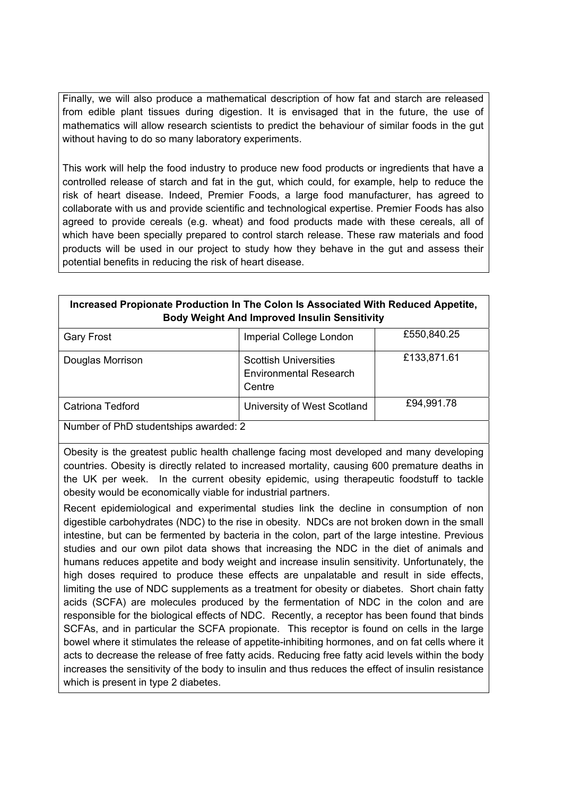Finally, we will also produce a mathematical description of how fat and starch are released from edible plant tissues during digestion. It is envisaged that in the future, the use of mathematics will allow research scientists to predict the behaviour of similar foods in the gut without having to do so many laboratory experiments.

This work will help the food industry to produce new food products or ingredients that have a controlled release of starch and fat in the gut, which could, for example, help to reduce the risk of heart disease. Indeed, Premier Foods, a large food manufacturer, has agreed to collaborate with us and provide scientific and technological expertise. Premier Foods has also agreed to provide cereals (e.g. wheat) and food products made with these cereals, all of which have been specially prepared to control starch release. These raw materials and food products will be used in our project to study how they behave in the gut and assess their potential benefits in reducing the risk of heart disease.

## **Increased Propionate Production In The Colon Is Associated With Reduced Appetite, Body Weight And Improved Insulin Sensitivity**

| <b>Gary Frost</b>                     | Imperial College London                                                 | £550,840.25 |
|---------------------------------------|-------------------------------------------------------------------------|-------------|
| Douglas Morrison                      | <b>Scottish Universities</b><br><b>Environmental Research</b><br>Centre | £133,871.61 |
| <b>Catriona Tedford</b>               | University of West Scotland                                             | £94,991.78  |
| Number of PhD studentships awarded: 2 |                                                                         |             |

Obesity is the greatest public health challenge facing most developed and many developing countries. Obesity is directly related to increased mortality, causing 600 premature deaths in the UK per week. In the current obesity epidemic, using therapeutic foodstuff to tackle obesity would be economically viable for industrial partners.

Recent epidemiological and experimental studies link the decline in consumption of non digestible carbohydrates (NDC) to the rise in obesity. NDCs are not broken down in the small intestine, but can be fermented by bacteria in the colon, part of the large intestine. Previous studies and our own pilot data shows that increasing the NDC in the diet of animals and humans reduces appetite and body weight and increase insulin sensitivity. Unfortunately, the high doses required to produce these effects are unpalatable and result in side effects, limiting the use of NDC supplements as a treatment for obesity or diabetes. Short chain fatty acids (SCFA) are molecules produced by the fermentation of NDC in the colon and are responsible for the biological effects of NDC. Recently, a receptor has been found that binds SCFAs, and in particular the SCFA propionate. This receptor is found on cells in the large bowel where it stimulates the release of appetite-inhibiting hormones, and on fat cells where it acts to decrease the release of free fatty acids. Reducing free fatty acid levels within the body increases the sensitivity of the body to insulin and thus reduces the effect of insulin resistance which is present in type 2 diabetes.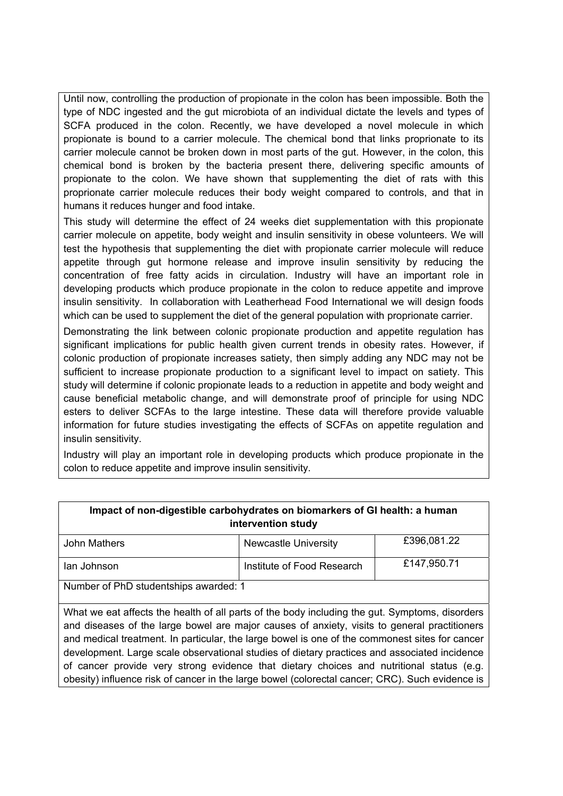Until now, controlling the production of propionate in the colon has been impossible. Both the type of NDC ingested and the gut microbiota of an individual dictate the levels and types of SCFA produced in the colon. Recently, we have developed a novel molecule in which propionate is bound to a carrier molecule. The chemical bond that links proprionate to its carrier molecule cannot be broken down in most parts of the gut. However, in the colon, this chemical bond is broken by the bacteria present there, delivering specific amounts of propionate to the colon. We have shown that supplementing the diet of rats with this proprionate carrier molecule reduces their body weight compared to controls, and that in humans it reduces hunger and food intake.

This study will determine the effect of 24 weeks diet supplementation with this propionate carrier molecule on appetite, body weight and insulin sensitivity in obese volunteers. We will test the hypothesis that supplementing the diet with propionate carrier molecule will reduce appetite through gut hormone release and improve insulin sensitivity by reducing the concentration of free fatty acids in circulation. Industry will have an important role in developing products which produce propionate in the colon to reduce appetite and improve insulin sensitivity. In collaboration with Leatherhead Food International we will design foods which can be used to supplement the diet of the general population with proprionate carrier.

Demonstrating the link between colonic propionate production and appetite regulation has significant implications for public health given current trends in obesity rates. However, if colonic production of propionate increases satiety, then simply adding any NDC may not be sufficient to increase propionate production to a significant level to impact on satiety. This study will determine if colonic propionate leads to a reduction in appetite and body weight and cause beneficial metabolic change, and will demonstrate proof of principle for using NDC esters to deliver SCFAs to the large intestine. These data will therefore provide valuable information for future studies investigating the effects of SCFAs on appetite regulation and insulin sensitivity.

Industry will play an important role in developing products which produce propionate in the colon to reduce appetite and improve insulin sensitivity.

| Impact of non-digestible carbohydrates on biomarkers of GI health: a human<br>intervention study                                                                                                                                                                                                                                                                                                                                                                                                                                                                                                |                             |             |
|-------------------------------------------------------------------------------------------------------------------------------------------------------------------------------------------------------------------------------------------------------------------------------------------------------------------------------------------------------------------------------------------------------------------------------------------------------------------------------------------------------------------------------------------------------------------------------------------------|-----------------------------|-------------|
| John Mathers                                                                                                                                                                                                                                                                                                                                                                                                                                                                                                                                                                                    | <b>Newcastle University</b> | £396,081.22 |
| lan Johnson                                                                                                                                                                                                                                                                                                                                                                                                                                                                                                                                                                                     | Institute of Food Research  | £147,950.71 |
| Number of PhD studentships awarded: 1                                                                                                                                                                                                                                                                                                                                                                                                                                                                                                                                                           |                             |             |
| What we eat affects the health of all parts of the body including the gut. Symptoms, disorders<br>and diseases of the large bowel are major causes of anxiety, visits to general practitioners<br>and medical treatment. In particular, the large bowel is one of the commonest sites for cancer<br>development. Large scale observational studies of dietary practices and associated incidence<br>of cancer provide very strong evidence that dietary choices and nutritional status (e.g.<br>obesity) influence risk of cancer in the large bowel (colorectal cancer; CRC). Such evidence is |                             |             |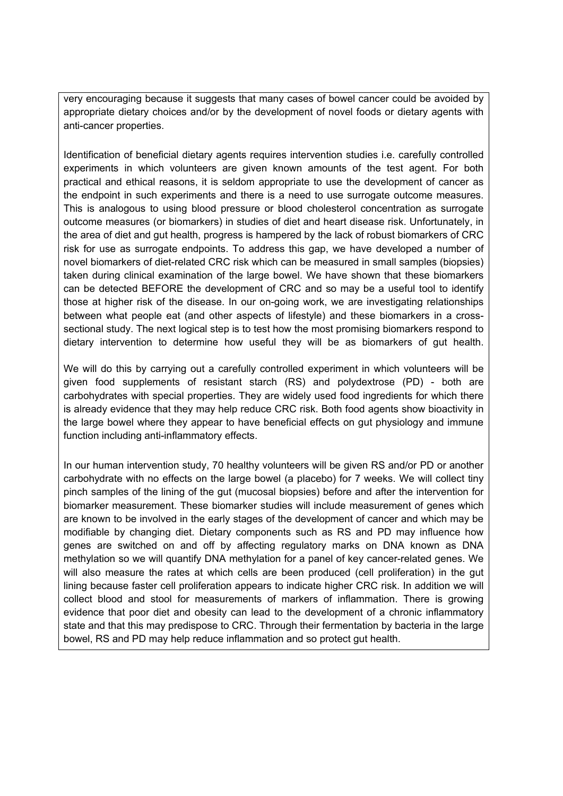very encouraging because it suggests that many cases of bowel cancer could be avoided by appropriate dietary choices and/or by the development of novel foods or dietary agents with anti-cancer properties.

Identification of beneficial dietary agents requires intervention studies i.e. carefully controlled experiments in which volunteers are given known amounts of the test agent. For both practical and ethical reasons, it is seldom appropriate to use the development of cancer as the endpoint in such experiments and there is a need to use surrogate outcome measures. This is analogous to using blood pressure or blood cholesterol concentration as surrogate outcome measures (or biomarkers) in studies of diet and heart disease risk. Unfortunately, in the area of diet and gut health, progress is hampered by the lack of robust biomarkers of CRC risk for use as surrogate endpoints. To address this gap, we have developed a number of novel biomarkers of diet-related CRC risk which can be measured in small samples (biopsies) taken during clinical examination of the large bowel. We have shown that these biomarkers can be detected BEFORE the development of CRC and so may be a useful tool to identify those at higher risk of the disease. In our on-going work, we are investigating relationships between what people eat (and other aspects of lifestyle) and these biomarkers in a crosssectional study. The next logical step is to test how the most promising biomarkers respond to dietary intervention to determine how useful they will be as biomarkers of gut health.

We will do this by carrying out a carefully controlled experiment in which volunteers will be given food supplements of resistant starch (RS) and polydextrose (PD) - both are carbohydrates with special properties. They are widely used food ingredients for which there is already evidence that they may help reduce CRC risk. Both food agents show bioactivity in the large bowel where they appear to have beneficial effects on gut physiology and immune function including anti-inflammatory effects.

In our human intervention study, 70 healthy volunteers will be given RS and/or PD or another carbohydrate with no effects on the large bowel (a placebo) for 7 weeks. We will collect tiny pinch samples of the lining of the gut (mucosal biopsies) before and after the intervention for biomarker measurement. These biomarker studies will include measurement of genes which are known to be involved in the early stages of the development of cancer and which may be modifiable by changing diet. Dietary components such as RS and PD may influence how genes are switched on and off by affecting regulatory marks on DNA known as DNA methylation so we will quantify DNA methylation for a panel of key cancer-related genes. We will also measure the rates at which cells are been produced (cell proliferation) in the gut lining because faster cell proliferation appears to indicate higher CRC risk. In addition we will collect blood and stool for measurements of markers of inflammation. There is growing evidence that poor diet and obesity can lead to the development of a chronic inflammatory state and that this may predispose to CRC. Through their fermentation by bacteria in the large bowel, RS and PD may help reduce inflammation and so protect gut health.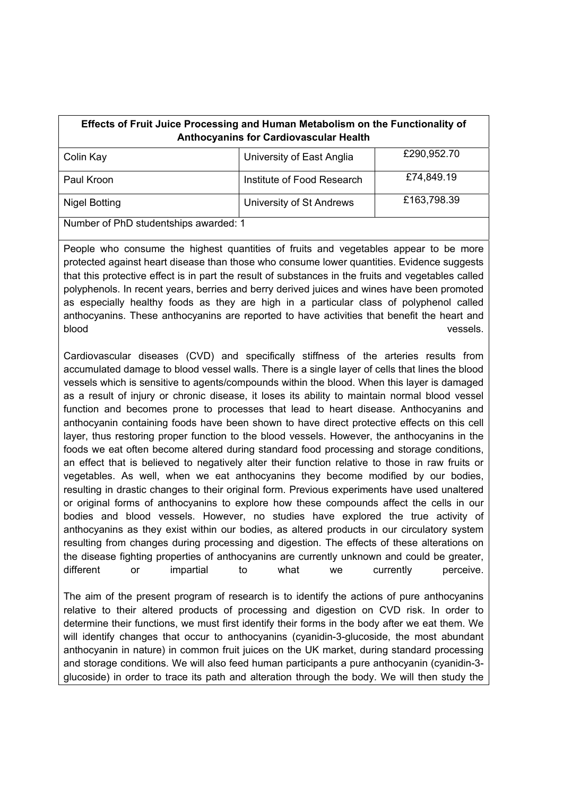| <b>Effects of Fruit Juice Processing and Human Metabolism on the Functionality of</b><br><b>Anthocyanins for Cardiovascular Health</b> |                            |             |
|----------------------------------------------------------------------------------------------------------------------------------------|----------------------------|-------------|
| Colin Kay                                                                                                                              | University of East Anglia  | £290,952.70 |
| Paul Kroon                                                                                                                             | Institute of Food Research | £74,849.19  |
| <b>Nigel Botting</b>                                                                                                                   | University of St Andrews   | £163,798.39 |
| Number of PhD studentships awarded: 1                                                                                                  |                            |             |

People who consume the highest quantities of fruits and vegetables appear to be more protected against heart disease than those who consume lower quantities. Evidence suggests that this protective effect is in part the result of substances in the fruits and vegetables called polyphenols. In recent years, berries and berry derived juices and wines have been promoted as especially healthy foods as they are high in a particular class of polyphenol called anthocyanins. These anthocyanins are reported to have activities that benefit the heart and blood vessels. The contract of the contract of the contract of the contract of the contract of the contract of

Cardiovascular diseases (CVD) and specifically stiffness of the arteries results from accumulated damage to blood vessel walls. There is a single layer of cells that lines the blood vessels which is sensitive to agents/compounds within the blood. When this layer is damaged as a result of injury or chronic disease, it loses its ability to maintain normal blood vessel function and becomes prone to processes that lead to heart disease. Anthocyanins and anthocyanin containing foods have been shown to have direct protective effects on this cell layer, thus restoring proper function to the blood vessels. However, the anthocyanins in the foods we eat often become altered during standard food processing and storage conditions, an effect that is believed to negatively alter their function relative to those in raw fruits or vegetables. As well, when we eat anthocyanins they become modified by our bodies, resulting in drastic changes to their original form. Previous experiments have used unaltered or original forms of anthocyanins to explore how these compounds affect the cells in our bodies and blood vessels. However, no studies have explored the true activity of anthocyanins as they exist within our bodies, as altered products in our circulatory system resulting from changes during processing and digestion. The effects of these alterations on the disease fighting properties of anthocyanins are currently unknown and could be greater, different or impartial to what we currently perceive.

The aim of the present program of research is to identify the actions of pure anthocyanins relative to their altered products of processing and digestion on CVD risk. In order to determine their functions, we must first identify their forms in the body after we eat them. We will identify changes that occur to anthocyanins (cyanidin-3-glucoside, the most abundant anthocyanin in nature) in common fruit juices on the UK market, during standard processing and storage conditions. We will also feed human participants a pure anthocyanin (cyanidin-3 glucoside) in order to trace its path and alteration through the body. We will then study the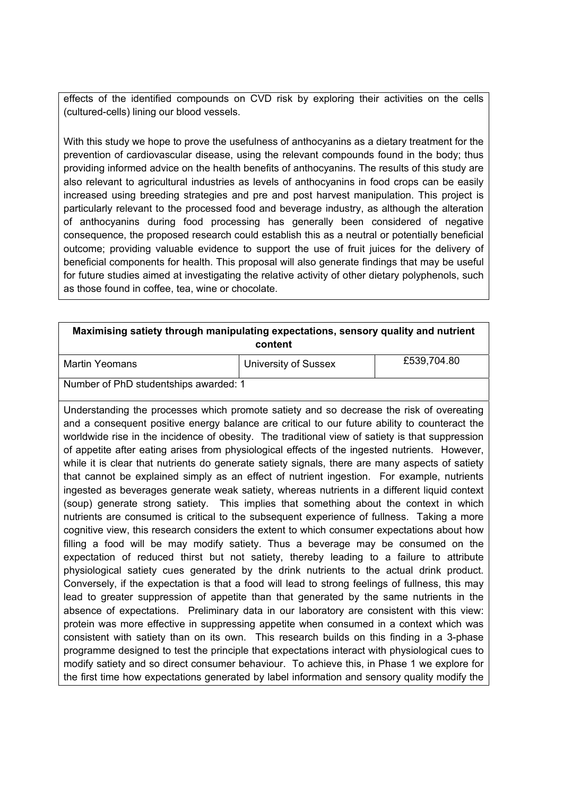effects of the identified compounds on CVD risk by exploring their activities on the cells (cultured-cells) lining our blood vessels.

With this study we hope to prove the usefulness of anthocyanins as a dietary treatment for the prevention of cardiovascular disease, using the relevant compounds found in the body; thus providing informed advice on the health benefits of anthocyanins. The results of this study are also relevant to agricultural industries as levels of anthocyanins in food crops can be easily increased using breeding strategies and pre and post harvest manipulation. This project is particularly relevant to the processed food and beverage industry, as although the alteration of anthocyanins during food processing has generally been considered of negative consequence, the proposed research could establish this as a neutral or potentially beneficial outcome; providing valuable evidence to support the use of fruit juices for the delivery of beneficial components for health. This proposal will also generate findings that may be useful for future studies aimed at investigating the relative activity of other dietary polyphenols, such as those found in coffee, tea, wine or chocolate.

#### **Maximising satiety through manipulating expectations, sensory quality and nutrient content**

| Martin Yeomans                        | University of Sussex | £539,704.80 |
|---------------------------------------|----------------------|-------------|
| Number of PhD studentships awarded: 1 |                      |             |

Understanding the processes which promote satiety and so decrease the risk of overeating and a consequent positive energy balance are critical to our future ability to counteract the worldwide rise in the incidence of obesity. The traditional view of satiety is that suppression of appetite after eating arises from physiological effects of the ingested nutrients. However, while it is clear that nutrients do generate satiety signals, there are many aspects of satiety that cannot be explained simply as an effect of nutrient ingestion. For example, nutrients ingested as beverages generate weak satiety, whereas nutrients in a different liquid context (soup) generate strong satiety. This implies that something about the context in which nutrients are consumed is critical to the subsequent experience of fullness. Taking a more cognitive view, this research considers the extent to which consumer expectations about how filling a food will be may modify satiety. Thus a beverage may be consumed on the expectation of reduced thirst but not satiety, thereby leading to a failure to attribute physiological satiety cues generated by the drink nutrients to the actual drink product. Conversely, if the expectation is that a food will lead to strong feelings of fullness, this may lead to greater suppression of appetite than that generated by the same nutrients in the absence of expectations. Preliminary data in our laboratory are consistent with this view: protein was more effective in suppressing appetite when consumed in a context which was consistent with satiety than on its own. This research builds on this finding in a 3-phase programme designed to test the principle that expectations interact with physiological cues to modify satiety and so direct consumer behaviour. To achieve this, in Phase 1 we explore for the first time how expectations generated by label information and sensory quality modify the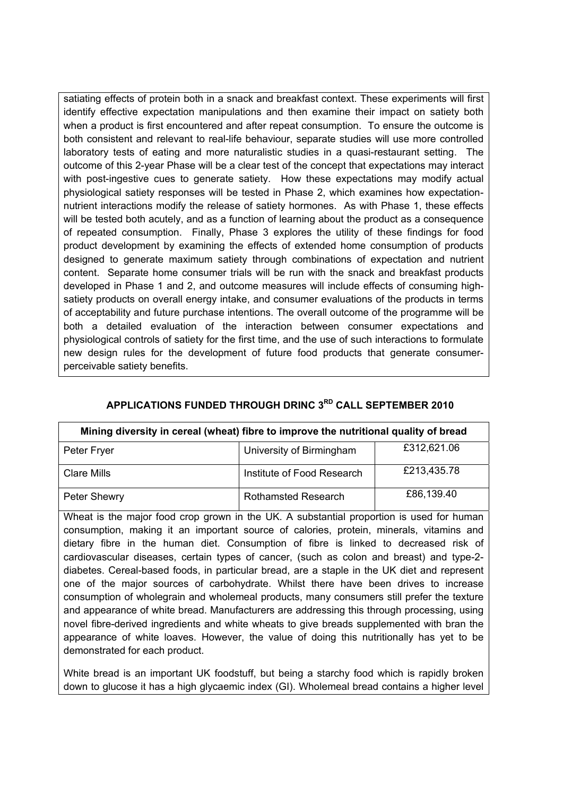satiating effects of protein both in a snack and breakfast context. These experiments will first identify effective expectation manipulations and then examine their impact on satiety both when a product is first encountered and after repeat consumption. To ensure the outcome is both consistent and relevant to real-life behaviour, separate studies will use more controlled laboratory tests of eating and more naturalistic studies in a quasi-restaurant setting. The outcome of this 2-year Phase will be a clear test of the concept that expectations may interact with post-ingestive cues to generate satiety. How these expectations may modify actual physiological satiety responses will be tested in Phase 2, which examines how expectationnutrient interactions modify the release of satiety hormones. As with Phase 1, these effects will be tested both acutely, and as a function of learning about the product as a consequence of repeated consumption. Finally, Phase 3 explores the utility of these findings for food product development by examining the effects of extended home consumption of products designed to generate maximum satiety through combinations of expectation and nutrient content. Separate home consumer trials will be run with the snack and breakfast products developed in Phase 1 and 2, and outcome measures will include effects of consuming highsatiety products on overall energy intake, and consumer evaluations of the products in terms of acceptability and future purchase intentions. The overall outcome of the programme will be both a detailed evaluation of the interaction between consumer expectations and physiological controls of satiety for the first time, and the use of such interactions to formulate new design rules for the development of future food products that generate consumerperceivable satiety benefits.

| Mining diversity in cereal (wheat) fibre to improve the nutritional quality of bread |                            |             |  |
|--------------------------------------------------------------------------------------|----------------------------|-------------|--|
| Peter Fryer                                                                          | University of Birmingham   | £312,621.06 |  |
| <b>Clare Mills</b>                                                                   | Institute of Food Research | £213,435.78 |  |
| Peter Shewry                                                                         | <b>Rothamsted Research</b> | £86,139.40  |  |

## **APPLICATIONS FUNDED THROUGH DRINC 3RD CALL SEPTEMBER 2010**

Wheat is the major food crop grown in the UK. A substantial proportion is used for human consumption, making it an important source of calories, protein, minerals, vitamins and dietary fibre in the human diet. Consumption of fibre is linked to decreased risk of cardiovascular diseases, certain types of cancer, (such as colon and breast) and type-2 diabetes. Cereal-based foods, in particular bread, are a staple in the UK diet and represent one of the major sources of carbohydrate. Whilst there have been drives to increase consumption of wholegrain and wholemeal products, many consumers still prefer the texture and appearance of white bread. Manufacturers are addressing this through processing, using novel fibre-derived ingredients and white wheats to give breads supplemented with bran the appearance of white loaves. However, the value of doing this nutritionally has yet to be demonstrated for each product.

White bread is an important UK foodstuff, but being a starchy food which is rapidly broken down to glucose it has a high glycaemic index (GI). Wholemeal bread contains a higher level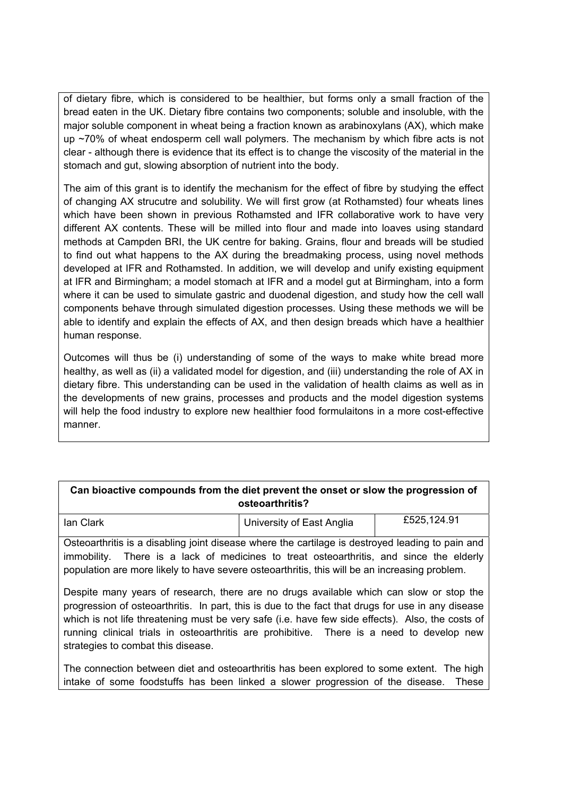of dietary fibre, which is considered to be healthier, but forms only a small fraction of the bread eaten in the UK. Dietary fibre contains two components; soluble and insoluble, with the major soluble component in wheat being a fraction known as arabinoxylans (AX), which make up ~70% of wheat endosperm cell wall polymers. The mechanism by which fibre acts is not clear - although there is evidence that its effect is to change the viscosity of the material in the stomach and gut, slowing absorption of nutrient into the body.

The aim of this grant is to identify the mechanism for the effect of fibre by studying the effect of changing AX strucutre and solubility. We will first grow (at Rothamsted) four wheats lines which have been shown in previous Rothamsted and IFR collaborative work to have very different AX contents. These will be milled into flour and made into loaves using standard methods at Campden BRI, the UK centre for baking. Grains, flour and breads will be studied to find out what happens to the AX during the breadmaking process, using novel methods developed at IFR and Rothamsted. In addition, we will develop and unify existing equipment at IFR and Birmingham; a model stomach at IFR and a model gut at Birmingham, into a form where it can be used to simulate gastric and duodenal digestion, and study how the cell wall components behave through simulated digestion processes. Using these methods we will be able to identify and explain the effects of AX, and then design breads which have a healthier human response.

Outcomes will thus be (i) understanding of some of the ways to make white bread more healthy, as well as (ii) a validated model for digestion, and (iii) understanding the role of AX in dietary fibre. This understanding can be used in the validation of health claims as well as in the developments of new grains, processes and products and the model digestion systems will help the food industry to explore new healthier food formulaitons in a more cost-effective manner.

| Can bioactive compounds from the diet prevent the onset or slow the progression of |
|------------------------------------------------------------------------------------|
| osteoarthritis?                                                                    |

| lan Clark | University of East Anglia | £525,124.91 |
|-----------|---------------------------|-------------|
|           |                           |             |

Osteoarthritis is a disabling joint disease where the cartilage is destroyed leading to pain and immobility. There is a lack of medicines to treat osteoarthritis, and since the elderly population are more likely to have severe osteoarthritis, this will be an increasing problem.

Despite many years of research, there are no drugs available which can slow or stop the progression of osteoarthritis. In part, this is due to the fact that drugs for use in any disease which is not life threatening must be very safe (i.e. have few side effects). Also, the costs of running clinical trials in osteoarthritis are prohibitive. There is a need to develop new strategies to combat this disease.

The connection between diet and osteoarthritis has been explored to some extent. The high intake of some foodstuffs has been linked a slower progression of the disease. These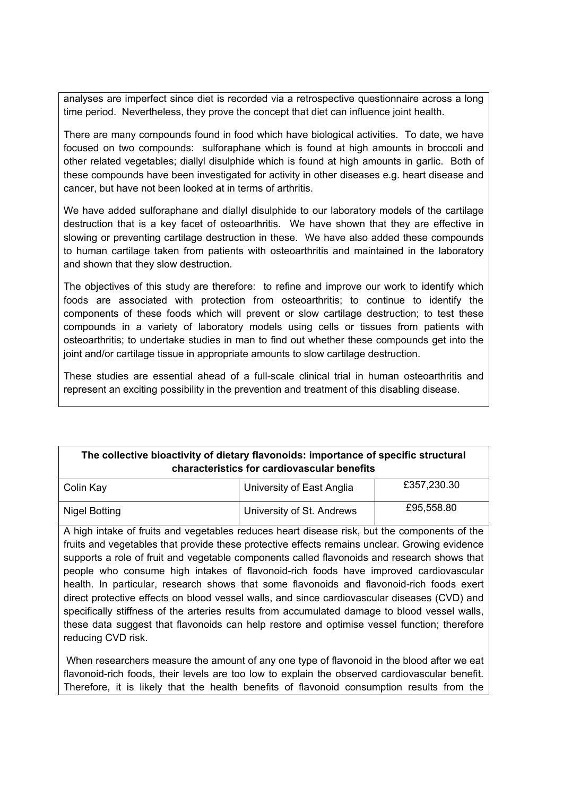analyses are imperfect since diet is recorded via a retrospective questionnaire across a long time period. Nevertheless, they prove the concept that diet can influence joint health.

There are many compounds found in food which have biological activities. To date, we have focused on two compounds: sulforaphane which is found at high amounts in broccoli and other related vegetables; diallyl disulphide which is found at high amounts in garlic. Both of these compounds have been investigated for activity in other diseases e.g. heart disease and cancer, but have not been looked at in terms of arthritis.

We have added sulforaphane and diallyl disulphide to our laboratory models of the cartilage destruction that is a key facet of osteoarthritis. We have shown that they are effective in slowing or preventing cartilage destruction in these. We have also added these compounds to human cartilage taken from patients with osteoarthritis and maintained in the laboratory and shown that they slow destruction.

The objectives of this study are therefore: to refine and improve our work to identify which foods are associated with protection from osteoarthritis; to continue to identify the components of these foods which will prevent or slow cartilage destruction; to test these compounds in a variety of laboratory models using cells or tissues from patients with osteoarthritis; to undertake studies in man to find out whether these compounds get into the joint and/or cartilage tissue in appropriate amounts to slow cartilage destruction.

These studies are essential ahead of a full-scale clinical trial in human osteoarthritis and represent an exciting possibility in the prevention and treatment of this disabling disease.

## **The collective bioactivity of dietary flavonoids: importance of specific structural characteristics for cardiovascular benefits**

| Colin Kay     | University of East Anglia | £357,230.30 |
|---------------|---------------------------|-------------|
| Nigel Botting | University of St. Andrews | £95,558.80  |

A high intake of fruits and vegetables reduces heart disease risk, but the components of the fruits and vegetables that provide these protective effects remains unclear. Growing evidence supports a role of fruit and vegetable components called flavonoids and research shows that people who consume high intakes of flavonoid-rich foods have improved cardiovascular health. In particular, research shows that some flavonoids and flavonoid-rich foods exert direct protective effects on blood vessel walls, and since cardiovascular diseases (CVD) and specifically stiffness of the arteries results from accumulated damage to blood vessel walls, these data suggest that flavonoids can help restore and optimise vessel function; therefore reducing CVD risk.

 When researchers measure the amount of any one type of flavonoid in the blood after we eat flavonoid-rich foods, their levels are too low to explain the observed cardiovascular benefit. Therefore, it is likely that the health benefits of flavonoid consumption results from the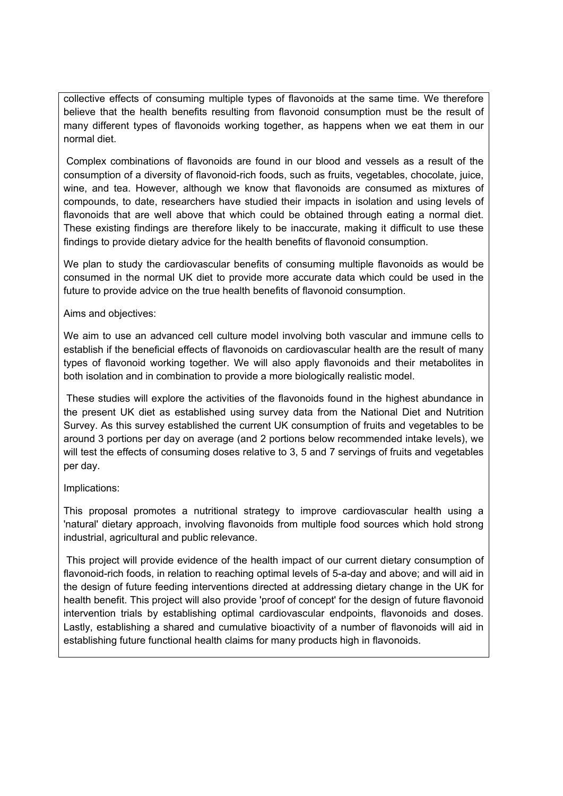collective effects of consuming multiple types of flavonoids at the same time. We therefore believe that the health benefits resulting from flavonoid consumption must be the result of many different types of flavonoids working together, as happens when we eat them in our normal diet.

 Complex combinations of flavonoids are found in our blood and vessels as a result of the consumption of a diversity of flavonoid-rich foods, such as fruits, vegetables, chocolate, juice, wine, and tea. However, although we know that flavonoids are consumed as mixtures of compounds, to date, researchers have studied their impacts in isolation and using levels of flavonoids that are well above that which could be obtained through eating a normal diet. These existing findings are therefore likely to be inaccurate, making it difficult to use these findings to provide dietary advice for the health benefits of flavonoid consumption.

We plan to study the cardiovascular benefits of consuming multiple flavonoids as would be consumed in the normal UK diet to provide more accurate data which could be used in the future to provide advice on the true health benefits of flavonoid consumption.

Aims and objectives:

We aim to use an advanced cell culture model involving both vascular and immune cells to establish if the beneficial effects of flavonoids on cardiovascular health are the result of many types of flavonoid working together. We will also apply flavonoids and their metabolites in both isolation and in combination to provide a more biologically realistic model.

 These studies will explore the activities of the flavonoids found in the highest abundance in the present UK diet as established using survey data from the National Diet and Nutrition Survey. As this survey established the current UK consumption of fruits and vegetables to be around 3 portions per day on average (and 2 portions below recommended intake levels), we will test the effects of consuming doses relative to 3, 5 and 7 servings of fruits and vegetables per day.

#### Implications:

This proposal promotes a nutritional strategy to improve cardiovascular health using a 'natural' dietary approach, involving flavonoids from multiple food sources which hold strong industrial, agricultural and public relevance.

 This project will provide evidence of the health impact of our current dietary consumption of flavonoid-rich foods, in relation to reaching optimal levels of 5-a-day and above; and will aid in the design of future feeding interventions directed at addressing dietary change in the UK for health benefit. This project will also provide 'proof of concept' for the design of future flavonoid intervention trials by establishing optimal cardiovascular endpoints, flavonoids and doses. Lastly, establishing a shared and cumulative bioactivity of a number of flavonoids will aid in establishing future functional health claims for many products high in flavonoids.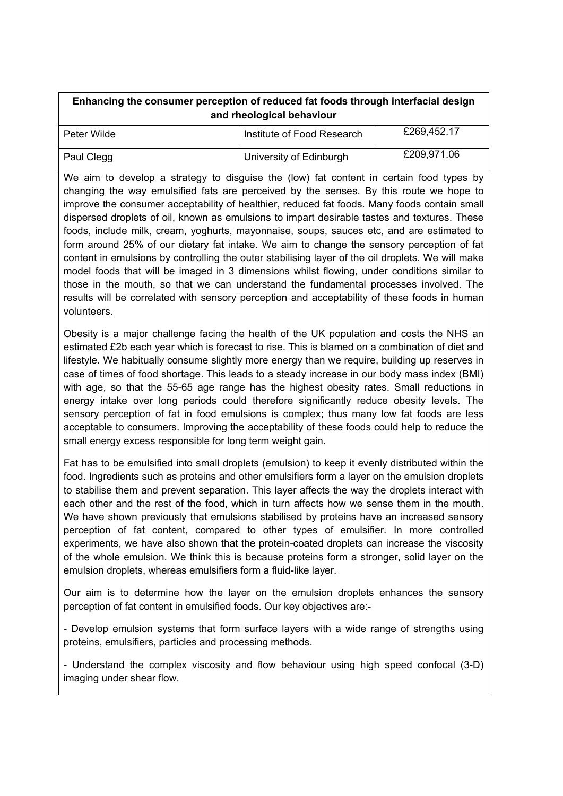| Enhancing the consumer perception of reduced fat foods through interfacial design |  |  |
|-----------------------------------------------------------------------------------|--|--|
| and rheological behaviour                                                         |  |  |

| Peter Wilde | Institute of Food Research | £269,452.17 |
|-------------|----------------------------|-------------|
| Paul Clegg  | University of Edinburgh    | £209,971.06 |

We aim to develop a strategy to disguise the (low) fat content in certain food types by changing the way emulsified fats are perceived by the senses. By this route we hope to improve the consumer acceptability of healthier, reduced fat foods. Many foods contain small dispersed droplets of oil, known as emulsions to impart desirable tastes and textures. These foods, include milk, cream, yoghurts, mayonnaise, soups, sauces etc, and are estimated to form around 25% of our dietary fat intake. We aim to change the sensory perception of fat content in emulsions by controlling the outer stabilising layer of the oil droplets. We will make model foods that will be imaged in 3 dimensions whilst flowing, under conditions similar to those in the mouth, so that we can understand the fundamental processes involved. The results will be correlated with sensory perception and acceptability of these foods in human volunteers.

Obesity is a major challenge facing the health of the UK population and costs the NHS an estimated £2b each year which is forecast to rise. This is blamed on a combination of diet and lifestyle. We habitually consume slightly more energy than we require, building up reserves in case of times of food shortage. This leads to a steady increase in our body mass index (BMI) with age, so that the 55-65 age range has the highest obesity rates. Small reductions in energy intake over long periods could therefore significantly reduce obesity levels. The sensory perception of fat in food emulsions is complex; thus many low fat foods are less acceptable to consumers. Improving the acceptability of these foods could help to reduce the small energy excess responsible for long term weight gain.

Fat has to be emulsified into small droplets (emulsion) to keep it evenly distributed within the food. Ingredients such as proteins and other emulsifiers form a layer on the emulsion droplets to stabilise them and prevent separation. This layer affects the way the droplets interact with each other and the rest of the food, which in turn affects how we sense them in the mouth. We have shown previously that emulsions stabilised by proteins have an increased sensory perception of fat content, compared to other types of emulsifier. In more controlled experiments, we have also shown that the protein-coated droplets can increase the viscosity of the whole emulsion. We think this is because proteins form a stronger, solid layer on the emulsion droplets, whereas emulsifiers form a fluid-like layer.

Our aim is to determine how the layer on the emulsion droplets enhances the sensory perception of fat content in emulsified foods. Our key objectives are:-

- Develop emulsion systems that form surface layers with a wide range of strengths using proteins, emulsifiers, particles and processing methods.

- Understand the complex viscosity and flow behaviour using high speed confocal (3-D) imaging under shear flow.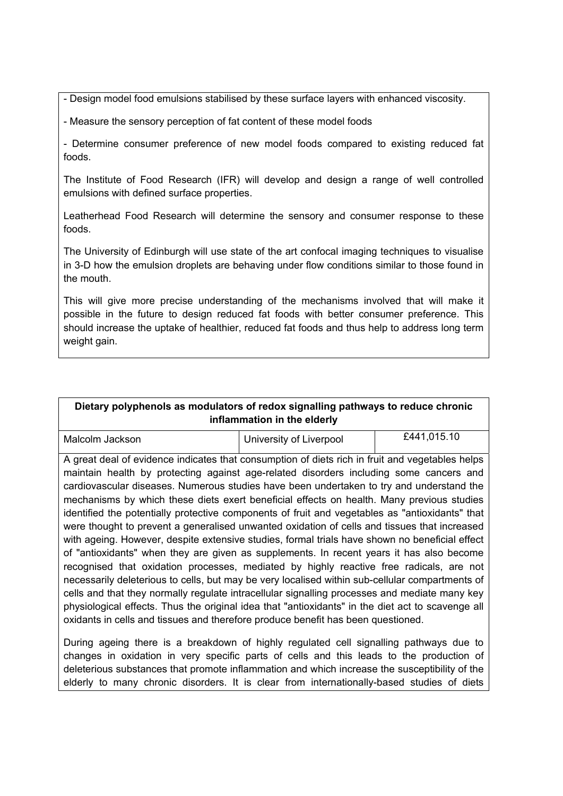- Design model food emulsions stabilised by these surface layers with enhanced viscosity.

- Measure the sensory perception of fat content of these model foods

- Determine consumer preference of new model foods compared to existing reduced fat foods.

The Institute of Food Research (IFR) will develop and design a range of well controlled emulsions with defined surface properties.

Leatherhead Food Research will determine the sensory and consumer response to these foods.

The University of Edinburgh will use state of the art confocal imaging techniques to visualise in 3-D how the emulsion droplets are behaving under flow conditions similar to those found in the mouth.

This will give more precise understanding of the mechanisms involved that will make it possible in the future to design reduced fat foods with better consumer preference. This should increase the uptake of healthier, reduced fat foods and thus help to address long term weight gain.

## **Dietary polyphenols as modulators of redox signalling pathways to reduce chronic inflammation in the elderly**

| Malcolm Jackson | University of Liverpool | £441,015.10 |
|-----------------|-------------------------|-------------|

A great deal of evidence indicates that consumption of diets rich in fruit and vegetables helps maintain health by protecting against age-related disorders including some cancers and cardiovascular diseases. Numerous studies have been undertaken to try and understand the mechanisms by which these diets exert beneficial effects on health. Many previous studies identified the potentially protective components of fruit and vegetables as "antioxidants" that were thought to prevent a generalised unwanted oxidation of cells and tissues that increased with ageing. However, despite extensive studies, formal trials have shown no beneficial effect of "antioxidants" when they are given as supplements. In recent years it has also become recognised that oxidation processes, mediated by highly reactive free radicals, are not necessarily deleterious to cells, but may be very localised within sub-cellular compartments of cells and that they normally regulate intracellular signalling processes and mediate many key physiological effects. Thus the original idea that "antioxidants" in the diet act to scavenge all oxidants in cells and tissues and therefore produce benefit has been questioned.

During ageing there is a breakdown of highly regulated cell signalling pathways due to changes in oxidation in very specific parts of cells and this leads to the production of deleterious substances that promote inflammation and which increase the susceptibility of the elderly to many chronic disorders. It is clear from internationally-based studies of diets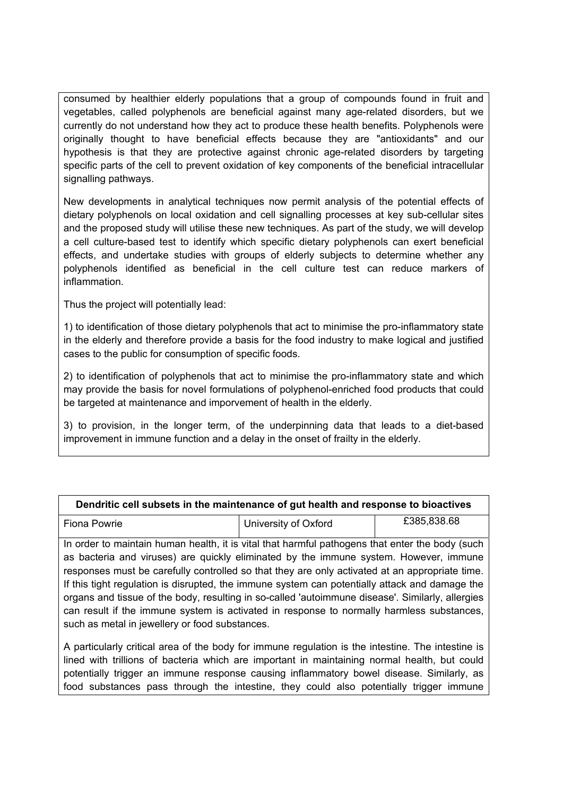consumed by healthier elderly populations that a group of compounds found in fruit and vegetables, called polyphenols are beneficial against many age-related disorders, but we currently do not understand how they act to produce these health benefits. Polyphenols were originally thought to have beneficial effects because they are "antioxidants" and our hypothesis is that they are protective against chronic age-related disorders by targeting specific parts of the cell to prevent oxidation of key components of the beneficial intracellular signalling pathways.

New developments in analytical techniques now permit analysis of the potential effects of dietary polyphenols on local oxidation and cell signalling processes at key sub-cellular sites and the proposed study will utilise these new techniques. As part of the study, we will develop a cell culture-based test to identify which specific dietary polyphenols can exert beneficial effects, and undertake studies with groups of elderly subjects to determine whether any polyphenols identified as beneficial in the cell culture test can reduce markers of inflammation.

Thus the project will potentially lead:

1) to identification of those dietary polyphenols that act to minimise the pro-inflammatory state in the elderly and therefore provide a basis for the food industry to make logical and justified cases to the public for consumption of specific foods.

2) to identification of polyphenols that act to minimise the pro-inflammatory state and which may provide the basis for novel formulations of polyphenol-enriched food products that could be targeted at maintenance and imporvement of health in the elderly.

3) to provision, in the longer term, of the underpinning data that leads to a diet-based improvement in immune function and a delay in the onset of frailty in the elderly.

| Dendritic cell subsets in the maintenance of gut health and response to bioactives                                                                                                                                                                                                                                                                                                                                                                                                                                                                                                                                                              |                      |             |
|-------------------------------------------------------------------------------------------------------------------------------------------------------------------------------------------------------------------------------------------------------------------------------------------------------------------------------------------------------------------------------------------------------------------------------------------------------------------------------------------------------------------------------------------------------------------------------------------------------------------------------------------------|----------------------|-------------|
| Fiona Powrie                                                                                                                                                                                                                                                                                                                                                                                                                                                                                                                                                                                                                                    | University of Oxford | £385,838.68 |
| In order to maintain human health, it is vital that harmful pathogens that enter the body (such<br>as bacteria and viruses) are quickly eliminated by the immune system. However, immune<br>responses must be carefully controlled so that they are only activated at an appropriate time.<br>If this tight regulation is disrupted, the immune system can potentially attack and damage the<br>organs and tissue of the body, resulting in so-called 'autoimmune disease'. Similarly, allergies<br>can result if the immune system is activated in response to normally harmless substances,<br>such as metal in jewellery or food substances. |                      |             |

A particularly critical area of the body for immune regulation is the intestine. The intestine is lined with trillions of bacteria which are important in maintaining normal health, but could potentially trigger an immune response causing inflammatory bowel disease. Similarly, as food substances pass through the intestine, they could also potentially trigger immune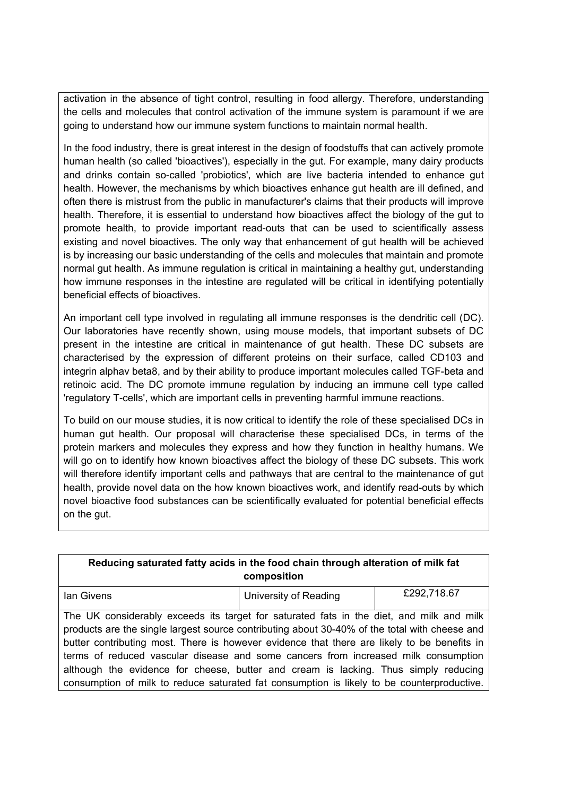activation in the absence of tight control, resulting in food allergy. Therefore, understanding the cells and molecules that control activation of the immune system is paramount if we are going to understand how our immune system functions to maintain normal health.

In the food industry, there is great interest in the design of foodstuffs that can actively promote human health (so called 'bioactives'), especially in the gut. For example, many dairy products and drinks contain so-called 'probiotics', which are live bacteria intended to enhance gut health. However, the mechanisms by which bioactives enhance gut health are ill defined, and often there is mistrust from the public in manufacturer's claims that their products will improve health. Therefore, it is essential to understand how bioactives affect the biology of the gut to promote health, to provide important read-outs that can be used to scientifically assess existing and novel bioactives. The only way that enhancement of gut health will be achieved is by increasing our basic understanding of the cells and molecules that maintain and promote normal gut health. As immune regulation is critical in maintaining a healthy gut, understanding how immune responses in the intestine are regulated will be critical in identifying potentially beneficial effects of bioactives.

An important cell type involved in regulating all immune responses is the dendritic cell (DC). Our laboratories have recently shown, using mouse models, that important subsets of DC present in the intestine are critical in maintenance of gut health. These DC subsets are characterised by the expression of different proteins on their surface, called CD103 and integrin alphav beta8, and by their ability to produce important molecules called TGF-beta and retinoic acid. The DC promote immune regulation by inducing an immune cell type called 'regulatory T-cells', which are important cells in preventing harmful immune reactions.

To build on our mouse studies, it is now critical to identify the role of these specialised DCs in human gut health. Our proposal will characterise these specialised DCs, in terms of the protein markers and molecules they express and how they function in healthy humans. We will go on to identify how known bioactives affect the biology of these DC subsets. This work will therefore identify important cells and pathways that are central to the maintenance of gut health, provide novel data on the how known bioactives work, and identify read-outs by which novel bioactive food substances can be scientifically evaluated for potential beneficial effects on the gut.

| Reducing saturated fatty acids in the food chain through alteration of milk fat<br>composition                                                                                                                                                                                                                                                                                                                                                                                                                                                                      |                       |             |
|---------------------------------------------------------------------------------------------------------------------------------------------------------------------------------------------------------------------------------------------------------------------------------------------------------------------------------------------------------------------------------------------------------------------------------------------------------------------------------------------------------------------------------------------------------------------|-----------------------|-------------|
| lan Givens                                                                                                                                                                                                                                                                                                                                                                                                                                                                                                                                                          | University of Reading | £292,718.67 |
| The UK considerably exceeds its target for saturated fats in the diet, and milk and milk<br>products are the single largest source contributing about 30-40% of the total with cheese and<br>butter contributing most. There is however evidence that there are likely to be benefits in<br>terms of reduced vascular disease and some cancers from increased milk consumption<br>although the evidence for cheese, butter and cream is lacking. Thus simply reducing<br>consumption of milk to reduce saturated fat consumption is likely to be counterproductive. |                       |             |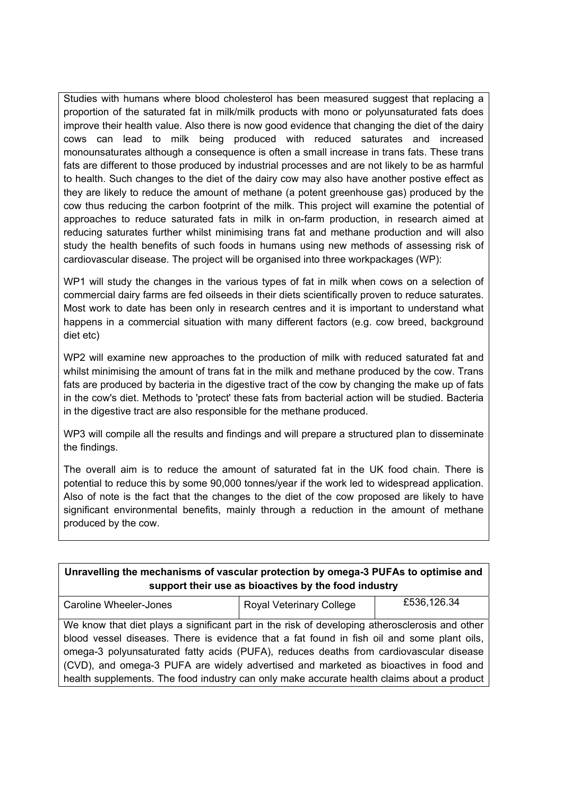Studies with humans where blood cholesterol has been measured suggest that replacing a proportion of the saturated fat in milk/milk products with mono or polyunsaturated fats does improve their health value. Also there is now good evidence that changing the diet of the dairy cows can lead to milk being produced with reduced saturates and increased monounsaturates although a consequence is often a small increase in trans fats. These trans fats are different to those produced by industrial processes and are not likely to be as harmful to health. Such changes to the diet of the dairy cow may also have another postive effect as they are likely to reduce the amount of methane (a potent greenhouse gas) produced by the cow thus reducing the carbon footprint of the milk. This project will examine the potential of approaches to reduce saturated fats in milk in on-farm production, in research aimed at reducing saturates further whilst minimising trans fat and methane production and will also study the health benefits of such foods in humans using new methods of assessing risk of cardiovascular disease. The project will be organised into three workpackages (WP):

WP1 will study the changes in the various types of fat in milk when cows on a selection of commercial dairy farms are fed oilseeds in their diets scientifically proven to reduce saturates. Most work to date has been only in research centres and it is important to understand what happens in a commercial situation with many different factors (e.g. cow breed, background diet etc)

WP2 will examine new approaches to the production of milk with reduced saturated fat and whilst minimising the amount of trans fat in the milk and methane produced by the cow. Trans fats are produced by bacteria in the digestive tract of the cow by changing the make up of fats in the cow's diet. Methods to 'protect' these fats from bacterial action will be studied. Bacteria in the digestive tract are also responsible for the methane produced.

WP3 will compile all the results and findings and will prepare a structured plan to disseminate the findings.

The overall aim is to reduce the amount of saturated fat in the UK food chain. There is potential to reduce this by some 90,000 tonnes/year if the work led to widespread application. Also of note is the fact that the changes to the diet of the cow proposed are likely to have significant environmental benefits, mainly through a reduction in the amount of methane produced by the cow.

| Unravelling the mechanisms of vascular protection by omega-3 PUFAs to optimise and<br>support their use as bioactives by the food industry |                                 |             |
|--------------------------------------------------------------------------------------------------------------------------------------------|---------------------------------|-------------|
| <b>Caroline Wheeler-Jones</b>                                                                                                              | <b>Royal Veterinary College</b> | £536,126.34 |
| We know that diet plays a significant part in the risk of developing atherosclerosis and other                                             |                                 |             |
| blood vessel diseases. There is evidence that a fat found in fish oil and some plant oils,                                                 |                                 |             |
| omega-3 polyunsaturated fatty acids (PUFA), reduces deaths from cardiovascular disease                                                     |                                 |             |
| (CVD), and omega-3 PUFA are widely advertised and marketed as bioactives in food and                                                       |                                 |             |
| health supplements. The food industry can only make accurate health claims about a product                                                 |                                 |             |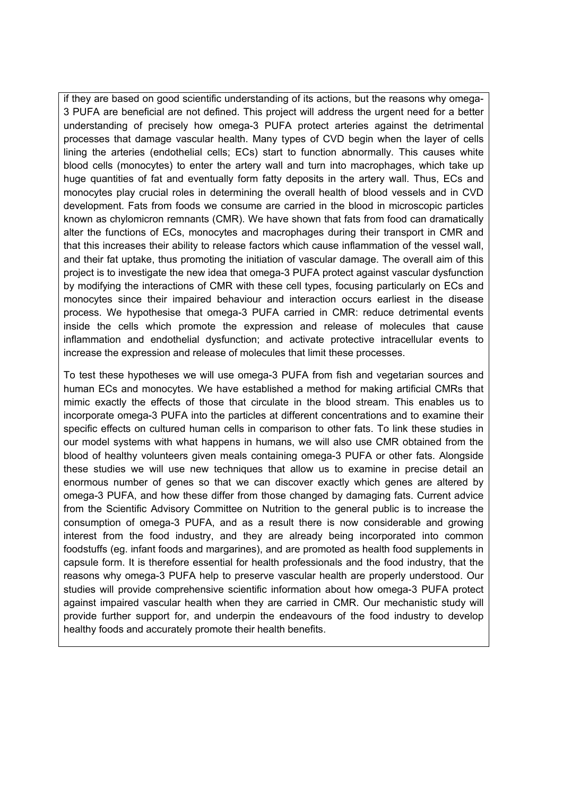if they are based on good scientific understanding of its actions, but the reasons why omega-3 PUFA are beneficial are not defined. This project will address the urgent need for a better understanding of precisely how omega-3 PUFA protect arteries against the detrimental processes that damage vascular health. Many types of CVD begin when the layer of cells lining the arteries (endothelial cells; ECs) start to function abnormally. This causes white blood cells (monocytes) to enter the artery wall and turn into macrophages, which take up huge quantities of fat and eventually form fatty deposits in the artery wall. Thus, ECs and monocytes play crucial roles in determining the overall health of blood vessels and in CVD development. Fats from foods we consume are carried in the blood in microscopic particles known as chylomicron remnants (CMR). We have shown that fats from food can dramatically alter the functions of ECs, monocytes and macrophages during their transport in CMR and that this increases their ability to release factors which cause inflammation of the vessel wall, and their fat uptake, thus promoting the initiation of vascular damage. The overall aim of this project is to investigate the new idea that omega-3 PUFA protect against vascular dysfunction by modifying the interactions of CMR with these cell types, focusing particularly on ECs and monocytes since their impaired behaviour and interaction occurs earliest in the disease process. We hypothesise that omega-3 PUFA carried in CMR: reduce detrimental events inside the cells which promote the expression and release of molecules that cause inflammation and endothelial dysfunction; and activate protective intracellular events to increase the expression and release of molecules that limit these processes.

To test these hypotheses we will use omega-3 PUFA from fish and vegetarian sources and human ECs and monocytes. We have established a method for making artificial CMRs that mimic exactly the effects of those that circulate in the blood stream. This enables us to incorporate omega-3 PUFA into the particles at different concentrations and to examine their specific effects on cultured human cells in comparison to other fats. To link these studies in our model systems with what happens in humans, we will also use CMR obtained from the blood of healthy volunteers given meals containing omega-3 PUFA or other fats. Alongside these studies we will use new techniques that allow us to examine in precise detail an enormous number of genes so that we can discover exactly which genes are altered by omega-3 PUFA, and how these differ from those changed by damaging fats. Current advice from the Scientific Advisory Committee on Nutrition to the general public is to increase the consumption of omega-3 PUFA, and as a result there is now considerable and growing interest from the food industry, and they are already being incorporated into common foodstuffs (eg. infant foods and margarines), and are promoted as health food supplements in capsule form. It is therefore essential for health professionals and the food industry, that the reasons why omega-3 PUFA help to preserve vascular health are properly understood. Our studies will provide comprehensive scientific information about how omega-3 PUFA protect against impaired vascular health when they are carried in CMR. Our mechanistic study will provide further support for, and underpin the endeavours of the food industry to develop healthy foods and accurately promote their health benefits.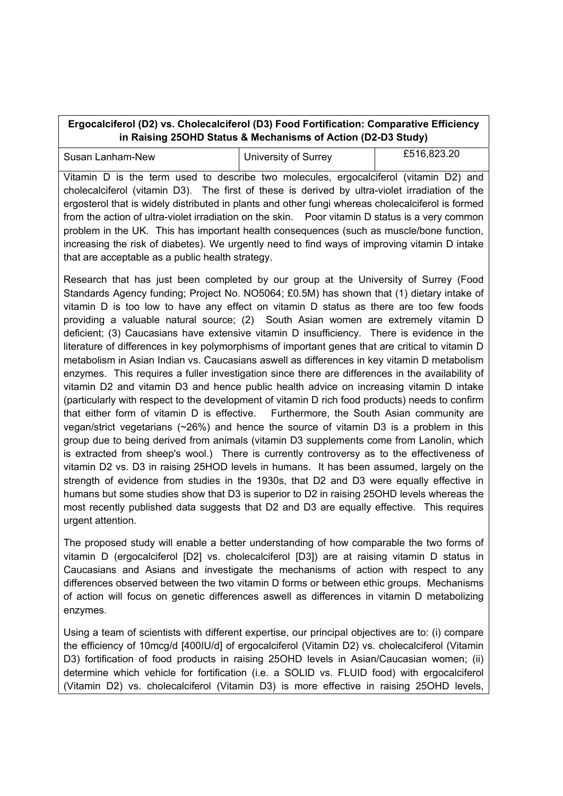## **Ergocalciferol (D2) vs. Cholecalciferol (D3) Food Fortification: Comparative Efficiency in Raising 25OHD Status & Mechanisms of Action (D2-D3 Study)**

| Susan Lanham-New                                                                               | University of Surrey | £516,823.20 |
|------------------------------------------------------------------------------------------------|----------------------|-------------|
| Vitamin D is the term used to describe two molecules, ergocalciferol (vitamin D2) and          |                      |             |
| cholecalciferol (vitamin D3). The first of these is derived by ultra-violet irradiation of the |                      |             |

ergosterol that is widely distributed in plants and other fungi whereas cholecalciferol is formed from the action of ultra-violet irradiation on the skin. Poor vitamin D status is a very common problem in the UK. This has important health consequences (such as muscle/bone function, increasing the risk of diabetes). We urgently need to find ways of improving vitamin D intake that are acceptable as a public health strategy.

Research that has just been completed by our group at the University of Surrey (Food Standards Agency funding; Project No. NO5064; £0.5M) has shown that (1) dietary intake of vitamin D is too low to have any effect on vitamin D status as there are too few foods providing a valuable natural source; (2) South Asian women are extremely vitamin D deficient; (3) Caucasians have extensive vitamin D insufficiency. There is evidence in the literature of differences in key polymorphisms of important genes that are critical to vitamin D metabolism in Asian Indian vs. Caucasians aswell as differences in key vitamin D metabolism enzymes. This requires a fuller investigation since there are differences in the availability of vitamin D2 and vitamin D3 and hence public health advice on increasing vitamin D intake (particularly with respect to the development of vitamin D rich food products) needs to confirm that either form of vitamin D is effective. Furthermore, the South Asian community are vegan/strict vegetarians (~26%) and hence the source of vitamin D3 is a problem in this group due to being derived from animals (vitamin D3 supplements come from Lanolin, which is extracted from sheep's wool.) There is currently controversy as to the effectiveness of vitamin D2 vs. D3 in raising 25HOD levels in humans. It has been assumed, largely on the strength of evidence from studies in the 1930s, that D2 and D3 were equally effective in humans but some studies show that D3 is superior to D2 in raising 25OHD levels whereas the most recently published data suggests that D2 and D3 are equally effective. This requires urgent attention.

The proposed study will enable a better understanding of how comparable the two forms of vitamin D (ergocalciferol [D2] vs. cholecalciferol [D3]) are at raising vitamin D status in Caucasians and Asians and investigate the mechanisms of action with respect to any differences observed between the two vitamin D forms or between ethic groups. Mechanisms of action will focus on genetic differences aswell as differences in vitamin D metabolizing enzymes.

Using a team of scientists with different expertise, our principal objectives are to: (i) compare the efficiency of 10mcg/d [400IU/d] of ergocalciferol (Vitamin D2) vs. cholecalciferol (Vitamin D3) fortification of food products in raising 25OHD levels in Asian/Caucasian women; (ii) determine which vehicle for fortification (i.e. a SOLID vs. FLUID food) with ergocalciferol (Vitamin D2) vs. cholecalciferol (Vitamin D3) is more effective in raising 25OHD levels,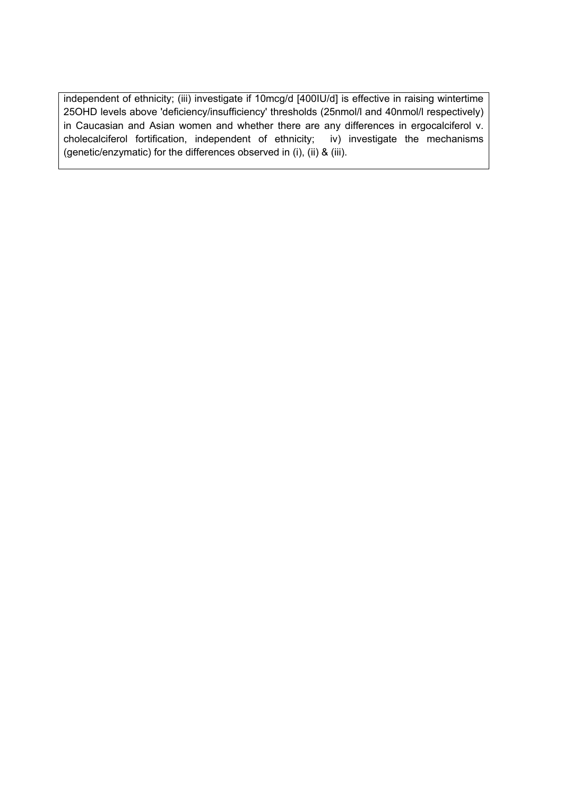independent of ethnicity; (iii) investigate if 10mcg/d [400IU/d] is effective in raising wintertime 25OHD levels above 'deficiency/insufficiency' thresholds (25nmol/l and 40nmol/l respectively) in Caucasian and Asian women and whether there are any differences in ergocalciferol v. cholecalciferol fortification, independent of ethnicity; iv) investigate the mechanisms (genetic/enzymatic) for the differences observed in (i), (ii) & (iii).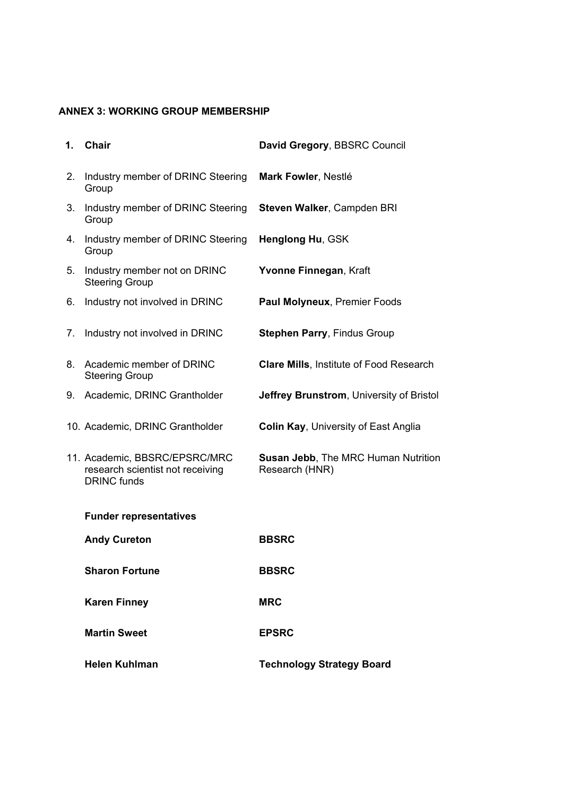## **ANNEX 3: WORKING GROUP MEMBERSHIP**

| 1. | Chair                                                                                   | David Gregory, BBSRC Council                          |
|----|-----------------------------------------------------------------------------------------|-------------------------------------------------------|
| 2. | Industry member of DRINC Steering<br>Group                                              | <b>Mark Fowler, Nestl</b>                             |
| 3. | Industry member of DRINC Steering<br>Group                                              | Steven Walker, Campden BRI                            |
| 4. | Industry member of DRINC Steering<br>Group                                              | Henglong Hu, GSK                                      |
| 5. | Industry member not on DRINC<br><b>Steering Group</b>                                   | Yvonne Finnegan, Kraft                                |
| 6. | Industry not involved in DRINC                                                          | Paul Molyneux, Premier Foods                          |
| 7. | Industry not involved in DRINC                                                          | <b>Stephen Parry, Findus Group</b>                    |
| 8. | Academic member of DRINC<br><b>Steering Group</b>                                       | <b>Clare Mills, Institute of Food Research</b>        |
| 9. | Academic, DRINC Grantholder                                                             | <b>Jeffrey Brunstrom, University of Bristol</b>       |
|    | 10. Academic, DRINC Grantholder                                                         | <b>Colin Kay, University of East Anglia</b>           |
|    | 11. Academic, BBSRC/EPSRC/MRC<br>research scientist not receiving<br><b>DRINC</b> funds | Susan Jebb, The MRC Human Nutrition<br>Research (HNR) |
|    | <b>Funder representatives</b>                                                           |                                                       |
|    | <b>Andy Cureton</b>                                                                     | <b>BBSRC</b>                                          |
|    | <b>Sharon Fortune</b>                                                                   | <b>BBSRC</b>                                          |
|    | <b>Karen Finney</b>                                                                     | <b>MRC</b>                                            |
|    | <b>Martin Sweet</b>                                                                     | <b>EPSRC</b>                                          |
|    | <b>Helen Kuhlman</b>                                                                    | <b>Technology Strategy Board</b>                      |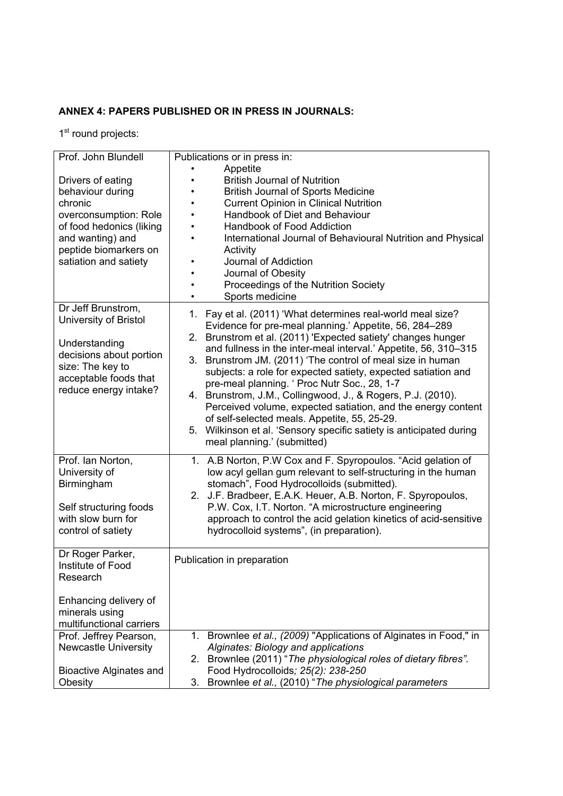## **ANNEX 4: PAPERS PUBLISHED OR IN PRESS IN JOURNALS:**

1st round projects:

| Prof. John Blundell                                                                                                                                                         | Publications or in press in:                                                                                                                                                                                                                                                                                                                                                                                                                                                                                                                                                                  |
|-----------------------------------------------------------------------------------------------------------------------------------------------------------------------------|-----------------------------------------------------------------------------------------------------------------------------------------------------------------------------------------------------------------------------------------------------------------------------------------------------------------------------------------------------------------------------------------------------------------------------------------------------------------------------------------------------------------------------------------------------------------------------------------------|
| Drivers of eating<br>behaviour during<br>chronic<br>overconsumption: Role<br>of food hedonics (liking<br>and wanting) and<br>peptide biomarkers on<br>satiation and satiety | Appetite<br><b>British Journal of Nutrition</b><br><b>British Journal of Sports Medicine</b><br><b>Current Opinion in Clinical Nutrition</b><br>Handbook of Diet and Behaviour<br>Handbook of Food Addiction<br>International Journal of Behavioural Nutrition and Physical<br>Activity<br>Journal of Addiction<br>Journal of Obesity<br>Proceedings of the Nutrition Society<br>Sports medicine                                                                                                                                                                                              |
| Dr Jeff Brunstrom,<br>University of Bristol                                                                                                                                 | 1. Fay et al. (2011) What determines real-world meal size?<br>Evidence for pre-meal planning. Appetite, 56, 284 289                                                                                                                                                                                                                                                                                                                                                                                                                                                                           |
| Understanding<br>decisions about portion<br>size: The key to<br>acceptable foods that<br>reduce energy intake?                                                              | 2. Brunstrom et al. (2011) 'Expected satiety' changes hunger<br>and fullness in the inter-meal interval. Appetite, 56, 310 315<br>3. Brunstrom JM. (2011) The control of meal size in human<br>subjects: a role for expected satiety, expected satiation and<br>pre-meal planning. Proc Nutr Soc., 28, 1-7<br>4. Brunstrom, J.M., Collingwood, J., & Rogers, P.J. (2010).<br>Perceived volume, expected satiation, and the energy content<br>of self-selected meals. Appetite, 55, 25-29.<br>5. Wilkinson et al. Sensory specific satiety is anticipated during<br>meal planning. (submitted) |
| Prof. Ian Norton,<br>University of                                                                                                                                          | 1. A.B Norton, P.W Cox and F. Spyropoulos. Acid gelation of<br>low acyl gellan gum relevant to self-structuring in the human                                                                                                                                                                                                                                                                                                                                                                                                                                                                  |
| Birmingham<br>Self structuring foods<br>with slow burn for<br>control of satiety                                                                                            | stomach, Food Hydrocolloids (submitted).<br>2. J.F. Bradbeer, E.A.K. Heuer, A.B. Norton, F. Spyropoulos,<br>P.W. Cox, I.T. Norton. A microstructure engineering<br>approach to control the acid gelation kinetics of acid-sensitive<br>hydrocolloid systems, (in preparation).                                                                                                                                                                                                                                                                                                                |
| Dr Roger Parker,<br>Institute of Food<br>Research                                                                                                                           | Publication in preparation                                                                                                                                                                                                                                                                                                                                                                                                                                                                                                                                                                    |
| Enhancing delivery of<br>minerals using<br>multifunctional carriers                                                                                                         |                                                                                                                                                                                                                                                                                                                                                                                                                                                                                                                                                                                               |
| Prof. Jeffrey Pearson,<br><b>Newcastle University</b><br><b>Bioactive Alginates and</b>                                                                                     | 1. Brownlee et al., (2009) "Applications of Alginates in Food," in<br>Alginates: Biology and applications<br>2. Brownlee (2011) The physiological roles of dietary fibres".<br>Food Hydrocolloids; 25(2): 238-250                                                                                                                                                                                                                                                                                                                                                                             |
| Obesity                                                                                                                                                                     | 3.<br>Brownlee et al., (2010) The physiological parameters                                                                                                                                                                                                                                                                                                                                                                                                                                                                                                                                    |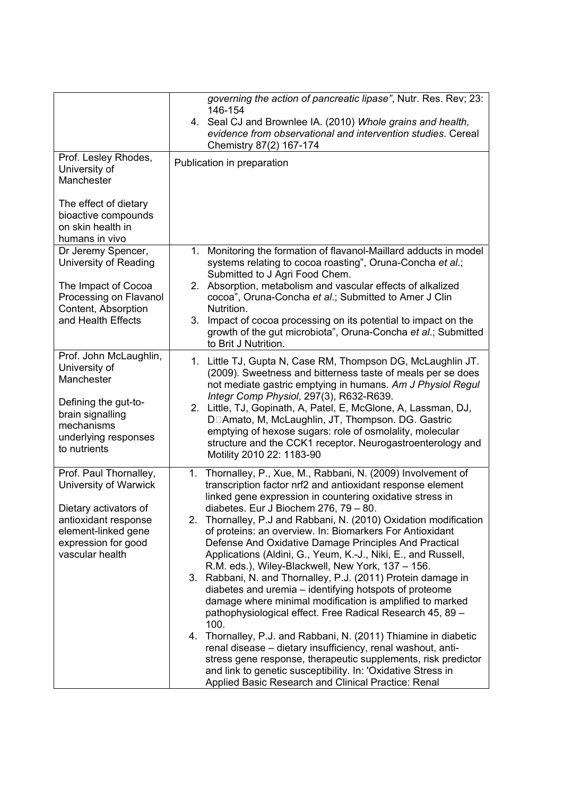|                                                                                                                | governing the action of pancreatic lipase", Nutr. Res. Rev; 23:<br>146-154<br>4. Seal CJ and Brownlee IA. (2010) Whole grains and health,<br>evidence from observational and intervention studies. Cereal<br>Chemistry 87(2) 167-174                                                                                                                                                                                                                                                                                                       |
|----------------------------------------------------------------------------------------------------------------|--------------------------------------------------------------------------------------------------------------------------------------------------------------------------------------------------------------------------------------------------------------------------------------------------------------------------------------------------------------------------------------------------------------------------------------------------------------------------------------------------------------------------------------------|
| Prof. Lesley Rhodes,<br>University of<br>Manchester                                                            | Publication in preparation                                                                                                                                                                                                                                                                                                                                                                                                                                                                                                                 |
| The effect of dietary<br>bioactive compounds<br>on skin health in<br>humans in vivo                            |                                                                                                                                                                                                                                                                                                                                                                                                                                                                                                                                            |
| Dr Jeremy Spencer,<br>University of Reading                                                                    | Monitoring the formation of flavanol-Maillard adducts in model<br>1.<br>systems relating to cocoa roasting, Oruna-Concha et al.;<br>Submitted to J Agri Food Chem.                                                                                                                                                                                                                                                                                                                                                                         |
| The Impact of Cocoa<br>Processing on Flavanol<br>Content, Absorption                                           | 2. Absorption, metabolism and vascular effects of alkalized<br>cocoa, Oruna-Concha et al.; Submitted to Amer J Clin<br>Nutrition.                                                                                                                                                                                                                                                                                                                                                                                                          |
| and Health Effects                                                                                             | 3.<br>Impact of cocoa processing on its potential to impact on the<br>growth of the gut microbiota, Oruna-Concha et al.; Submitted<br>to Brit J Nutrition.                                                                                                                                                                                                                                                                                                                                                                                 |
| Prof. John McLaughlin,<br>University of<br>Manchester                                                          | 1. Little TJ, Gupta N, Case RM, Thompson DG, McLaughlin JT.<br>(2009). Sweetness and bitterness taste of meals per se does<br>not mediate gastric emptying in humans. Am J Physiol Regul                                                                                                                                                                                                                                                                                                                                                   |
| Defining the gut-to-<br>brain signalling<br>mechanisms<br>underlying responses<br>to nutrients                 | Integr Comp Physiol, 297(3), R632-R639.<br>2. Little, TJ, Gopinath, A, Patel, E, McGlone, A, Lassman, DJ,<br>D□Amato, M, McLaughlin, JT, Thompson. DG. Gastric<br>emptying of hexose sugars: role of osmolality, molecular<br>structure and the CCK1 receptor. Neurogastroenterology and<br>Motility 2010 22: 1183-90                                                                                                                                                                                                                      |
| Prof. Paul Thornalley,<br>University of Warwick                                                                | Thornalley, P., Xue, M., Rabbani, N. (2009) Involvement of<br>1.<br>transcription factor nrf2 and antioxidant response element<br>linked gene expression in countering oxidative stress in                                                                                                                                                                                                                                                                                                                                                 |
| Dietary activators of<br>antioxidant response<br>element-linked gene<br>expression for good<br>vascular health | diabetes. Eur J Biochem 276, 79<br>80.<br>2. Thornalley, P.J and Rabbani, N. (2010) Oxidation modification<br>of proteins: an overview. In: Biomarkers For Antioxidant<br>Defense And Oxidative Damage Principles And Practical<br>Applications (Aldini, G., Yeum, K.-J., Niki, E., and Russell,<br>R.M. eds.), Wiley-Blackwell, New York, 137 156.<br>3. Rabbani, N. and Thornalley, P.J. (2011) Protein damage in<br>diabetes and uremia<br>identifying hotspots of proteome<br>damage where minimal modification is amplified to marked |
|                                                                                                                | pathophysiological effect. Free Radical Research 45, 89<br>100.<br>Thornalley, P.J. and Rabbani, N. (2011) Thiamine in diabetic<br>4.<br>renal disease dietary insufficiency, renal washout, anti-<br>stress gene response, therapeutic supplements, risk predictor<br>and link to genetic susceptibility. In: 'Oxidative Stress in<br>Applied Basic Research and Clinical Practice: Renal                                                                                                                                                 |